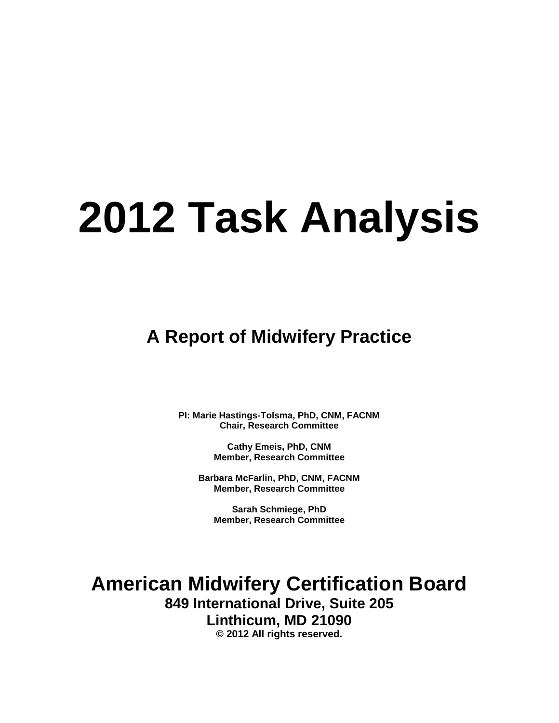# **2012 Task Analysis**

**A Report of Midwifery Practice**

**PI: Marie Hastings-Tolsma, PhD, CNM, FACNM Chair, Research Committee**

> **Cathy Emeis, PhD, CNM Member, Research Committee**

**Barbara McFarlin, PhD, CNM, FACNM Member, Research Committee**

**Sarah Schmiege, PhD Member, Research Committee**

**American Midwifery Certification Board 849 International Drive, Suite 205 Linthicum, MD 21090 © 2012 All rights reserved.**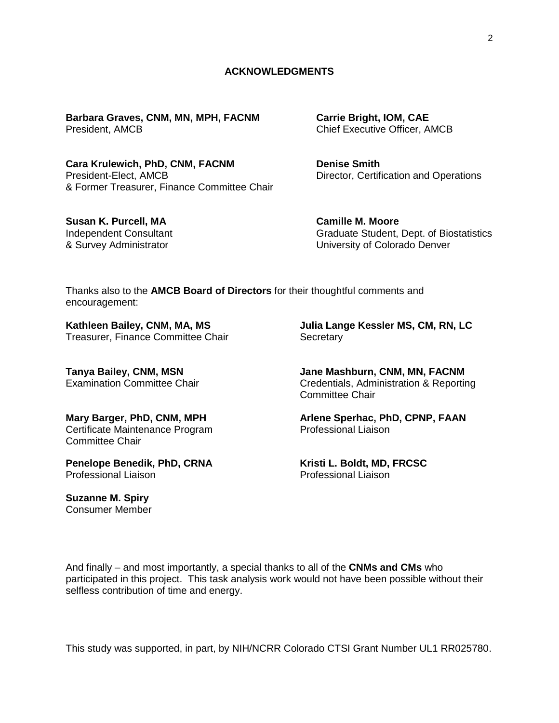## **ACKNOWLEDGMENTS**

**Barbara Graves, CNM, MN, MPH, FACNM Carrie Bright, IOM, CAE** President, AMCB Chief Executive Officer, AMCB

Cara Krulewich, PhD, CNM, FACNM **Denise Smith** President-Elect, AMCB Director, Certification and Operations & Former Treasurer, Finance Committee Chair

**Susan K. Purcell, MA Camille M. Moore** 

Independent Consultant Graduate Student, Dept. of Biostatistics & Survey Administrator University of Colorado Denver

Thanks also to the **AMCB Board of Directors** for their thoughtful comments and encouragement:

Treasurer, Finance Committee Chair **Secretary** 

Certificate Maintenance Program Professional Liaison Committee Chair

**Penelope Benedik, PhD, CRNA Kristi L. Boldt, MD, FRCSC** Professional Liaison Professional Liaison

**Suzanne M. Spiry** Consumer Member

**Kathleen Bailey, CNM, MA, MS Julia Lange Kessler MS, CM, RN, LC**

**Tanya Bailey, CNM, MSN Jane Mashburn, CNM, MN, FACNM** Examination Committee Chair Credentials, Administration & Reporting Committee Chair

**Mary Barger, PhD, CNM, MPH Arlene Sperhac, PhD, CPNP, FAAN**

And finally – and most importantly, a special thanks to all of the **CNMs and CMs** who participated in this project. This task analysis work would not have been possible without their selfless contribution of time and energy.

This study was supported, in part, by NIH/NCRR Colorado CTSI Grant Number UL1 RR025780.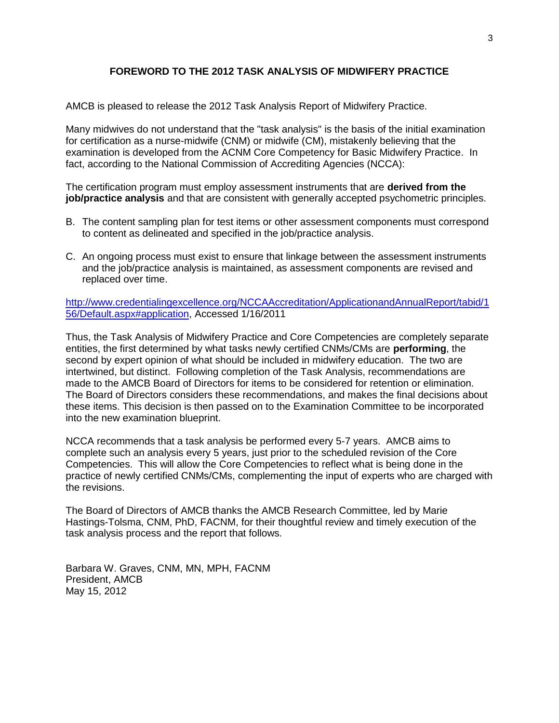## **FOREWORD TO THE 2012 TASK ANALYSIS OF MIDWIFERY PRACTICE**

AMCB is pleased to release the 2012 Task Analysis Report of Midwifery Practice.

Many midwives do not understand that the "task analysis" is the basis of the initial examination for certification as a nurse-midwife (CNM) or midwife (CM), mistakenly believing that the examination is developed from the ACNM Core Competency for Basic Midwifery Practice. In fact, according to the National Commission of Accrediting Agencies (NCCA):

The certification program must employ assessment instruments that are **derived from the job/practice analysis** and that are consistent with generally accepted psychometric principles.

- B. The content sampling plan for test items or other assessment components must correspond to content as delineated and specified in the job/practice analysis.
- C. An ongoing process must exist to ensure that linkage between the assessment instruments and the job/practice analysis is maintained, as assessment components are revised and replaced over time.

[http://www.credentialingexcellence.org/NCCAAccreditation/ApplicationandAnnualReport/tabid/1](http://www.credentialingexcellence.org/NCCAAccreditation/ApplicationandAnnualReport/tabid/156/Default.aspx#application) [56/Default.aspx#application,](http://www.credentialingexcellence.org/NCCAAccreditation/ApplicationandAnnualReport/tabid/156/Default.aspx#application) Accessed 1/16/2011

Thus, the Task Analysis of Midwifery Practice and Core Competencies are completely separate entities, the first determined by what tasks newly certified CNMs/CMs are **performing**, the second by expert opinion of what should be included in midwifery education. The two are intertwined, but distinct. Following completion of the Task Analysis, recommendations are made to the AMCB Board of Directors for items to be considered for retention or elimination. The Board of Directors considers these recommendations, and makes the final decisions about these items. This decision is then passed on to the Examination Committee to be incorporated into the new examination blueprint.

NCCA recommends that a task analysis be performed every 5-7 years. AMCB aims to complete such an analysis every 5 years, just prior to the scheduled revision of the Core Competencies. This will allow the Core Competencies to reflect what is being done in the practice of newly certified CNMs/CMs, complementing the input of experts who are charged with the revisions.

The Board of Directors of AMCB thanks the AMCB Research Committee, led by Marie Hastings-Tolsma, CNM, PhD, FACNM, for their thoughtful review and timely execution of the task analysis process and the report that follows.

Barbara W. Graves, CNM, MN, MPH, FACNM President, AMCB May 15, 2012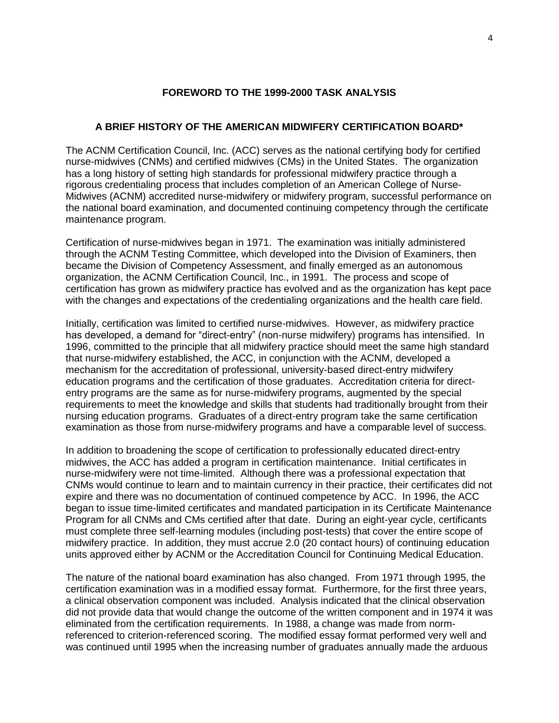## **FOREWORD TO THE 1999-2000 TASK ANALYSIS**

## **A BRIEF HISTORY OF THE AMERICAN MIDWIFERY CERTIFICATION BOARD\***

The ACNM Certification Council, Inc. (ACC) serves as the national certifying body for certified nurse-midwives (CNMs) and certified midwives (CMs) in the United States. The organization has a long history of setting high standards for professional midwifery practice through a rigorous credentialing process that includes completion of an American College of Nurse-Midwives (ACNM) accredited nurse-midwifery or midwifery program, successful performance on the national board examination, and documented continuing competency through the certificate maintenance program.

Certification of nurse-midwives began in 1971. The examination was initially administered through the ACNM Testing Committee, which developed into the Division of Examiners, then became the Division of Competency Assessment, and finally emerged as an autonomous organization, the ACNM Certification Council, Inc., in 1991. The process and scope of certification has grown as midwifery practice has evolved and as the organization has kept pace with the changes and expectations of the credentialing organizations and the health care field.

Initially, certification was limited to certified nurse-midwives. However, as midwifery practice has developed, a demand for "direct-entry" (non-nurse midwifery) programs has intensified. In 1996, committed to the principle that all midwifery practice should meet the same high standard that nurse-midwifery established, the ACC, in conjunction with the ACNM, developed a mechanism for the accreditation of professional, university-based direct-entry midwifery education programs and the certification of those graduates. Accreditation criteria for directentry programs are the same as for nurse-midwifery programs, augmented by the special requirements to meet the knowledge and skills that students had traditionally brought from their nursing education programs. Graduates of a direct-entry program take the same certification examination as those from nurse-midwifery programs and have a comparable level of success.

In addition to broadening the scope of certification to professionally educated direct-entry midwives, the ACC has added a program in certification maintenance. Initial certificates in nurse-midwifery were not time-limited. Although there was a professional expectation that CNMs would continue to learn and to maintain currency in their practice, their certificates did not expire and there was no documentation of continued competence by ACC. In 1996, the ACC began to issue time-limited certificates and mandated participation in its Certificate Maintenance Program for all CNMs and CMs certified after that date. During an eight-year cycle, certificants must complete three self-learning modules (including post-tests) that cover the entire scope of midwifery practice. In addition, they must accrue 2.0 (20 contact hours) of continuing education units approved either by ACNM or the Accreditation Council for Continuing Medical Education.

The nature of the national board examination has also changed. From 1971 through 1995, the certification examination was in a modified essay format. Furthermore, for the first three years, a clinical observation component was included. Analysis indicated that the clinical observation did not provide data that would change the outcome of the written component and in 1974 it was eliminated from the certification requirements. In 1988, a change was made from normreferenced to criterion-referenced scoring. The modified essay format performed very well and was continued until 1995 when the increasing number of graduates annually made the arduous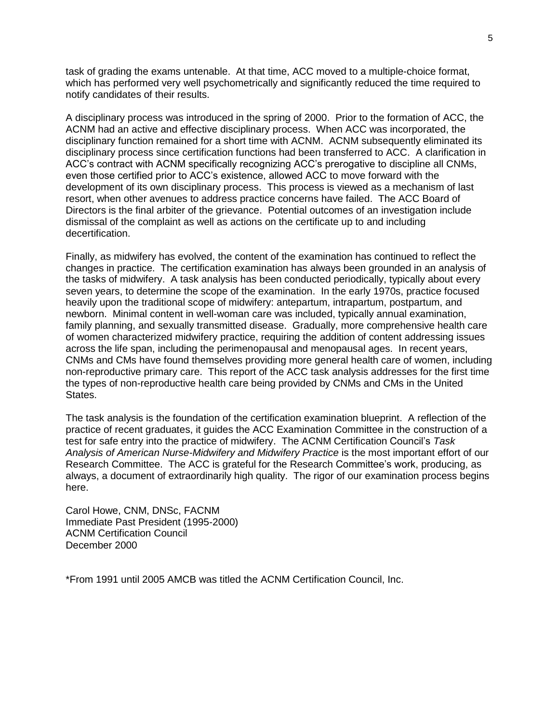task of grading the exams untenable. At that time, ACC moved to a multiple-choice format, which has performed very well psychometrically and significantly reduced the time required to notify candidates of their results.

A disciplinary process was introduced in the spring of 2000. Prior to the formation of ACC, the ACNM had an active and effective disciplinary process. When ACC was incorporated, the disciplinary function remained for a short time with ACNM. ACNM subsequently eliminated its disciplinary process since certification functions had been transferred to ACC. A clarification in ACC"s contract with ACNM specifically recognizing ACC"s prerogative to discipline all CNMs, even those certified prior to ACC"s existence, allowed ACC to move forward with the development of its own disciplinary process. This process is viewed as a mechanism of last resort, when other avenues to address practice concerns have failed. The ACC Board of Directors is the final arbiter of the grievance. Potential outcomes of an investigation include dismissal of the complaint as well as actions on the certificate up to and including decertification.

Finally, as midwifery has evolved, the content of the examination has continued to reflect the changes in practice. The certification examination has always been grounded in an analysis of the tasks of midwifery. A task analysis has been conducted periodically, typically about every seven years, to determine the scope of the examination. In the early 1970s, practice focused heavily upon the traditional scope of midwifery: antepartum, intrapartum, postpartum, and newborn. Minimal content in well-woman care was included, typically annual examination, family planning, and sexually transmitted disease. Gradually, more comprehensive health care of women characterized midwifery practice, requiring the addition of content addressing issues across the life span, including the perimenopausal and menopausal ages. In recent years, CNMs and CMs have found themselves providing more general health care of women, including non-reproductive primary care. This report of the ACC task analysis addresses for the first time the types of non-reproductive health care being provided by CNMs and CMs in the United States.

The task analysis is the foundation of the certification examination blueprint. A reflection of the practice of recent graduates, it guides the ACC Examination Committee in the construction of a test for safe entry into the practice of midwifery. The ACNM Certification Council"s *Task*  Analysis of American Nurse-Midwifery and Midwifery Practice is the most important effort of our Research Committee. The ACC is grateful for the Research Committee"s work, producing, as always, a document of extraordinarily high quality. The rigor of our examination process begins here.

Carol Howe, CNM, DNSc, FACNM Immediate Past President (1995-2000) ACNM Certification Council December 2000

\*From 1991 until 2005 AMCB was titled the ACNM Certification Council, Inc.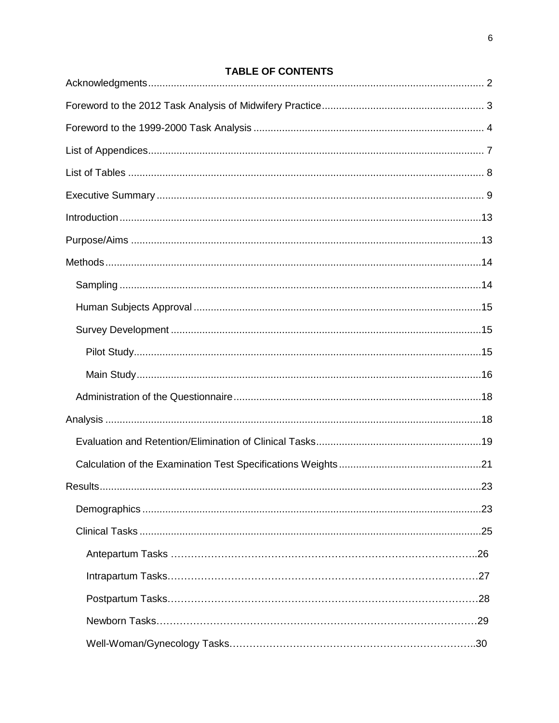# **TABLE OF CONTENTS**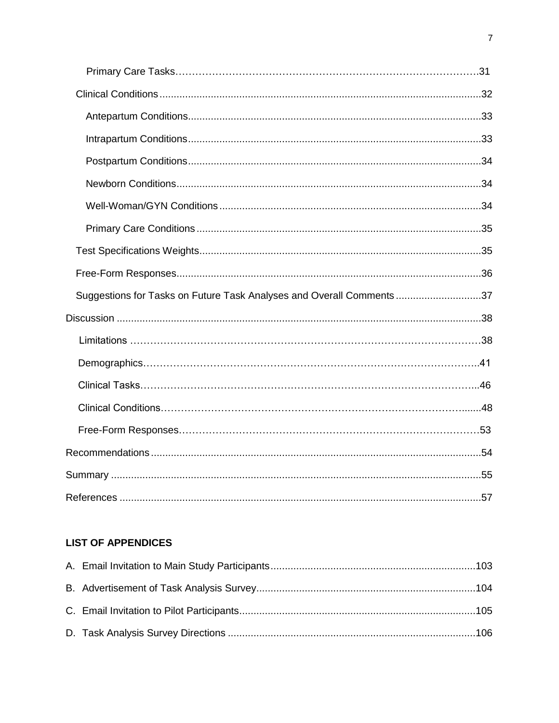| Suggestions for Tasks on Future Task Analyses and Overall Comments 37 |
|-----------------------------------------------------------------------|
|                                                                       |
|                                                                       |
|                                                                       |
|                                                                       |
|                                                                       |
|                                                                       |
|                                                                       |
|                                                                       |
|                                                                       |

# **LIST OF APPENDICES**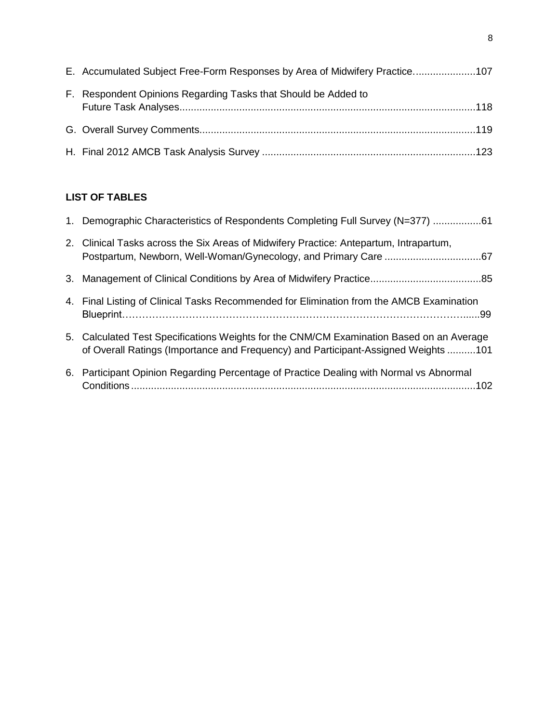| E. Accumulated Subject Free-Form Responses by Area of Midwifery Practice107 |  |
|-----------------------------------------------------------------------------|--|
| F. Respondent Opinions Regarding Tasks that Should be Added to              |  |
|                                                                             |  |
|                                                                             |  |

## **LIST OF TABLES**

| 1. Demographic Characteristics of Respondents Completing Full Survey (N=377) 61                                                                                                |
|--------------------------------------------------------------------------------------------------------------------------------------------------------------------------------|
| 2. Clinical Tasks across the Six Areas of Midwifery Practice: Antepartum, Intrapartum,                                                                                         |
|                                                                                                                                                                                |
| 4. Final Listing of Clinical Tasks Recommended for Elimination from the AMCB Examination                                                                                       |
| 5. Calculated Test Specifications Weights for the CNM/CM Examination Based on an Average<br>of Overall Ratings (Importance and Frequency) and Participant-Assigned Weights 101 |
| 6. Participant Opinion Regarding Percentage of Practice Dealing with Normal vs Abnormal                                                                                        |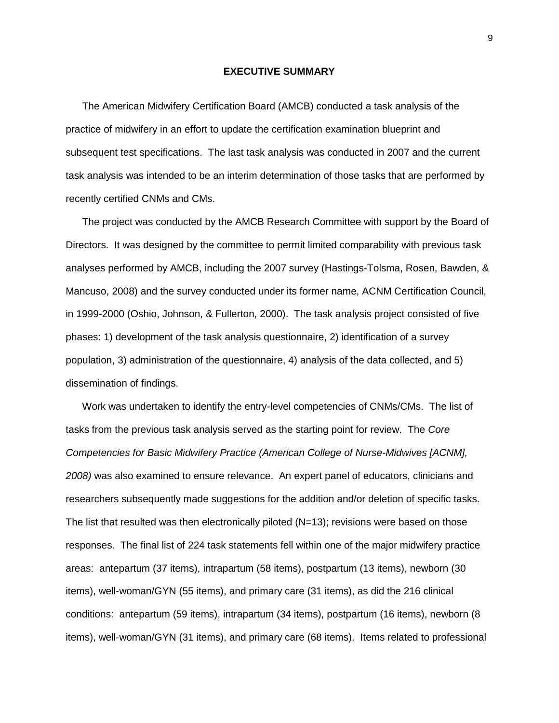#### **EXECUTIVE SUMMARY**

The American Midwifery Certification Board (AMCB) conducted a task analysis of the practice of midwifery in an effort to update the certification examination blueprint and subsequent test specifications. The last task analysis was conducted in 2007 and the current task analysis was intended to be an interim determination of those tasks that are performed by recently certified CNMs and CMs.

The project was conducted by the AMCB Research Committee with support by the Board of Directors. It was designed by the committee to permit limited comparability with previous task analyses performed by AMCB, including the 2007 survey (Hastings-Tolsma, Rosen, Bawden, & Mancuso, 2008) and the survey conducted under its former name, ACNM Certification Council, in 1999-2000 (Oshio, Johnson, & Fullerton, 2000). The task analysis project consisted of five phases: 1) development of the task analysis questionnaire, 2) identification of a survey population, 3) administration of the questionnaire, 4) analysis of the data collected, and 5) dissemination of findings.

Work was undertaken to identify the entry-level competencies of CNMs/CMs. The list of tasks from the previous task analysis served as the starting point for review. The *Core Competencies for Basic Midwifery Practice (American College of Nurse-Midwives [ACNM], 2008)* was also examined to ensure relevance. An expert panel of educators, clinicians and researchers subsequently made suggestions for the addition and/or deletion of specific tasks. The list that resulted was then electronically piloted (N=13); revisions were based on those responses. The final list of 224 task statements fell within one of the major midwifery practice areas: antepartum (37 items), intrapartum (58 items), postpartum (13 items), newborn (30 items), well-woman/GYN (55 items), and primary care (31 items), as did the 216 clinical conditions: antepartum (59 items), intrapartum (34 items), postpartum (16 items), newborn (8 items), well-woman/GYN (31 items), and primary care (68 items). Items related to professional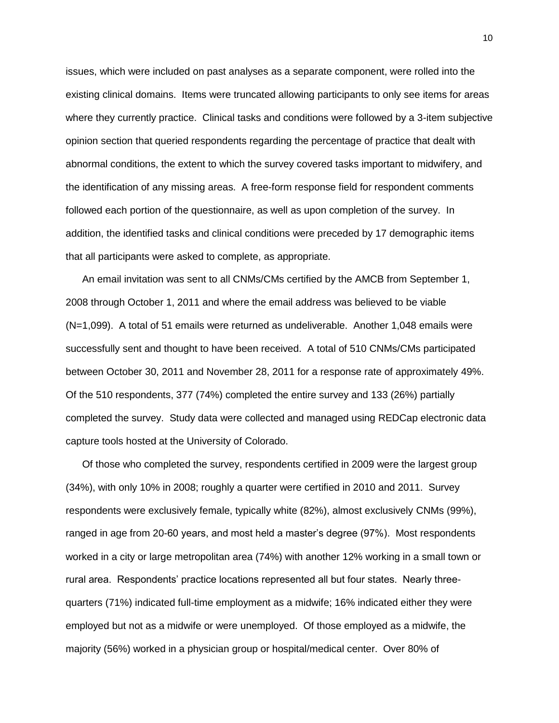issues, which were included on past analyses as a separate component, were rolled into the existing clinical domains. Items were truncated allowing participants to only see items for areas where they currently practice. Clinical tasks and conditions were followed by a 3-item subjective opinion section that queried respondents regarding the percentage of practice that dealt with abnormal conditions, the extent to which the survey covered tasks important to midwifery, and the identification of any missing areas. A free-form response field for respondent comments followed each portion of the questionnaire, as well as upon completion of the survey. In addition, the identified tasks and clinical conditions were preceded by 17 demographic items that all participants were asked to complete, as appropriate.

An email invitation was sent to all CNMs/CMs certified by the AMCB from September 1, 2008 through October 1, 2011 and where the email address was believed to be viable (N=1,099). A total of 51 emails were returned as undeliverable. Another 1,048 emails were successfully sent and thought to have been received. A total of 510 CNMs/CMs participated between October 30, 2011 and November 28, 2011 for a response rate of approximately 49%. Of the 510 respondents, 377 (74%) completed the entire survey and 133 (26%) partially completed the survey. Study data were collected and managed using REDCap electronic data capture tools hosted at the University of Colorado.

Of those who completed the survey, respondents certified in 2009 were the largest group (34%), with only 10% in 2008; roughly a quarter were certified in 2010 and 2011. Survey respondents were exclusively female, typically white (82%), almost exclusively CNMs (99%), ranged in age from 20-60 years, and most held a master"s degree (97%). Most respondents worked in a city or large metropolitan area (74%) with another 12% working in a small town or rural area. Respondents" practice locations represented all but four states. Nearly threequarters (71%) indicated full-time employment as a midwife; 16% indicated either they were employed but not as a midwife or were unemployed. Of those employed as a midwife, the majority (56%) worked in a physician group or hospital/medical center. Over 80% of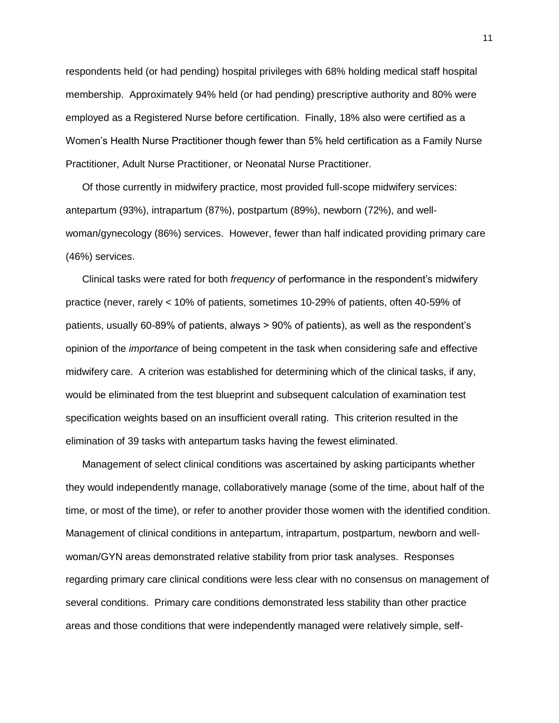respondents held (or had pending) hospital privileges with 68% holding medical staff hospital membership. Approximately 94% held (or had pending) prescriptive authority and 80% were employed as a Registered Nurse before certification. Finally, 18% also were certified as a Women"s Health Nurse Practitioner though fewer than 5% held certification as a Family Nurse Practitioner, Adult Nurse Practitioner, or Neonatal Nurse Practitioner.

Of those currently in midwifery practice, most provided full-scope midwifery services: antepartum (93%), intrapartum (87%), postpartum (89%), newborn (72%), and wellwoman/gynecology (86%) services. However, fewer than half indicated providing primary care (46%) services.

Clinical tasks were rated for both *frequency* of performance in the respondent"s midwifery practice (never, rarely < 10% of patients, sometimes 10-29% of patients, often 40-59% of patients, usually 60-89% of patients, always > 90% of patients), as well as the respondent"s opinion of the *importance* of being competent in the task when considering safe and effective midwifery care. A criterion was established for determining which of the clinical tasks, if any, would be eliminated from the test blueprint and subsequent calculation of examination test specification weights based on an insufficient overall rating. This criterion resulted in the elimination of 39 tasks with antepartum tasks having the fewest eliminated.

Management of select clinical conditions was ascertained by asking participants whether they would independently manage, collaboratively manage (some of the time, about half of the time, or most of the time), or refer to another provider those women with the identified condition. Management of clinical conditions in antepartum, intrapartum, postpartum, newborn and wellwoman/GYN areas demonstrated relative stability from prior task analyses. Responses regarding primary care clinical conditions were less clear with no consensus on management of several conditions. Primary care conditions demonstrated less stability than other practice areas and those conditions that were independently managed were relatively simple, self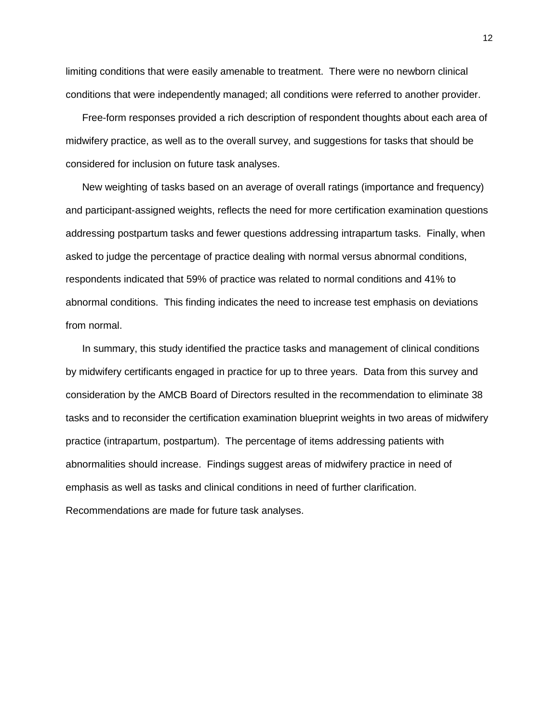limiting conditions that were easily amenable to treatment. There were no newborn clinical conditions that were independently managed; all conditions were referred to another provider.

Free-form responses provided a rich description of respondent thoughts about each area of midwifery practice, as well as to the overall survey, and suggestions for tasks that should be considered for inclusion on future task analyses.

New weighting of tasks based on an average of overall ratings (importance and frequency) and participant-assigned weights, reflects the need for more certification examination questions addressing postpartum tasks and fewer questions addressing intrapartum tasks. Finally, when asked to judge the percentage of practice dealing with normal versus abnormal conditions, respondents indicated that 59% of practice was related to normal conditions and 41% to abnormal conditions. This finding indicates the need to increase test emphasis on deviations from normal.

In summary, this study identified the practice tasks and management of clinical conditions by midwifery certificants engaged in practice for up to three years. Data from this survey and consideration by the AMCB Board of Directors resulted in the recommendation to eliminate 38 tasks and to reconsider the certification examination blueprint weights in two areas of midwifery practice (intrapartum, postpartum). The percentage of items addressing patients with abnormalities should increase. Findings suggest areas of midwifery practice in need of emphasis as well as tasks and clinical conditions in need of further clarification. Recommendations are made for future task analyses.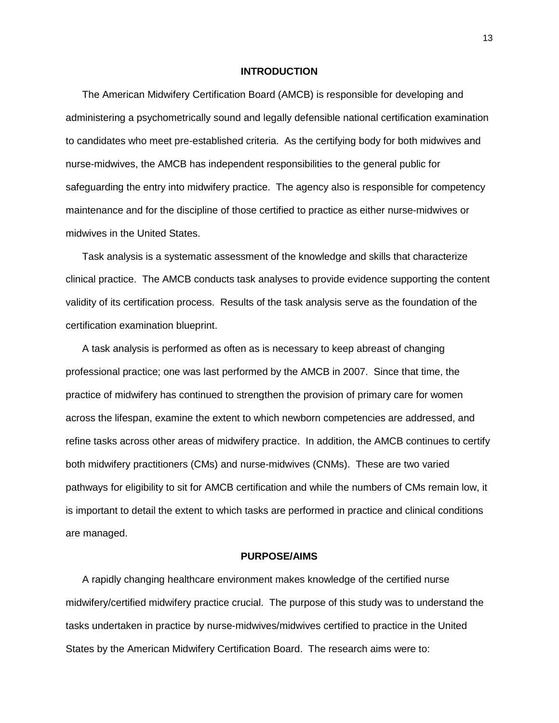#### **INTRODUCTION**

The American Midwifery Certification Board (AMCB) is responsible for developing and administering a psychometrically sound and legally defensible national certification examination to candidates who meet pre-established criteria. As the certifying body for both midwives and nurse-midwives, the AMCB has independent responsibilities to the general public for safeguarding the entry into midwifery practice. The agency also is responsible for competency maintenance and for the discipline of those certified to practice as either nurse-midwives or midwives in the United States.

Task analysis is a systematic assessment of the knowledge and skills that characterize clinical practice. The AMCB conducts task analyses to provide evidence supporting the content validity of its certification process. Results of the task analysis serve as the foundation of the certification examination blueprint.

A task analysis is performed as often as is necessary to keep abreast of changing professional practice; one was last performed by the AMCB in 2007. Since that time, the practice of midwifery has continued to strengthen the provision of primary care for women across the lifespan, examine the extent to which newborn competencies are addressed, and refine tasks across other areas of midwifery practice. In addition, the AMCB continues to certify both midwifery practitioners (CMs) and nurse-midwives (CNMs). These are two varied pathways for eligibility to sit for AMCB certification and while the numbers of CMs remain low, it is important to detail the extent to which tasks are performed in practice and clinical conditions are managed.

## **PURPOSE/AIMS**

A rapidly changing healthcare environment makes knowledge of the certified nurse midwifery/certified midwifery practice crucial. The purpose of this study was to understand the tasks undertaken in practice by nurse-midwives/midwives certified to practice in the United States by the American Midwifery Certification Board. The research aims were to: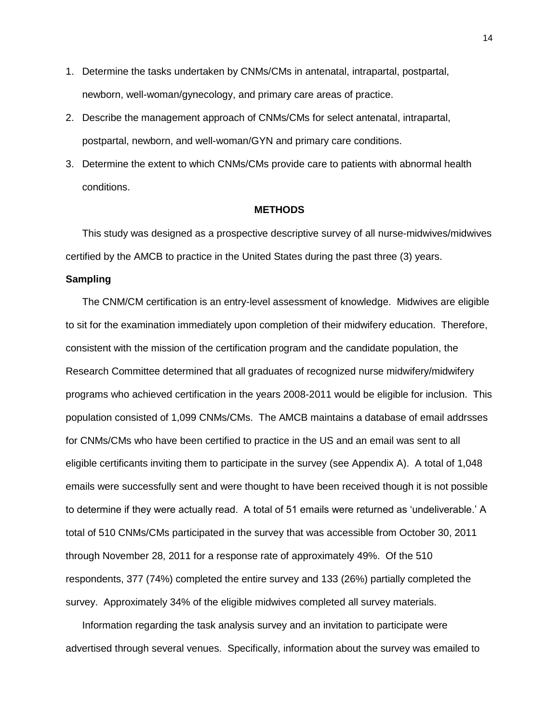- 1. Determine the tasks undertaken by CNMs/CMs in antenatal, intrapartal, postpartal, newborn, well-woman/gynecology, and primary care areas of practice.
- 2. Describe the management approach of CNMs/CMs for select antenatal, intrapartal, postpartal, newborn, and well-woman/GYN and primary care conditions.
- 3. Determine the extent to which CNMs/CMs provide care to patients with abnormal health conditions.

## **METHODS**

This study was designed as a prospective descriptive survey of all nurse-midwives/midwives certified by the AMCB to practice in the United States during the past three (3) years.

## **Sampling**

The CNM/CM certification is an entry-level assessment of knowledge. Midwives are eligible to sit for the examination immediately upon completion of their midwifery education. Therefore, consistent with the mission of the certification program and the candidate population, the Research Committee determined that all graduates of recognized nurse midwifery/midwifery programs who achieved certification in the years 2008-2011 would be eligible for inclusion. This population consisted of 1,099 CNMs/CMs. The AMCB maintains a database of email addrsses for CNMs/CMs who have been certified to practice in the US and an email was sent to all eligible certificants inviting them to participate in the survey (see Appendix A). A total of 1,048 emails were successfully sent and were thought to have been received though it is not possible to determine if they were actually read. A total of 51 emails were returned as 'undeliverable.' A total of 510 CNMs/CMs participated in the survey that was accessible from October 30, 2011 through November 28, 2011 for a response rate of approximately 49%. Of the 510 respondents, 377 (74%) completed the entire survey and 133 (26%) partially completed the survey. Approximately 34% of the eligible midwives completed all survey materials.

Information regarding the task analysis survey and an invitation to participate were advertised through several venues. Specifically, information about the survey was emailed to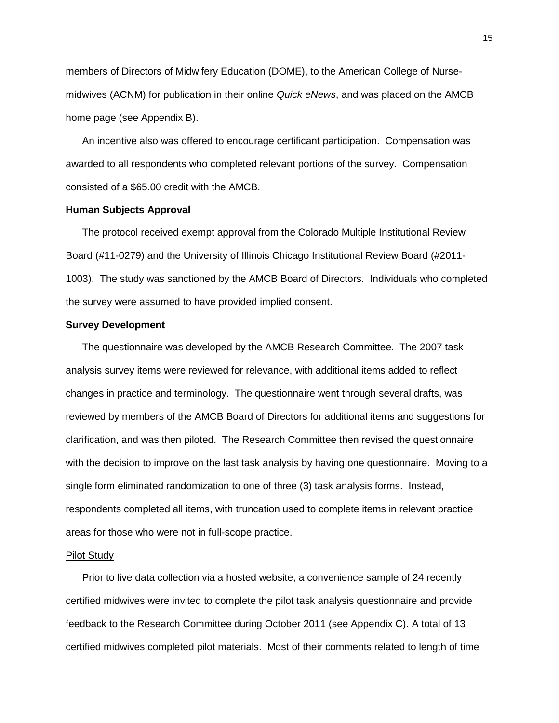members of Directors of Midwifery Education (DOME), to the American College of Nursemidwives (ACNM) for publication in their online *Quick eNews*, and was placed on the AMCB home page (see Appendix B).

An incentive also was offered to encourage certificant participation. Compensation was awarded to all respondents who completed relevant portions of the survey. Compensation consisted of a \$65.00 credit with the AMCB.

## **Human Subjects Approval**

The protocol received exempt approval from the Colorado Multiple Institutional Review Board (#11-0279) and the University of Illinois Chicago Institutional Review Board (#2011- 1003). The study was sanctioned by the AMCB Board of Directors. Individuals who completed the survey were assumed to have provided implied consent.

#### **Survey Development**

The questionnaire was developed by the AMCB Research Committee. The 2007 task analysis survey items were reviewed for relevance, with additional items added to reflect changes in practice and terminology. The questionnaire went through several drafts, was reviewed by members of the AMCB Board of Directors for additional items and suggestions for clarification, and was then piloted. The Research Committee then revised the questionnaire with the decision to improve on the last task analysis by having one questionnaire. Moving to a single form eliminated randomization to one of three (3) task analysis forms. Instead, respondents completed all items, with truncation used to complete items in relevant practice areas for those who were not in full-scope practice.

#### Pilot Study

Prior to live data collection via a hosted website, a convenience sample of 24 recently certified midwives were invited to complete the pilot task analysis questionnaire and provide feedback to the Research Committee during October 2011 (see Appendix C). A total of 13 certified midwives completed pilot materials. Most of their comments related to length of time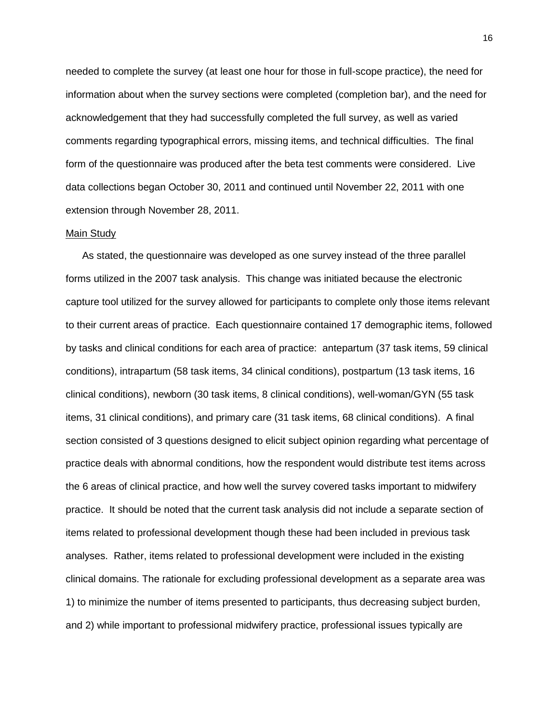needed to complete the survey (at least one hour for those in full-scope practice), the need for information about when the survey sections were completed (completion bar), and the need for acknowledgement that they had successfully completed the full survey, as well as varied comments regarding typographical errors, missing items, and technical difficulties. The final form of the questionnaire was produced after the beta test comments were considered. Live data collections began October 30, 2011 and continued until November 22, 2011 with one extension through November 28, 2011.

#### Main Study

As stated, the questionnaire was developed as one survey instead of the three parallel forms utilized in the 2007 task analysis. This change was initiated because the electronic capture tool utilized for the survey allowed for participants to complete only those items relevant to their current areas of practice. Each questionnaire contained 17 demographic items, followed by tasks and clinical conditions for each area of practice: antepartum (37 task items, 59 clinical conditions), intrapartum (58 task items, 34 clinical conditions), postpartum (13 task items, 16 clinical conditions), newborn (30 task items, 8 clinical conditions), well-woman/GYN (55 task items, 31 clinical conditions), and primary care (31 task items, 68 clinical conditions). A final section consisted of 3 questions designed to elicit subject opinion regarding what percentage of practice deals with abnormal conditions, how the respondent would distribute test items across the 6 areas of clinical practice, and how well the survey covered tasks important to midwifery practice. It should be noted that the current task analysis did not include a separate section of items related to professional development though these had been included in previous task analyses. Rather, items related to professional development were included in the existing clinical domains. The rationale for excluding professional development as a separate area was 1) to minimize the number of items presented to participants, thus decreasing subject burden, and 2) while important to professional midwifery practice, professional issues typically are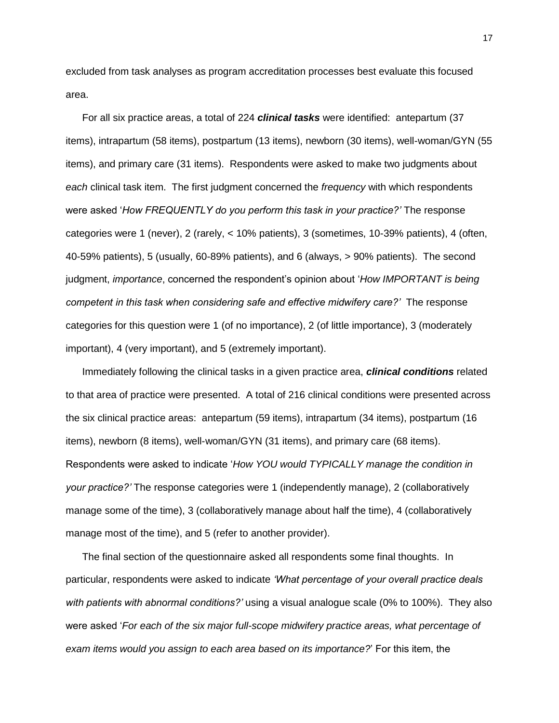excluded from task analyses as program accreditation processes best evaluate this focused area.

For all six practice areas, a total of 224 *clinical tasks* were identified: antepartum (37 items), intrapartum (58 items), postpartum (13 items), newborn (30 items), well-woman/GYN (55 items), and primary care (31 items). Respondents were asked to make two judgments about *each* clinical task item. The first judgment concerned the *frequency* with which respondents were asked "*How FREQUENTLY do you perform this task in your practice?'* The response categories were 1 (never), 2 (rarely, < 10% patients), 3 (sometimes, 10-39% patients), 4 (often, 40-59% patients), 5 (usually, 60-89% patients), and 6 (always, > 90% patients). The second judgment, *importance*, concerned the respondent"s opinion about "*How IMPORTANT is being competent in this task when considering safe and effective midwifery care?'* The response categories for this question were 1 (of no importance), 2 (of little importance), 3 (moderately important), 4 (very important), and 5 (extremely important).

Immediately following the clinical tasks in a given practice area, *clinical conditions* related to that area of practice were presented. A total of 216 clinical conditions were presented across the six clinical practice areas: antepartum (59 items), intrapartum (34 items), postpartum (16 items), newborn (8 items), well-woman/GYN (31 items), and primary care (68 items). Respondents were asked to indicate "*How YOU would TYPICALLY manage the condition in your practice?'* The response categories were 1 (independently manage), 2 (collaboratively manage some of the time), 3 (collaboratively manage about half the time), 4 (collaboratively manage most of the time), and 5 (refer to another provider).

The final section of the questionnaire asked all respondents some final thoughts. In particular, respondents were asked to indicate *'What percentage of your overall practice deals with patients with abnormal conditions?'* using a visual analogue scale (0% to 100%). They also were asked "*For each of the six major full-scope midwifery practice areas, what percentage of exam items would you assign to each area based on its importance?*" For this item, the

17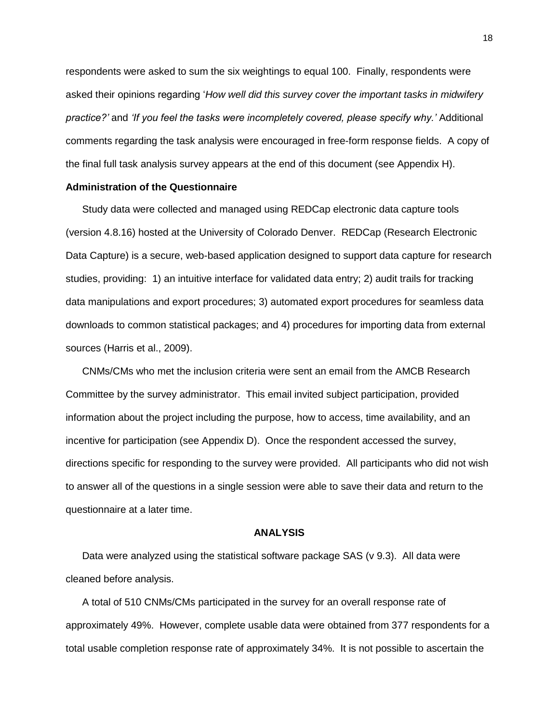respondents were asked to sum the six weightings to equal 100. Finally, respondents were asked their opinions regarding "*How well did this survey cover the important tasks in midwifery practice?'* and *'If you feel the tasks were incompletely covered, please specify why.'* Additional comments regarding the task analysis were encouraged in free-form response fields. A copy of the final full task analysis survey appears at the end of this document (see Appendix H).

## **Administration of the Questionnaire**

Study data were collected and managed using REDCap electronic data capture tools (version 4.8.16) hosted at the University of Colorado Denver. REDCap (Research Electronic Data Capture) is a secure, web-based application designed to support data capture for research studies, providing: 1) an intuitive interface for validated data entry; 2) audit trails for tracking data manipulations and export procedures; 3) automated export procedures for seamless data downloads to common statistical packages; and 4) procedures for importing data from external sources (Harris et al., 2009).

CNMs/CMs who met the inclusion criteria were sent an email from the AMCB Research Committee by the survey administrator. This email invited subject participation, provided information about the project including the purpose, how to access, time availability, and an incentive for participation (see Appendix D). Once the respondent accessed the survey, directions specific for responding to the survey were provided. All participants who did not wish to answer all of the questions in a single session were able to save their data and return to the questionnaire at a later time.

## **ANALYSIS**

Data were analyzed using the statistical software package SAS (v 9.3). All data were cleaned before analysis.

A total of 510 CNMs/CMs participated in the survey for an overall response rate of approximately 49%. However, complete usable data were obtained from 377 respondents for a total usable completion response rate of approximately 34%. It is not possible to ascertain the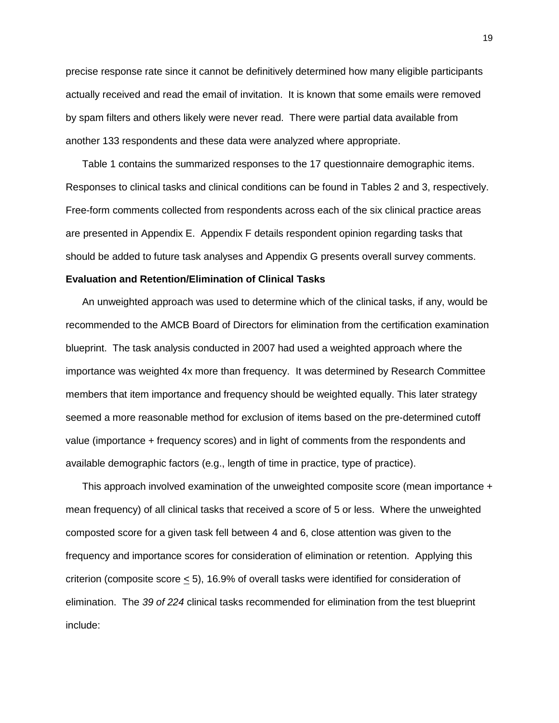precise response rate since it cannot be definitively determined how many eligible participants actually received and read the email of invitation. It is known that some emails were removed by spam filters and others likely were never read. There were partial data available from another 133 respondents and these data were analyzed where appropriate.

Table 1 contains the summarized responses to the 17 questionnaire demographic items. Responses to clinical tasks and clinical conditions can be found in Tables 2 and 3, respectively. Free-form comments collected from respondents across each of the six clinical practice areas are presented in Appendix E. Appendix F details respondent opinion regarding tasks that should be added to future task analyses and Appendix G presents overall survey comments.

## **Evaluation and Retention/Elimination of Clinical Tasks**

An unweighted approach was used to determine which of the clinical tasks, if any, would be recommended to the AMCB Board of Directors for elimination from the certification examination blueprint. The task analysis conducted in 2007 had used a weighted approach where the importance was weighted 4x more than frequency. It was determined by Research Committee members that item importance and frequency should be weighted equally. This later strategy seemed a more reasonable method for exclusion of items based on the pre-determined cutoff value (importance + frequency scores) and in light of comments from the respondents and available demographic factors (e.g., length of time in practice, type of practice).

This approach involved examination of the unweighted composite score (mean importance + mean frequency) of all clinical tasks that received a score of 5 or less. Where the unweighted composted score for a given task fell between 4 and 6, close attention was given to the frequency and importance scores for consideration of elimination or retention. Applying this criterion (composite score < 5), 16.9% of overall tasks were identified for consideration of elimination. The *39 of 224* clinical tasks recommended for elimination from the test blueprint include: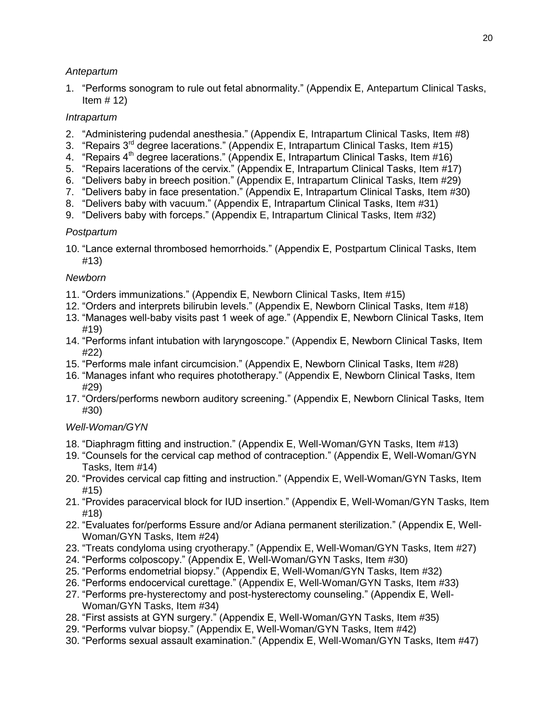## *Antepartum*

1. "Performs sonogram to rule out fetal abnormality." (Appendix E, Antepartum Clinical Tasks, Item  $# 12$ )

## *Intrapartum*

- 2. "Administering pudendal anesthesia." (Appendix E, Intrapartum Clinical Tasks, Item #8)
- 3. "Repairs  $3^{rd}$  degree lacerations." (Appendix E, Intrapartum Clinical Tasks, Item #15)
- 4. "Repairs 4<sup>th</sup> degree lacerations." (Appendix E, Intrapartum Clinical Tasks, Item #16)
- 5. "Repairs lacerations of the cervix." (Appendix E, Intrapartum Clinical Tasks, Item #17)
- 6. "Delivers baby in breech position." (Appendix E, Intrapartum Clinical Tasks, Item #29)
- 7. "Delivers baby in face presentation." (Appendix E, Intrapartum Clinical Tasks, Item #30)
- 8. "Delivers baby with vacuum." (Appendix E, Intrapartum Clinical Tasks, Item #31)
- 9. "Delivers baby with forceps." (Appendix E, Intrapartum Clinical Tasks, Item #32)

## *Postpartum*

10. "Lance external thrombosed hemorrhoids." (Appendix E, Postpartum Clinical Tasks, Item #13)

## *Newborn*

- 11. "Orders immunizations." (Appendix E, Newborn Clinical Tasks, Item #15)
- 12. "Orders and interprets bilirubin levels." (Appendix E, Newborn Clinical Tasks, Item #18)
- 13. "Manages well-baby visits past 1 week of age." (Appendix E, Newborn Clinical Tasks, Item #19)
- 14. "Performs infant intubation with laryngoscope." (Appendix E, Newborn Clinical Tasks, Item #22)
- 15. "Performs male infant circumcision." (Appendix E, Newborn Clinical Tasks, Item #28)
- 16. "Manages infant who requires phototherapy." (Appendix E, Newborn Clinical Tasks, Item #29)
- 17. "Orders/performs newborn auditory screening." (Appendix E, Newborn Clinical Tasks, Item #30)

## *Well-Woman/GYN*

- 18. "Diaphragm fitting and instruction." (Appendix E, Well-Woman/GYN Tasks, Item #13)
- 19. "Counsels for the cervical cap method of contraception." (Appendix E, Well-Woman/GYN Tasks, Item #14)
- 20. "Provides cervical cap fitting and instruction." (Appendix E, Well-Woman/GYN Tasks, Item #15)
- 21. "Provides paracervical block for IUD insertion." (Appendix E, Well-Woman/GYN Tasks, Item #18)
- 22. "Evaluates for/performs Essure and/or Adiana permanent sterilization." (Appendix E, Well-Woman/GYN Tasks, Item #24)
- 23. "Treats condyloma using cryotherapy." (Appendix E, Well-Woman/GYN Tasks, Item #27)
- 24. "Performs colposcopy." (Appendix E, Well-Woman/GYN Tasks, Item #30)
- 25. "Performs endometrial biopsy." (Appendix E, Well-Woman/GYN Tasks, Item #32)
- 26. "Performs endocervical curettage." (Appendix E, Well-Woman/GYN Tasks, Item #33)
- 27. "Performs pre-hysterectomy and post-hysterectomy counseling." (Appendix E, Well-Woman/GYN Tasks, Item #34)
- 28. "First assists at GYN surgery." (Appendix E, Well-Woman/GYN Tasks, Item #35)
- 29. "Performs vulvar biopsy." (Appendix E, Well-Woman/GYN Tasks, Item #42)
- 30. "Performs sexual assault examination." (Appendix E, Well-Woman/GYN Tasks, Item #47)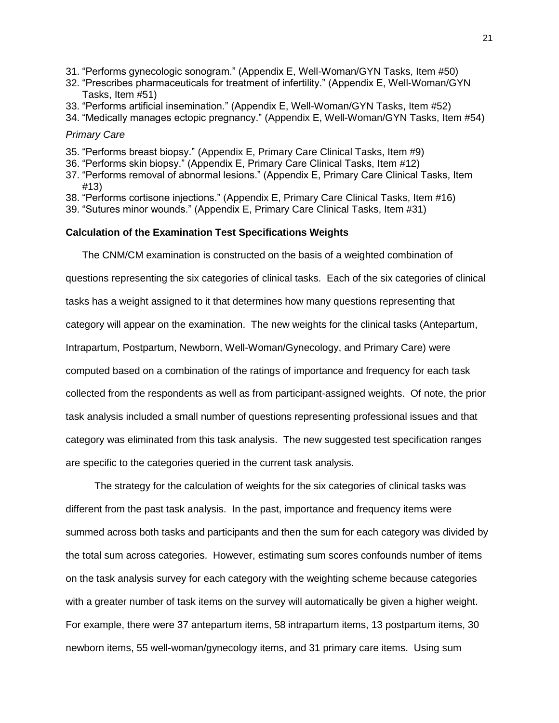- 31. "Performs gynecologic sonogram." (Appendix E, Well-Woman/GYN Tasks, Item #50)
- 32. "Prescribes pharmaceuticals for treatment of infertility." (Appendix E, Well-Woman/GYN Tasks, Item #51)
- 33. "Performs artificial insemination." (Appendix E, Well-Woman/GYN Tasks, Item #52)
- 34. "Medically manages ectopic pregnancy." (Appendix E, Well-Woman/GYN Tasks, Item #54)

## *Primary Care*

- 35. "Performs breast biopsy." (Appendix E, Primary Care Clinical Tasks, Item #9)
- 36. "Performs skin biopsy." (Appendix E, Primary Care Clinical Tasks, Item #12)
- 37. "Performs removal of abnormal lesions." (Appendix E, Primary Care Clinical Tasks, Item #13)
- 38. "Performs cortisone injections." (Appendix E, Primary Care Clinical Tasks, Item #16)
- 39. "Sutures minor wounds." (Appendix E, Primary Care Clinical Tasks, Item #31)

## **Calculation of the Examination Test Specifications Weights**

The CNM/CM examination is constructed on the basis of a weighted combination of questions representing the six categories of clinical tasks. Each of the six categories of clinical tasks has a weight assigned to it that determines how many questions representing that category will appear on the examination. The new weights for the clinical tasks (Antepartum, Intrapartum, Postpartum, Newborn, Well-Woman/Gynecology, and Primary Care) were computed based on a combination of the ratings of importance and frequency for each task collected from the respondents as well as from participant-assigned weights. Of note, the prior task analysis included a small number of questions representing professional issues and that category was eliminated from this task analysis. The new suggested test specification ranges are specific to the categories queried in the current task analysis.

The strategy for the calculation of weights for the six categories of clinical tasks was different from the past task analysis. In the past, importance and frequency items were summed across both tasks and participants and then the sum for each category was divided by the total sum across categories. However, estimating sum scores confounds number of items on the task analysis survey for each category with the weighting scheme because categories with a greater number of task items on the survey will automatically be given a higher weight. For example, there were 37 antepartum items, 58 intrapartum items, 13 postpartum items, 30 newborn items, 55 well-woman/gynecology items, and 31 primary care items. Using sum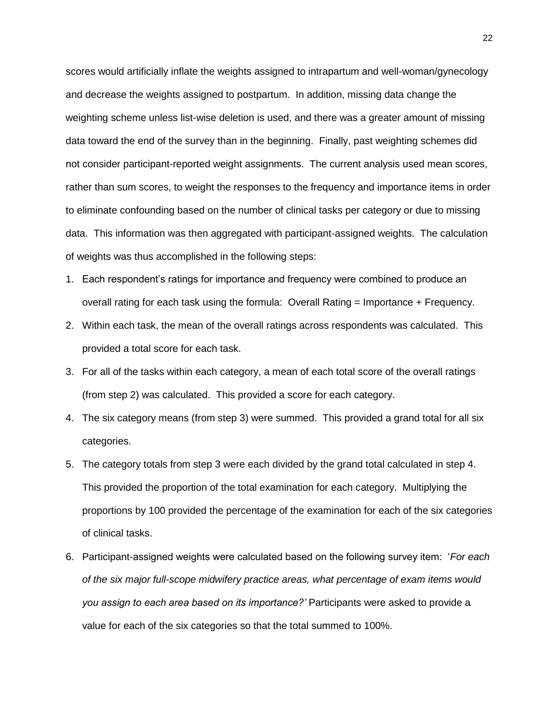scores would artificially inflate the weights assigned to intrapartum and well-woman/gynecology and decrease the weights assigned to postpartum. In addition, missing data change the weighting scheme unless list-wise deletion is used, and there was a greater amount of missing data toward the end of the survey than in the beginning. Finally, past weighting schemes did not consider participant-reported weight assignments. The current analysis used mean scores, rather than sum scores, to weight the responses to the frequency and importance items in order to eliminate confounding based on the number of clinical tasks per category or due to missing data. This information was then aggregated with participant-assigned weights. The calculation of weights was thus accomplished in the following steps:

- 1. Each respondent"s ratings for importance and frequency were combined to produce an overall rating for each task using the formula: Overall Rating = Importance + Frequency.
- 2. Within each task, the mean of the overall ratings across respondents was calculated. This provided a total score for each task.
- 3. For all of the tasks within each category, a mean of each total score of the overall ratings (from step 2) was calculated. This provided a score for each category.
- 4. The six category means (from step 3) were summed. This provided a grand total for all six categories.
- 5. The category totals from step 3 were each divided by the grand total calculated in step 4. This provided the proportion of the total examination for each category. Multiplying the proportions by 100 provided the percentage of the examination for each of the six categories of clinical tasks.
- 6. Participant-assigned weights were calculated based on the following survey item: "*For each of the six major full-scope midwifery practice areas, what percentage of exam items would you assign to each area based on its importance?'* Participants were asked to provide a value for each of the six categories so that the total summed to 100%.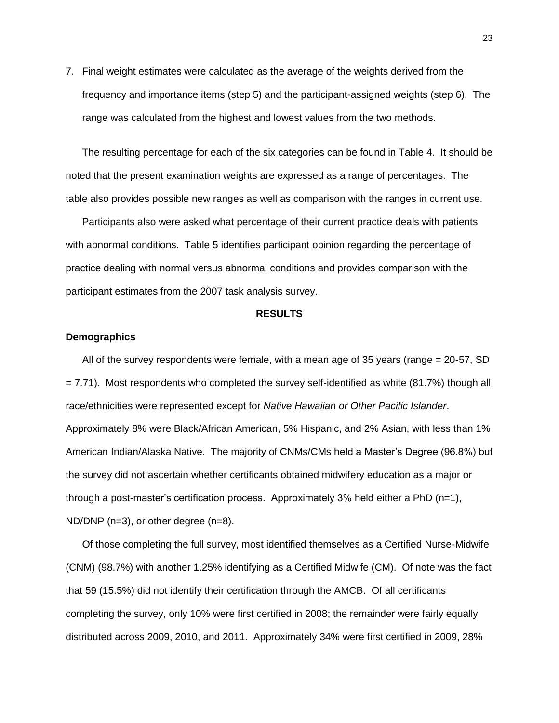7. Final weight estimates were calculated as the average of the weights derived from the frequency and importance items (step 5) and the participant-assigned weights (step 6). The range was calculated from the highest and lowest values from the two methods.

The resulting percentage for each of the six categories can be found in Table 4. It should be noted that the present examination weights are expressed as a range of percentages. The table also provides possible new ranges as well as comparison with the ranges in current use.

Participants also were asked what percentage of their current practice deals with patients with abnormal conditions. Table 5 identifies participant opinion regarding the percentage of practice dealing with normal versus abnormal conditions and provides comparison with the participant estimates from the 2007 task analysis survey.

#### **RESULTS**

## **Demographics**

All of the survey respondents were female, with a mean age of 35 years (range = 20-57, SD  $= 7.71$ ). Most respondents who completed the survey self-identified as white (81.7%) though all race/ethnicities were represented except for *Native Hawaiian or Other Pacific Islander*. Approximately 8% were Black/African American, 5% Hispanic, and 2% Asian, with less than 1% American Indian/Alaska Native. The majority of CNMs/CMs held a Master"s Degree (96.8%) but the survey did not ascertain whether certificants obtained midwifery education as a major or through a post-master's certification process. Approximately 3% held either a PhD  $(n=1)$ , ND/DNP (n=3), or other degree (n=8).

Of those completing the full survey, most identified themselves as a Certified Nurse-Midwife (CNM) (98.7%) with another 1.25% identifying as a Certified Midwife (CM). Of note was the fact that 59 (15.5%) did not identify their certification through the AMCB. Of all certificants completing the survey, only 10% were first certified in 2008; the remainder were fairly equally distributed across 2009, 2010, and 2011. Approximately 34% were first certified in 2009, 28%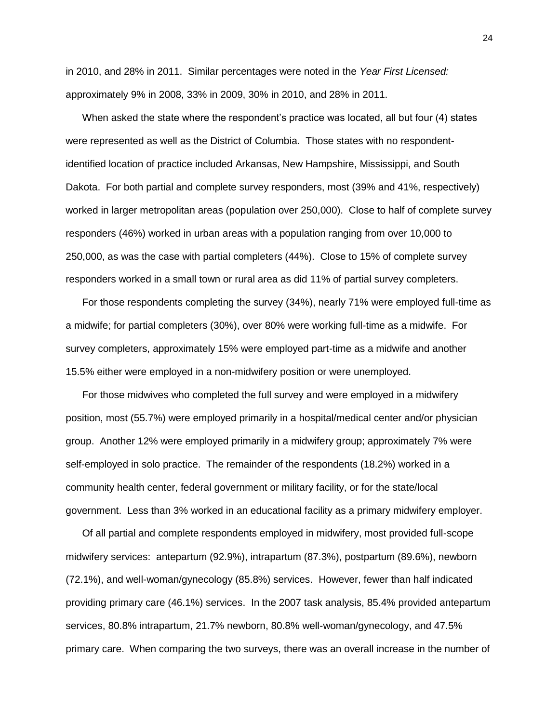in 2010, and 28% in 2011. Similar percentages were noted in the *Year First Licensed:*  approximately 9% in 2008, 33% in 2009, 30% in 2010, and 28% in 2011.

When asked the state where the respondent"s practice was located, all but four (4) states were represented as well as the District of Columbia. Those states with no respondentidentified location of practice included Arkansas, New Hampshire, Mississippi, and South Dakota. For both partial and complete survey responders, most (39% and 41%, respectively) worked in larger metropolitan areas (population over 250,000). Close to half of complete survey responders (46%) worked in urban areas with a population ranging from over 10,000 to 250,000, as was the case with partial completers (44%). Close to 15% of complete survey responders worked in a small town or rural area as did 11% of partial survey completers.

For those respondents completing the survey (34%), nearly 71% were employed full-time as a midwife; for partial completers (30%), over 80% were working full-time as a midwife. For survey completers, approximately 15% were employed part-time as a midwife and another 15.5% either were employed in a non-midwifery position or were unemployed.

For those midwives who completed the full survey and were employed in a midwifery position, most (55.7%) were employed primarily in a hospital/medical center and/or physician group. Another 12% were employed primarily in a midwifery group; approximately 7% were self-employed in solo practice. The remainder of the respondents (18.2%) worked in a community health center, federal government or military facility, or for the state/local government. Less than 3% worked in an educational facility as a primary midwifery employer.

Of all partial and complete respondents employed in midwifery, most provided full-scope midwifery services: antepartum (92.9%), intrapartum (87.3%), postpartum (89.6%), newborn (72.1%), and well-woman/gynecology (85.8%) services. However, fewer than half indicated providing primary care (46.1%) services. In the 2007 task analysis, 85.4% provided antepartum services, 80.8% intrapartum, 21.7% newborn, 80.8% well-woman/gynecology, and 47.5% primary care. When comparing the two surveys, there was an overall increase in the number of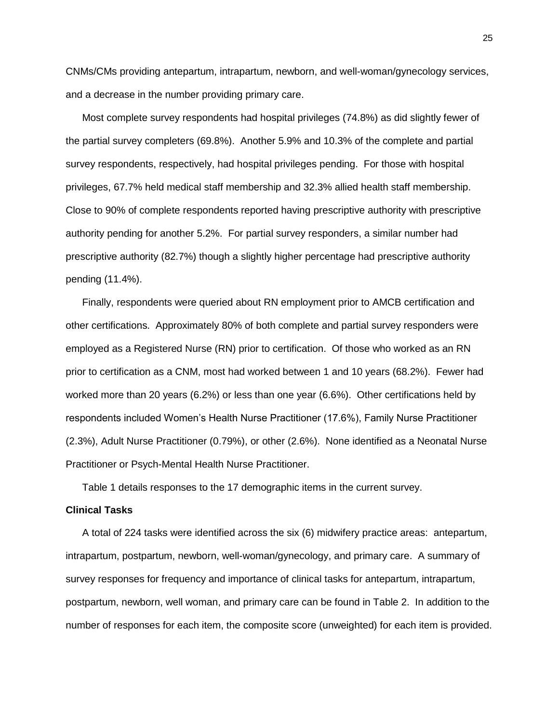CNMs/CMs providing antepartum, intrapartum, newborn, and well-woman/gynecology services, and a decrease in the number providing primary care.

Most complete survey respondents had hospital privileges (74.8%) as did slightly fewer of the partial survey completers (69.8%). Another 5.9% and 10.3% of the complete and partial survey respondents, respectively, had hospital privileges pending. For those with hospital privileges, 67.7% held medical staff membership and 32.3% allied health staff membership. Close to 90% of complete respondents reported having prescriptive authority with prescriptive authority pending for another 5.2%. For partial survey responders, a similar number had prescriptive authority (82.7%) though a slightly higher percentage had prescriptive authority pending (11.4%).

Finally, respondents were queried about RN employment prior to AMCB certification and other certifications. Approximately 80% of both complete and partial survey responders were employed as a Registered Nurse (RN) prior to certification. Of those who worked as an RN prior to certification as a CNM, most had worked between 1 and 10 years (68.2%). Fewer had worked more than 20 years (6.2%) or less than one year (6.6%). Other certifications held by respondents included Women"s Health Nurse Practitioner (17.6%), Family Nurse Practitioner (2.3%), Adult Nurse Practitioner (0.79%), or other (2.6%). None identified as a Neonatal Nurse Practitioner or Psych-Mental Health Nurse Practitioner.

Table 1 details responses to the 17 demographic items in the current survey.

## **Clinical Tasks**

A total of 224 tasks were identified across the six (6) midwifery practice areas: antepartum, intrapartum, postpartum, newborn, well-woman/gynecology, and primary care. A summary of survey responses for frequency and importance of clinical tasks for antepartum, intrapartum, postpartum, newborn, well woman, and primary care can be found in Table 2. In addition to the number of responses for each item, the composite score (unweighted) for each item is provided.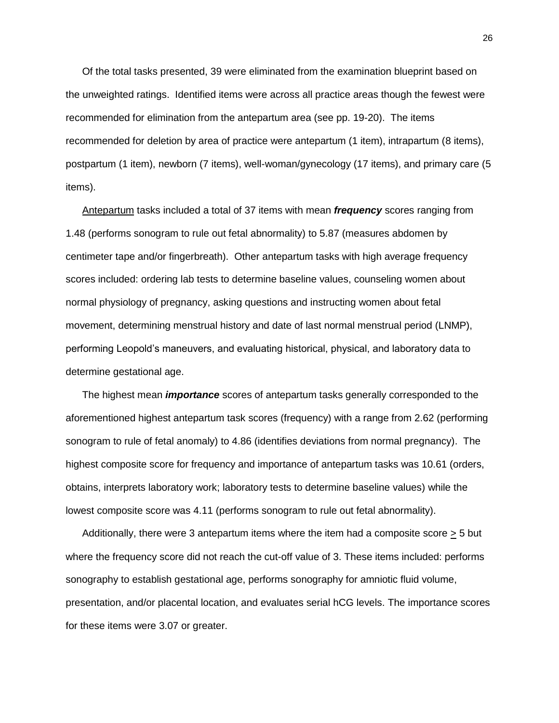Of the total tasks presented, 39 were eliminated from the examination blueprint based on the unweighted ratings. Identified items were across all practice areas though the fewest were recommended for elimination from the antepartum area (see pp. 19-20). The items recommended for deletion by area of practice were antepartum (1 item), intrapartum (8 items), postpartum (1 item), newborn (7 items), well-woman/gynecology (17 items), and primary care (5 items).

Antepartum tasks included a total of 37 items with mean *frequency* scores ranging from 1.48 (performs sonogram to rule out fetal abnormality) to 5.87 (measures abdomen by centimeter tape and/or fingerbreath). Other antepartum tasks with high average frequency scores included: ordering lab tests to determine baseline values, counseling women about normal physiology of pregnancy, asking questions and instructing women about fetal movement, determining menstrual history and date of last normal menstrual period (LNMP), performing Leopold"s maneuvers, and evaluating historical, physical, and laboratory data to determine gestational age.

The highest mean *importance* scores of antepartum tasks generally corresponded to the aforementioned highest antepartum task scores (frequency) with a range from 2.62 (performing sonogram to rule of fetal anomaly) to 4.86 (identifies deviations from normal pregnancy). The highest composite score for frequency and importance of antepartum tasks was 10.61 (orders, obtains, interprets laboratory work; laboratory tests to determine baseline values) while the lowest composite score was 4.11 (performs sonogram to rule out fetal abnormality).

Additionally, there were 3 antepartum items where the item had a composite score  $\geq 5$  but where the frequency score did not reach the cut-off value of 3. These items included: performs sonography to establish gestational age, performs sonography for amniotic fluid volume, presentation, and/or placental location, and evaluates serial hCG levels. The importance scores for these items were 3.07 or greater.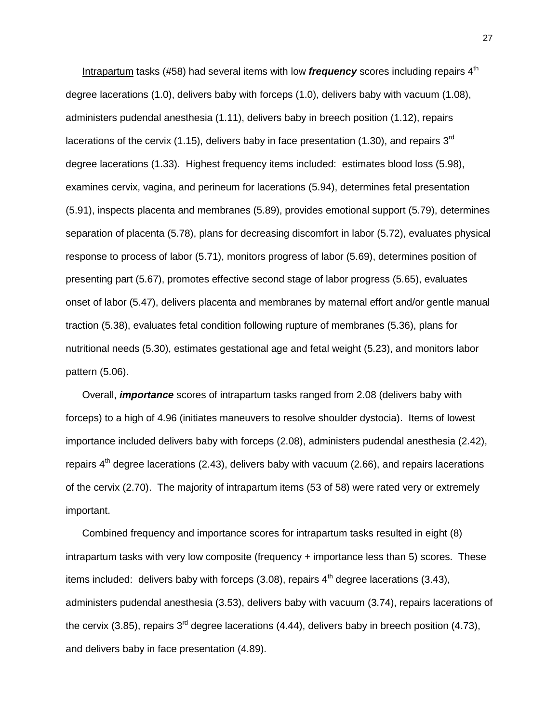Intrapartum tasks (#58) had several items with low *frequency* scores including repairs 4<sup>th</sup> degree lacerations (1.0), delivers baby with forceps (1.0), delivers baby with vacuum (1.08), administers pudendal anesthesia (1.11), delivers baby in breech position (1.12), repairs lacerations of the cervix (1.15), delivers baby in face presentation (1.30), and repairs 3<sup>rd</sup> degree lacerations (1.33). Highest frequency items included: estimates blood loss (5.98), examines cervix, vagina, and perineum for lacerations (5.94), determines fetal presentation (5.91), inspects placenta and membranes (5.89), provides emotional support (5.79), determines separation of placenta (5.78), plans for decreasing discomfort in labor (5.72), evaluates physical response to process of labor (5.71), monitors progress of labor (5.69), determines position of presenting part (5.67), promotes effective second stage of labor progress (5.65), evaluates onset of labor (5.47), delivers placenta and membranes by maternal effort and/or gentle manual traction (5.38), evaluates fetal condition following rupture of membranes (5.36), plans for nutritional needs (5.30), estimates gestational age and fetal weight (5.23), and monitors labor pattern (5.06).

Overall, *importance* scores of intrapartum tasks ranged from 2.08 (delivers baby with forceps) to a high of 4.96 (initiates maneuvers to resolve shoulder dystocia). Items of lowest importance included delivers baby with forceps (2.08), administers pudendal anesthesia (2.42), repairs  $4<sup>th</sup>$  degree lacerations (2.43), delivers baby with vacuum (2.66), and repairs lacerations of the cervix (2.70). The majority of intrapartum items (53 of 58) were rated very or extremely important.

Combined frequency and importance scores for intrapartum tasks resulted in eight (8) intrapartum tasks with very low composite (frequency + importance less than 5) scores. These items included: delivers baby with forceps  $(3.08)$ , repairs  $4<sup>th</sup>$  degree lacerations  $(3.43)$ . administers pudendal anesthesia (3.53), delivers baby with vacuum (3.74), repairs lacerations of the cervix (3.85), repairs  $3<sup>rd</sup>$  degree lacerations (4.44), delivers baby in breech position (4.73), and delivers baby in face presentation (4.89).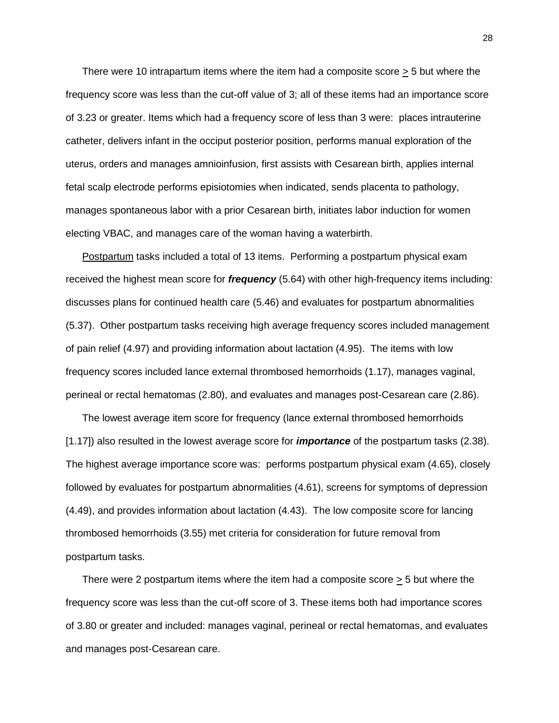There were 10 intrapartum items where the item had a composite score > 5 but where the frequency score was less than the cut-off value of 3; all of these items had an importance score of 3.23 or greater. Items which had a frequency score of less than 3 were: places intrauterine catheter, delivers infant in the occiput posterior position, performs manual exploration of the uterus, orders and manages amnioinfusion, first assists with Cesarean birth, applies internal fetal scalp electrode performs episiotomies when indicated, sends placenta to pathology, manages spontaneous labor with a prior Cesarean birth, initiates labor induction for women electing VBAC, and manages care of the woman having a waterbirth.

Postpartum tasks included a total of 13 items. Performing a postpartum physical exam received the highest mean score for *frequency* (5.64) with other high-frequency items including: discusses plans for continued health care (5.46) and evaluates for postpartum abnormalities (5.37). Other postpartum tasks receiving high average frequency scores included management of pain relief (4.97) and providing information about lactation (4.95). The items with low frequency scores included lance external thrombosed hemorrhoids (1.17), manages vaginal, perineal or rectal hematomas (2.80), and evaluates and manages post-Cesarean care (2.86).

The lowest average item score for frequency (lance external thrombosed hemorrhoids [1.17]) also resulted in the lowest average score for *importance* of the postpartum tasks (2.38). The highest average importance score was: performs postpartum physical exam (4.65), closely followed by evaluates for postpartum abnormalities (4.61), screens for symptoms of depression (4.49), and provides information about lactation (4.43). The low composite score for lancing thrombosed hemorrhoids (3.55) met criteria for consideration for future removal from postpartum tasks.

There were 2 postpartum items where the item had a composite score  $\geq 5$  but where the frequency score was less than the cut-off score of 3. These items both had importance scores of 3.80 or greater and included: manages vaginal, perineal or rectal hematomas, and evaluates and manages post-Cesarean care.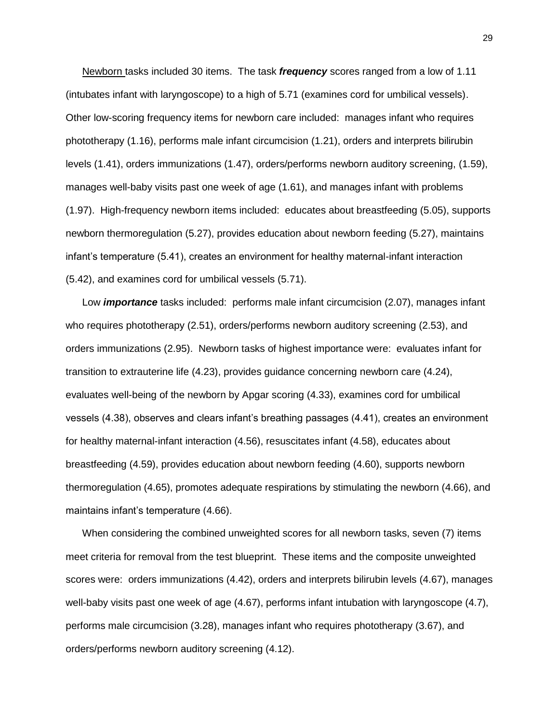Newborn tasks included 30 items. The task *frequency* scores ranged from a low of 1.11 (intubates infant with laryngoscope) to a high of 5.71 (examines cord for umbilical vessels). Other low-scoring frequency items for newborn care included: manages infant who requires phototherapy (1.16), performs male infant circumcision (1.21), orders and interprets bilirubin levels (1.41), orders immunizations (1.47), orders/performs newborn auditory screening, (1.59), manages well-baby visits past one week of age (1.61), and manages infant with problems (1.97). High-frequency newborn items included: educates about breastfeeding (5.05), supports newborn thermoregulation (5.27), provides education about newborn feeding (5.27), maintains infant"s temperature (5.41), creates an environment for healthy maternal-infant interaction (5.42), and examines cord for umbilical vessels (5.71).

Low *importance* tasks included: performs male infant circumcision (2.07), manages infant who requires phototherapy (2.51), orders/performs newborn auditory screening (2.53), and orders immunizations (2.95). Newborn tasks of highest importance were: evaluates infant for transition to extrauterine life (4.23), provides guidance concerning newborn care (4.24), evaluates well-being of the newborn by Apgar scoring (4.33), examines cord for umbilical vessels (4.38), observes and clears infant"s breathing passages (4.41), creates an environment for healthy maternal-infant interaction (4.56), resuscitates infant (4.58), educates about breastfeeding (4.59), provides education about newborn feeding (4.60), supports newborn thermoregulation (4.65), promotes adequate respirations by stimulating the newborn (4.66), and maintains infant's temperature (4.66).

When considering the combined unweighted scores for all newborn tasks, seven (7) items meet criteria for removal from the test blueprint. These items and the composite unweighted scores were: orders immunizations (4.42), orders and interprets bilirubin levels (4.67), manages well-baby visits past one week of age (4.67), performs infant intubation with laryngoscope (4.7), performs male circumcision (3.28), manages infant who requires phototherapy (3.67), and orders/performs newborn auditory screening (4.12).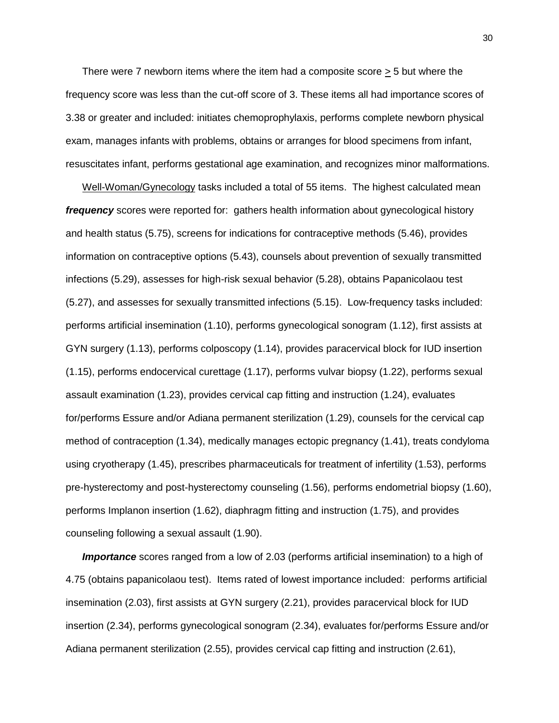There were 7 newborn items where the item had a composite score  $>$  5 but where the frequency score was less than the cut-off score of 3. These items all had importance scores of 3.38 or greater and included: initiates chemoprophylaxis, performs complete newborn physical exam, manages infants with problems, obtains or arranges for blood specimens from infant, resuscitates infant, performs gestational age examination, and recognizes minor malformations.

Well-Woman/Gynecology tasks included a total of 55 items. The highest calculated mean *frequency* scores were reported for: gathers health information about gynecological history and health status (5.75), screens for indications for contraceptive methods (5.46), provides information on contraceptive options (5.43), counsels about prevention of sexually transmitted infections (5.29), assesses for high-risk sexual behavior (5.28), obtains Papanicolaou test (5.27), and assesses for sexually transmitted infections (5.15). Low-frequency tasks included: performs artificial insemination (1.10), performs gynecological sonogram (1.12), first assists at GYN surgery (1.13), performs colposcopy (1.14), provides paracervical block for IUD insertion (1.15), performs endocervical curettage (1.17), performs vulvar biopsy (1.22), performs sexual assault examination (1.23), provides cervical cap fitting and instruction (1.24), evaluates for/performs Essure and/or Adiana permanent sterilization (1.29), counsels for the cervical cap method of contraception (1.34), medically manages ectopic pregnancy (1.41), treats condyloma using cryotherapy (1.45), prescribes pharmaceuticals for treatment of infertility (1.53), performs pre-hysterectomy and post-hysterectomy counseling (1.56), performs endometrial biopsy (1.60), performs Implanon insertion (1.62), diaphragm fitting and instruction (1.75), and provides counseling following a sexual assault (1.90).

*Importance* scores ranged from a low of 2.03 (performs artificial insemination) to a high of 4.75 (obtains papanicolaou test). Items rated of lowest importance included: performs artificial insemination (2.03), first assists at GYN surgery (2.21), provides paracervical block for IUD insertion (2.34), performs gynecological sonogram (2.34), evaluates for/performs Essure and/or Adiana permanent sterilization (2.55), provides cervical cap fitting and instruction (2.61),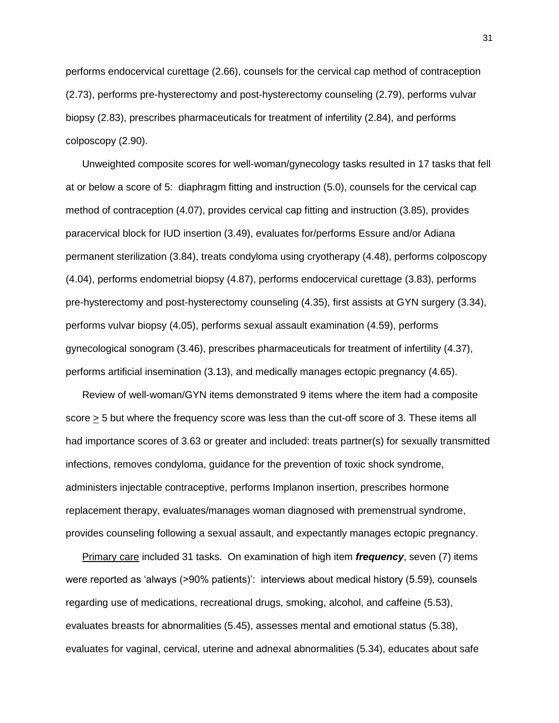performs endocervical curettage (2.66), counsels for the cervical cap method of contraception (2.73), performs pre-hysterectomy and post-hysterectomy counseling (2.79), performs vulvar biopsy (2.83), prescribes pharmaceuticals for treatment of infertility (2.84), and performs colposcopy (2.90).

Unweighted composite scores for well-woman/gynecology tasks resulted in 17 tasks that fell at or below a score of 5: diaphragm fitting and instruction (5.0), counsels for the cervical cap method of contraception (4.07), provides cervical cap fitting and instruction (3.85), provides paracervical block for IUD insertion (3.49), evaluates for/performs Essure and/or Adiana permanent sterilization (3.84), treats condyloma using cryotherapy (4.48), performs colposcopy (4.04), performs endometrial biopsy (4.87), performs endocervical curettage (3.83), performs pre-hysterectomy and post-hysterectomy counseling (4.35), first assists at GYN surgery (3.34), performs vulvar biopsy (4.05), performs sexual assault examination (4.59), performs gynecological sonogram (3.46), prescribes pharmaceuticals for treatment of infertility (4.37), performs artificial insemination (3.13), and medically manages ectopic pregnancy (4.65).

Review of well-woman/GYN items demonstrated 9 items where the item had a composite score > 5 but where the frequency score was less than the cut-off score of 3. These items all had importance scores of 3.63 or greater and included: treats partner(s) for sexually transmitted infections, removes condyloma, guidance for the prevention of toxic shock syndrome, administers injectable contraceptive, performs Implanon insertion, prescribes hormone replacement therapy, evaluates/manages woman diagnosed with premenstrual syndrome, provides counseling following a sexual assault, and expectantly manages ectopic pregnancy.

Primary care included 31 tasks. On examination of high item *frequency*, seven (7) items were reported as "always (>90% patients)": interviews about medical history (5.59), counsels regarding use of medications, recreational drugs, smoking, alcohol, and caffeine (5.53), evaluates breasts for abnormalities (5.45), assesses mental and emotional status (5.38), evaluates for vaginal, cervical, uterine and adnexal abnormalities (5.34), educates about safe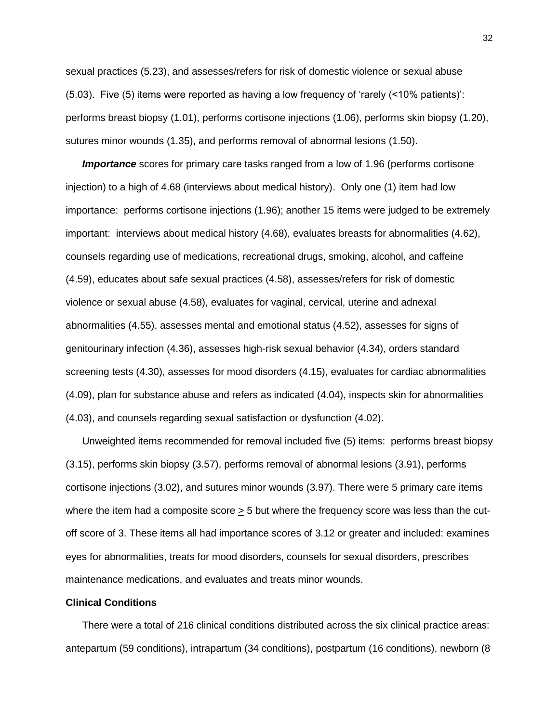sexual practices (5.23), and assesses/refers for risk of domestic violence or sexual abuse (5.03). Five (5) items were reported as having a low frequency of "rarely (<10% patients)": performs breast biopsy (1.01), performs cortisone injections (1.06), performs skin biopsy (1.20), sutures minor wounds (1.35), and performs removal of abnormal lesions (1.50).

*Importance* scores for primary care tasks ranged from a low of 1.96 (performs cortisone injection) to a high of 4.68 (interviews about medical history). Only one (1) item had low importance: performs cortisone injections (1.96); another 15 items were judged to be extremely important: interviews about medical history (4.68), evaluates breasts for abnormalities (4.62), counsels regarding use of medications, recreational drugs, smoking, alcohol, and caffeine (4.59), educates about safe sexual practices (4.58), assesses/refers for risk of domestic violence or sexual abuse (4.58), evaluates for vaginal, cervical, uterine and adnexal abnormalities (4.55), assesses mental and emotional status (4.52), assesses for signs of genitourinary infection (4.36), assesses high-risk sexual behavior (4.34), orders standard screening tests (4.30), assesses for mood disorders (4.15), evaluates for cardiac abnormalities (4.09), plan for substance abuse and refers as indicated (4.04), inspects skin for abnormalities (4.03), and counsels regarding sexual satisfaction or dysfunction (4.02).

Unweighted items recommended for removal included five (5) items: performs breast biopsy (3.15), performs skin biopsy (3.57), performs removal of abnormal lesions (3.91), performs cortisone injections (3.02), and sutures minor wounds (3.97). There were 5 primary care items where the item had a composite score  $\geq$  5 but where the frequency score was less than the cutoff score of 3. These items all had importance scores of 3.12 or greater and included: examines eyes for abnormalities, treats for mood disorders, counsels for sexual disorders, prescribes maintenance medications, and evaluates and treats minor wounds.

## **Clinical Conditions**

There were a total of 216 clinical conditions distributed across the six clinical practice areas: antepartum (59 conditions), intrapartum (34 conditions), postpartum (16 conditions), newborn (8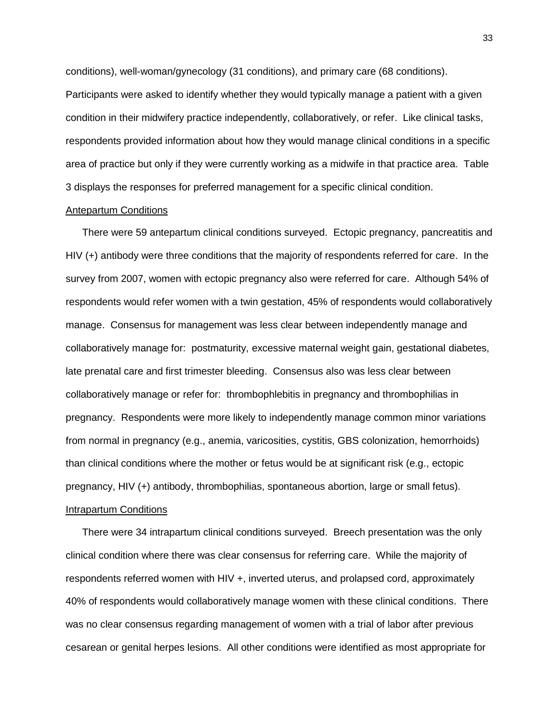conditions), well-woman/gynecology (31 conditions), and primary care (68 conditions). Participants were asked to identify whether they would typically manage a patient with a given condition in their midwifery practice independently, collaboratively, or refer. Like clinical tasks, respondents provided information about how they would manage clinical conditions in a specific area of practice but only if they were currently working as a midwife in that practice area. Table 3 displays the responses for preferred management for a specific clinical condition.

## Antepartum Conditions

There were 59 antepartum clinical conditions surveyed. Ectopic pregnancy, pancreatitis and HIV (+) antibody were three conditions that the majority of respondents referred for care. In the survey from 2007, women with ectopic pregnancy also were referred for care. Although 54% of respondents would refer women with a twin gestation, 45% of respondents would collaboratively manage. Consensus for management was less clear between independently manage and collaboratively manage for: postmaturity, excessive maternal weight gain, gestational diabetes, late prenatal care and first trimester bleeding. Consensus also was less clear between collaboratively manage or refer for: thrombophlebitis in pregnancy and thrombophilias in pregnancy. Respondents were more likely to independently manage common minor variations from normal in pregnancy (e.g., anemia, varicosities, cystitis, GBS colonization, hemorrhoids) than clinical conditions where the mother or fetus would be at significant risk (e.g., ectopic pregnancy, HIV (+) antibody, thrombophilias, spontaneous abortion, large or small fetus). Intrapartum Conditions

There were 34 intrapartum clinical conditions surveyed. Breech presentation was the only clinical condition where there was clear consensus for referring care. While the majority of respondents referred women with HIV +, inverted uterus, and prolapsed cord, approximately 40% of respondents would collaboratively manage women with these clinical conditions. There was no clear consensus regarding management of women with a trial of labor after previous cesarean or genital herpes lesions. All other conditions were identified as most appropriate for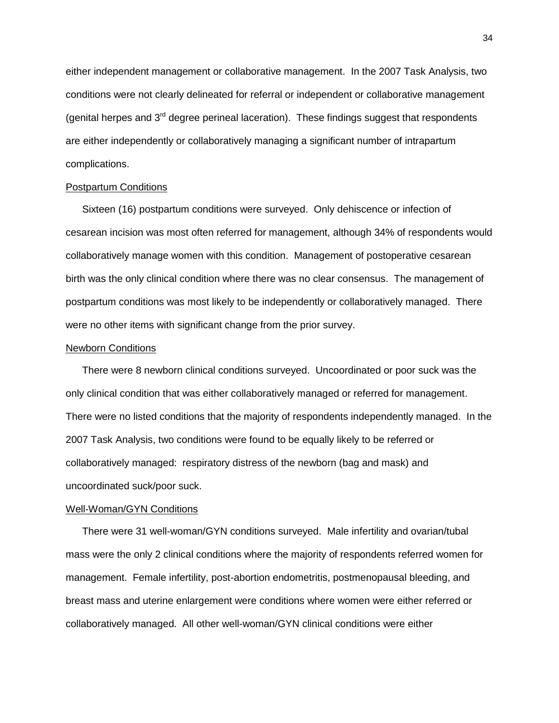either independent management or collaborative management. In the 2007 Task Analysis, two conditions were not clearly delineated for referral or independent or collaborative management (genital herpes and  $3<sup>rd</sup>$  degree perineal laceration). These findings suggest that respondents are either independently or collaboratively managing a significant number of intrapartum complications.

## Postpartum Conditions

Sixteen (16) postpartum conditions were surveyed. Only dehiscence or infection of cesarean incision was most often referred for management, although 34% of respondents would collaboratively manage women with this condition. Management of postoperative cesarean birth was the only clinical condition where there was no clear consensus. The management of postpartum conditions was most likely to be independently or collaboratively managed. There were no other items with significant change from the prior survey.

## Newborn Conditions

There were 8 newborn clinical conditions surveyed. Uncoordinated or poor suck was the only clinical condition that was either collaboratively managed or referred for management. There were no listed conditions that the majority of respondents independently managed. In the 2007 Task Analysis, two conditions were found to be equally likely to be referred or collaboratively managed: respiratory distress of the newborn (bag and mask) and uncoordinated suck/poor suck.

## Well-Woman/GYN Conditions

There were 31 well-woman/GYN conditions surveyed. Male infertility and ovarian/tubal mass were the only 2 clinical conditions where the majority of respondents referred women for management. Female infertility, post-abortion endometritis, postmenopausal bleeding, and breast mass and uterine enlargement were conditions where women were either referred or collaboratively managed. All other well-woman/GYN clinical conditions were either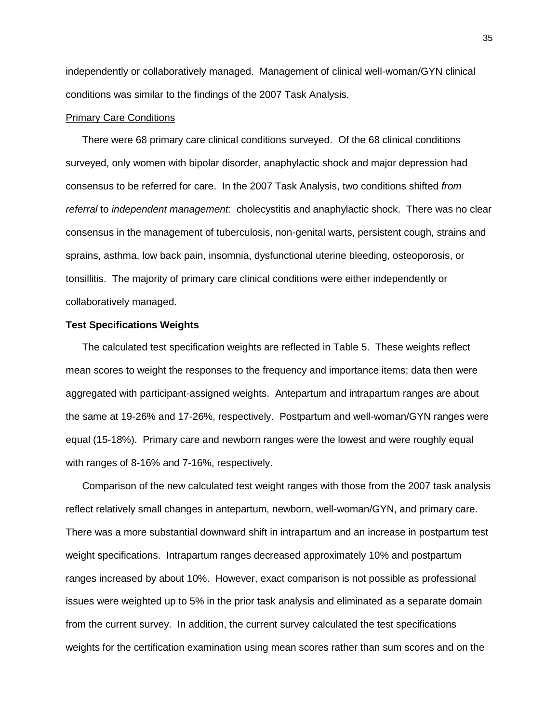independently or collaboratively managed. Management of clinical well-woman/GYN clinical conditions was similar to the findings of the 2007 Task Analysis.

#### Primary Care Conditions

There were 68 primary care clinical conditions surveyed. Of the 68 clinical conditions surveyed, only women with bipolar disorder, anaphylactic shock and major depression had consensus to be referred for care. In the 2007 Task Analysis, two conditions shifted *from referral* to *independent management*: cholecystitis and anaphylactic shock. There was no clear consensus in the management of tuberculosis, non-genital warts, persistent cough, strains and sprains, asthma, low back pain, insomnia, dysfunctional uterine bleeding, osteoporosis, or tonsillitis. The majority of primary care clinical conditions were either independently or collaboratively managed.

#### **Test Specifications Weights**

The calculated test specification weights are reflected in Table 5. These weights reflect mean scores to weight the responses to the frequency and importance items; data then were aggregated with participant-assigned weights. Antepartum and intrapartum ranges are about the same at 19-26% and 17-26%, respectively. Postpartum and well-woman/GYN ranges were equal (15-18%). Primary care and newborn ranges were the lowest and were roughly equal with ranges of 8-16% and 7-16%, respectively.

Comparison of the new calculated test weight ranges with those from the 2007 task analysis reflect relatively small changes in antepartum, newborn, well-woman/GYN, and primary care. There was a more substantial downward shift in intrapartum and an increase in postpartum test weight specifications. Intrapartum ranges decreased approximately 10% and postpartum ranges increased by about 10%. However, exact comparison is not possible as professional issues were weighted up to 5% in the prior task analysis and eliminated as a separate domain from the current survey. In addition, the current survey calculated the test specifications weights for the certification examination using mean scores rather than sum scores and on the

35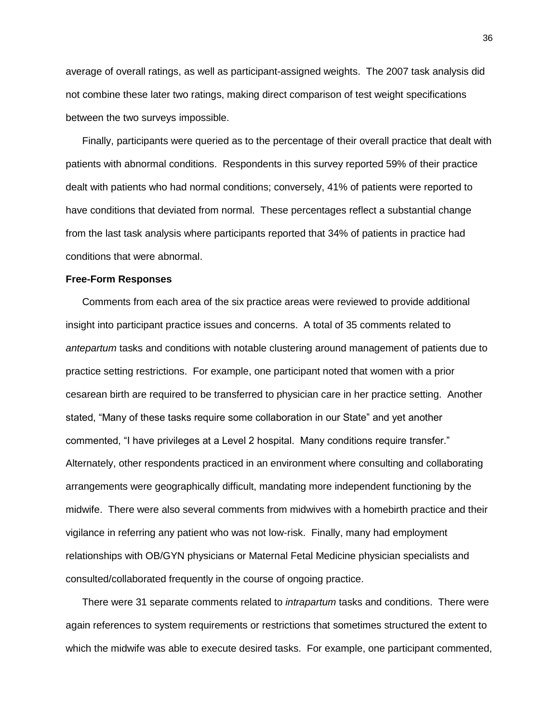average of overall ratings, as well as participant-assigned weights. The 2007 task analysis did not combine these later two ratings, making direct comparison of test weight specifications between the two surveys impossible.

Finally, participants were queried as to the percentage of their overall practice that dealt with patients with abnormal conditions. Respondents in this survey reported 59% of their practice dealt with patients who had normal conditions; conversely, 41% of patients were reported to have conditions that deviated from normal. These percentages reflect a substantial change from the last task analysis where participants reported that 34% of patients in practice had conditions that were abnormal.

#### **Free-Form Responses**

Comments from each area of the six practice areas were reviewed to provide additional insight into participant practice issues and concerns. A total of 35 comments related to *antepartum* tasks and conditions with notable clustering around management of patients due to practice setting restrictions. For example, one participant noted that women with a prior cesarean birth are required to be transferred to physician care in her practice setting. Another stated, "Many of these tasks require some collaboration in our State" and yet another commented, "I have privileges at a Level 2 hospital. Many conditions require transfer." Alternately, other respondents practiced in an environment where consulting and collaborating arrangements were geographically difficult, mandating more independent functioning by the midwife. There were also several comments from midwives with a homebirth practice and their vigilance in referring any patient who was not low-risk. Finally, many had employment relationships with OB/GYN physicians or Maternal Fetal Medicine physician specialists and consulted/collaborated frequently in the course of ongoing practice.

There were 31 separate comments related to *intrapartum* tasks and conditions. There were again references to system requirements or restrictions that sometimes structured the extent to which the midwife was able to execute desired tasks. For example, one participant commented,

36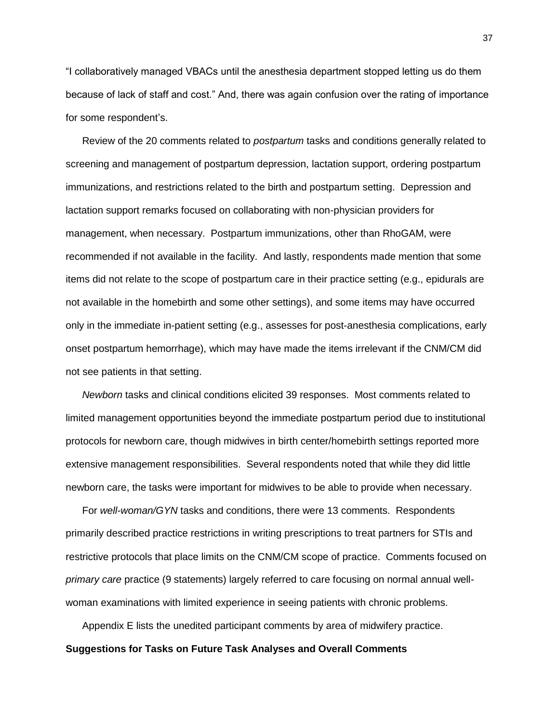"I collaboratively managed VBACs until the anesthesia department stopped letting us do them because of lack of staff and cost." And, there was again confusion over the rating of importance for some respondent"s.

Review of the 20 comments related to *postpartum* tasks and conditions generally related to screening and management of postpartum depression, lactation support, ordering postpartum immunizations, and restrictions related to the birth and postpartum setting. Depression and lactation support remarks focused on collaborating with non-physician providers for management, when necessary. Postpartum immunizations, other than RhoGAM, were recommended if not available in the facility. And lastly, respondents made mention that some items did not relate to the scope of postpartum care in their practice setting (e.g., epidurals are not available in the homebirth and some other settings), and some items may have occurred only in the immediate in-patient setting (e.g., assesses for post-anesthesia complications, early onset postpartum hemorrhage), which may have made the items irrelevant if the CNM/CM did not see patients in that setting.

*Newborn* tasks and clinical conditions elicited 39 responses. Most comments related to limited management opportunities beyond the immediate postpartum period due to institutional protocols for newborn care, though midwives in birth center/homebirth settings reported more extensive management responsibilities. Several respondents noted that while they did little newborn care, the tasks were important for midwives to be able to provide when necessary.

For *well-woman/GYN* tasks and conditions, there were 13 comments. Respondents primarily described practice restrictions in writing prescriptions to treat partners for STIs and restrictive protocols that place limits on the CNM/CM scope of practice. Comments focused on *primary care* practice (9 statements) largely referred to care focusing on normal annual wellwoman examinations with limited experience in seeing patients with chronic problems.

Appendix E lists the unedited participant comments by area of midwifery practice. **Suggestions for Tasks on Future Task Analyses and Overall Comments**

37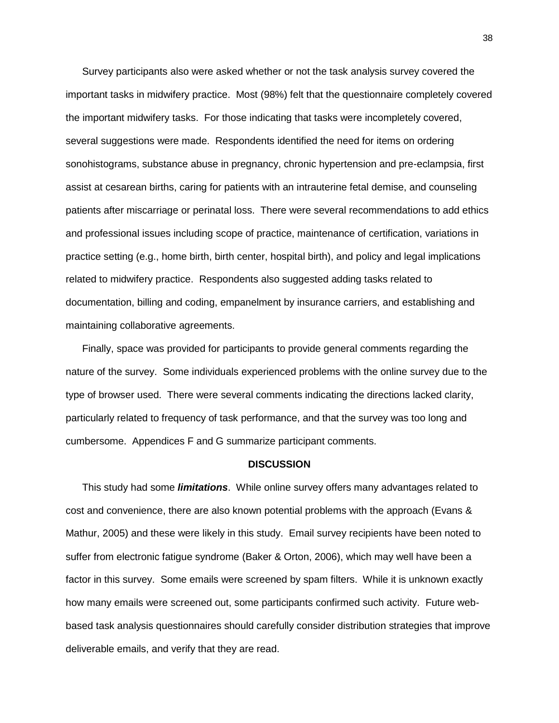Survey participants also were asked whether or not the task analysis survey covered the important tasks in midwifery practice. Most (98%) felt that the questionnaire completely covered the important midwifery tasks. For those indicating that tasks were incompletely covered, several suggestions were made. Respondents identified the need for items on ordering sonohistograms, substance abuse in pregnancy, chronic hypertension and pre-eclampsia, first assist at cesarean births, caring for patients with an intrauterine fetal demise, and counseling patients after miscarriage or perinatal loss. There were several recommendations to add ethics and professional issues including scope of practice, maintenance of certification, variations in practice setting (e.g., home birth, birth center, hospital birth), and policy and legal implications related to midwifery practice. Respondents also suggested adding tasks related to documentation, billing and coding, empanelment by insurance carriers, and establishing and maintaining collaborative agreements.

Finally, space was provided for participants to provide general comments regarding the nature of the survey. Some individuals experienced problems with the online survey due to the type of browser used. There were several comments indicating the directions lacked clarity, particularly related to frequency of task performance, and that the survey was too long and cumbersome. Appendices F and G summarize participant comments.

#### **DISCUSSION**

This study had some *limitations*. While online survey offers many advantages related to cost and convenience, there are also known potential problems with the approach (Evans & Mathur, 2005) and these were likely in this study. Email survey recipients have been noted to suffer from electronic fatigue syndrome (Baker & Orton, 2006), which may well have been a factor in this survey. Some emails were screened by spam filters. While it is unknown exactly how many emails were screened out, some participants confirmed such activity. Future webbased task analysis questionnaires should carefully consider distribution strategies that improve deliverable emails, and verify that they are read.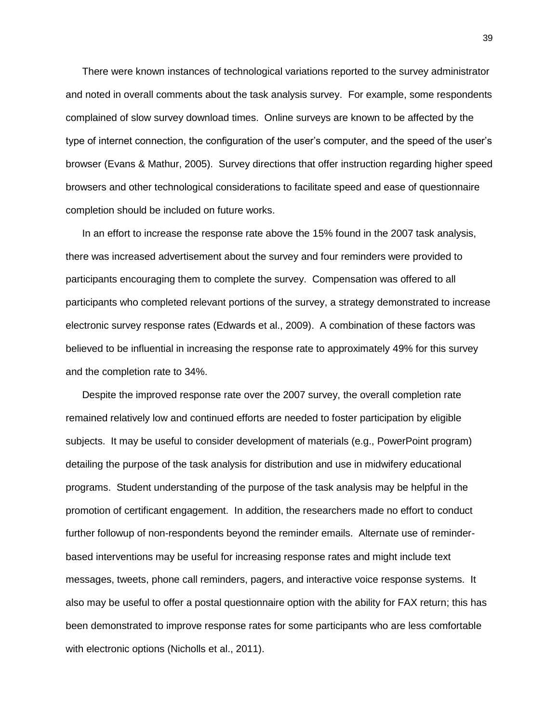There were known instances of technological variations reported to the survey administrator and noted in overall comments about the task analysis survey. For example, some respondents complained of slow survey download times. Online surveys are known to be affected by the type of internet connection, the configuration of the user"s computer, and the speed of the user"s browser (Evans & Mathur, 2005). Survey directions that offer instruction regarding higher speed browsers and other technological considerations to facilitate speed and ease of questionnaire completion should be included on future works.

In an effort to increase the response rate above the 15% found in the 2007 task analysis, there was increased advertisement about the survey and four reminders were provided to participants encouraging them to complete the survey. Compensation was offered to all participants who completed relevant portions of the survey, a strategy demonstrated to increase electronic survey response rates (Edwards et al., 2009). A combination of these factors was believed to be influential in increasing the response rate to approximately 49% for this survey and the completion rate to 34%.

Despite the improved response rate over the 2007 survey, the overall completion rate remained relatively low and continued efforts are needed to foster participation by eligible subjects. It may be useful to consider development of materials (e.g., PowerPoint program) detailing the purpose of the task analysis for distribution and use in midwifery educational programs. Student understanding of the purpose of the task analysis may be helpful in the promotion of certificant engagement. In addition, the researchers made no effort to conduct further followup of non-respondents beyond the reminder emails. Alternate use of reminderbased interventions may be useful for increasing response rates and might include text messages, tweets, phone call reminders, pagers, and interactive voice response systems. It also may be useful to offer a postal questionnaire option with the ability for FAX return; this has been demonstrated to improve response rates for some participants who are less comfortable with electronic options (Nicholls et al., 2011).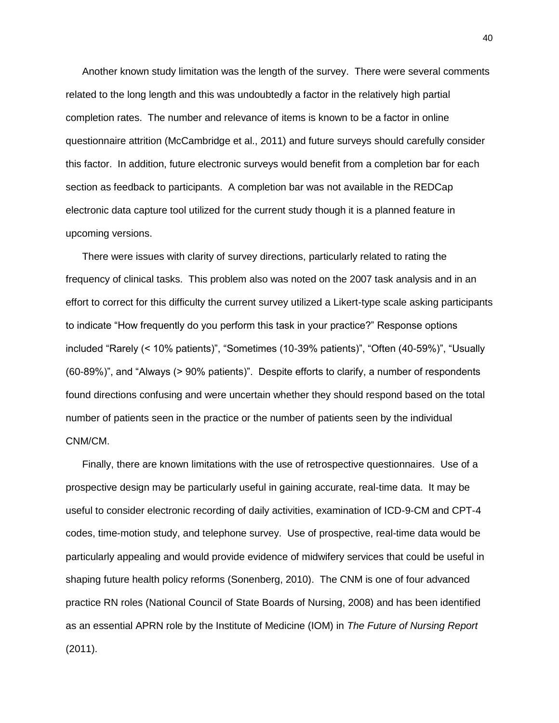Another known study limitation was the length of the survey. There were several comments related to the long length and this was undoubtedly a factor in the relatively high partial completion rates. The number and relevance of items is known to be a factor in online questionnaire attrition (McCambridge et al., 2011) and future surveys should carefully consider this factor. In addition, future electronic surveys would benefit from a completion bar for each section as feedback to participants. A completion bar was not available in the REDCap electronic data capture tool utilized for the current study though it is a planned feature in upcoming versions.

There were issues with clarity of survey directions, particularly related to rating the frequency of clinical tasks. This problem also was noted on the 2007 task analysis and in an effort to correct for this difficulty the current survey utilized a Likert-type scale asking participants to indicate "How frequently do you perform this task in your practice?" Response options included "Rarely (< 10% patients)", "Sometimes (10-39% patients)", "Often (40-59%)", "Usually (60-89%)", and "Always (> 90% patients)". Despite efforts to clarify, a number of respondents found directions confusing and were uncertain whether they should respond based on the total number of patients seen in the practice or the number of patients seen by the individual CNM/CM.

Finally, there are known limitations with the use of retrospective questionnaires. Use of a prospective design may be particularly useful in gaining accurate, real-time data. It may be useful to consider electronic recording of daily activities, examination of ICD-9-CM and CPT-4 codes, time-motion study, and telephone survey. Use of prospective, real-time data would be particularly appealing and would provide evidence of midwifery services that could be useful in shaping future health policy reforms (Sonenberg, 2010). The CNM is one of four advanced practice RN roles (National Council of State Boards of Nursing, 2008) and has been identified as an essential APRN role by the Institute of Medicine (IOM) in *The Future of Nursing Report* (2011).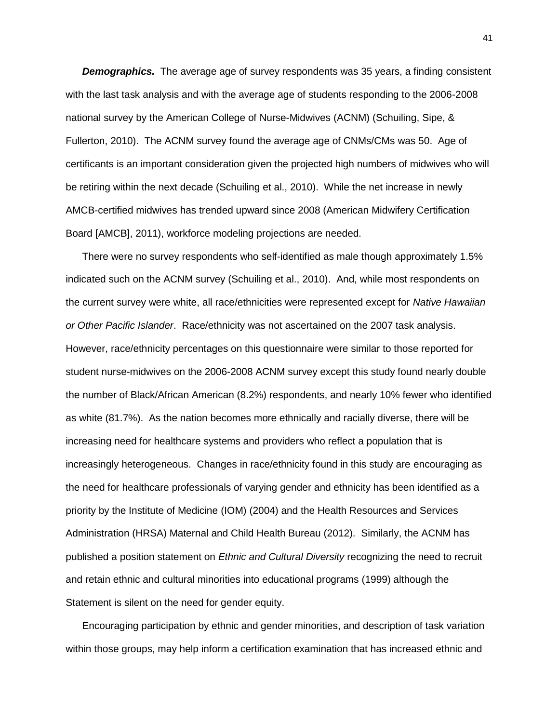**Demographics.** The average age of survey respondents was 35 years, a finding consistent with the last task analysis and with the average age of students responding to the 2006-2008 national survey by the American College of Nurse-Midwives (ACNM) (Schuiling, Sipe, & Fullerton, 2010). The ACNM survey found the average age of CNMs/CMs was 50. Age of certificants is an important consideration given the projected high numbers of midwives who will be retiring within the next decade (Schuiling et al., 2010). While the net increase in newly AMCB-certified midwives has trended upward since 2008 (American Midwifery Certification Board [AMCB], 2011), workforce modeling projections are needed.

There were no survey respondents who self-identified as male though approximately 1.5% indicated such on the ACNM survey (Schuiling et al., 2010). And, while most respondents on the current survey were white, all race/ethnicities were represented except for *Native Hawaiian or Other Pacific Islander*. Race/ethnicity was not ascertained on the 2007 task analysis. However, race/ethnicity percentages on this questionnaire were similar to those reported for student nurse-midwives on the 2006-2008 ACNM survey except this study found nearly double the number of Black/African American (8.2%) respondents, and nearly 10% fewer who identified as white (81.7%). As the nation becomes more ethnically and racially diverse, there will be increasing need for healthcare systems and providers who reflect a population that is increasingly heterogeneous. Changes in race/ethnicity found in this study are encouraging as the need for healthcare professionals of varying gender and ethnicity has been identified as a priority by the Institute of Medicine (IOM) (2004) and the Health Resources and Services Administration (HRSA) Maternal and Child Health Bureau (2012). Similarly, the ACNM has published a position statement on *Ethnic and Cultural Diversity* recognizing the need to recruit and retain ethnic and cultural minorities into educational programs (1999) although the Statement is silent on the need for gender equity.

Encouraging participation by ethnic and gender minorities, and description of task variation within those groups, may help inform a certification examination that has increased ethnic and

41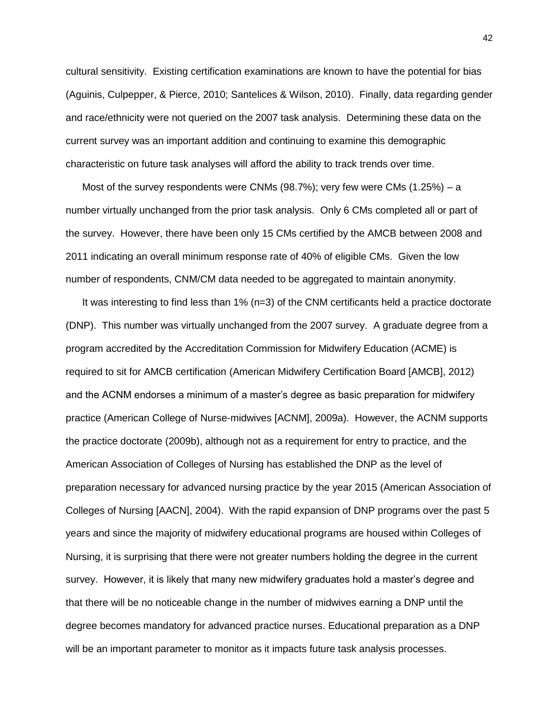cultural sensitivity. Existing certification examinations are known to have the potential for bias (Aguinis, Culpepper, & Pierce, 2010; Santelices & Wilson, 2010). Finally, data regarding gender and race/ethnicity were not queried on the 2007 task analysis. Determining these data on the current survey was an important addition and continuing to examine this demographic characteristic on future task analyses will afford the ability to track trends over time.

Most of the survey respondents were CNMs  $(98.7%)$ ; very few were CMs  $(1.25%) - a$ number virtually unchanged from the prior task analysis. Only 6 CMs completed all or part of the survey. However, there have been only 15 CMs certified by the AMCB between 2008 and 2011 indicating an overall minimum response rate of 40% of eligible CMs. Given the low number of respondents, CNM/CM data needed to be aggregated to maintain anonymity.

It was interesting to find less than 1% (n=3) of the CNM certificants held a practice doctorate (DNP). This number was virtually unchanged from the 2007 survey. A graduate degree from a program accredited by the Accreditation Commission for Midwifery Education (ACME) is required to sit for AMCB certification (American Midwifery Certification Board [AMCB], 2012) and the ACNM endorses a minimum of a master"s degree as basic preparation for midwifery practice (American College of Nurse-midwives [ACNM], 2009a). However, the ACNM supports the practice doctorate (2009b), although not as a requirement for entry to practice, and the American Association of Colleges of Nursing has established the DNP as the level of preparation necessary for advanced nursing practice by the year 2015 (American Association of Colleges of Nursing [AACN], 2004). With the rapid expansion of DNP programs over the past 5 years and since the majority of midwifery educational programs are housed within Colleges of Nursing, it is surprising that there were not greater numbers holding the degree in the current survey. However, it is likely that many new midwifery graduates hold a master"s degree and that there will be no noticeable change in the number of midwives earning a DNP until the degree becomes mandatory for advanced practice nurses. Educational preparation as a DNP will be an important parameter to monitor as it impacts future task analysis processes.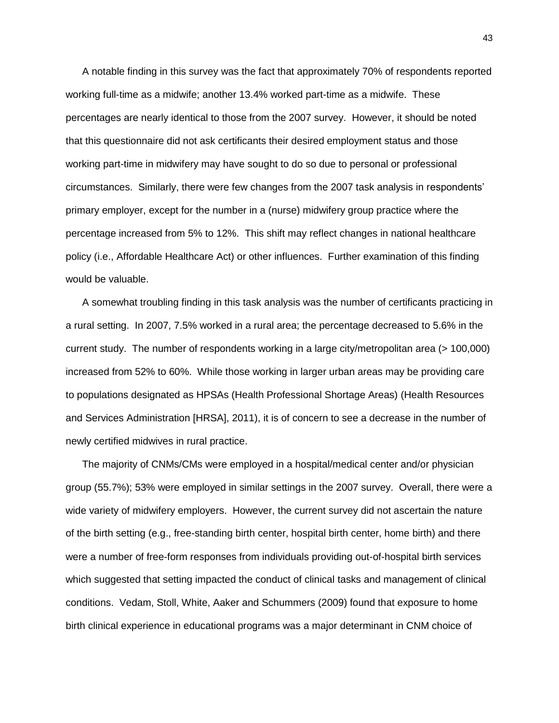A notable finding in this survey was the fact that approximately 70% of respondents reported working full-time as a midwife; another 13.4% worked part-time as a midwife. These percentages are nearly identical to those from the 2007 survey. However, it should be noted that this questionnaire did not ask certificants their desired employment status and those working part-time in midwifery may have sought to do so due to personal or professional circumstances. Similarly, there were few changes from the 2007 task analysis in respondents" primary employer, except for the number in a (nurse) midwifery group practice where the percentage increased from 5% to 12%. This shift may reflect changes in national healthcare policy (i.e., Affordable Healthcare Act) or other influences. Further examination of this finding would be valuable.

A somewhat troubling finding in this task analysis was the number of certificants practicing in a rural setting. In 2007, 7.5% worked in a rural area; the percentage decreased to 5.6% in the current study. The number of respondents working in a large city/metropolitan area (> 100,000) increased from 52% to 60%. While those working in larger urban areas may be providing care to populations designated as HPSAs (Health Professional Shortage Areas) (Health Resources and Services Administration [HRSA], 2011), it is of concern to see a decrease in the number of newly certified midwives in rural practice.

The majority of CNMs/CMs were employed in a hospital/medical center and/or physician group (55.7%); 53% were employed in similar settings in the 2007 survey. Overall, there were a wide variety of midwifery employers. However, the current survey did not ascertain the nature of the birth setting (e.g., free-standing birth center, hospital birth center, home birth) and there were a number of free-form responses from individuals providing out-of-hospital birth services which suggested that setting impacted the conduct of clinical tasks and management of clinical conditions. Vedam, Stoll, White, Aaker and Schummers (2009) found that exposure to home birth clinical experience in educational programs was a major determinant in CNM choice of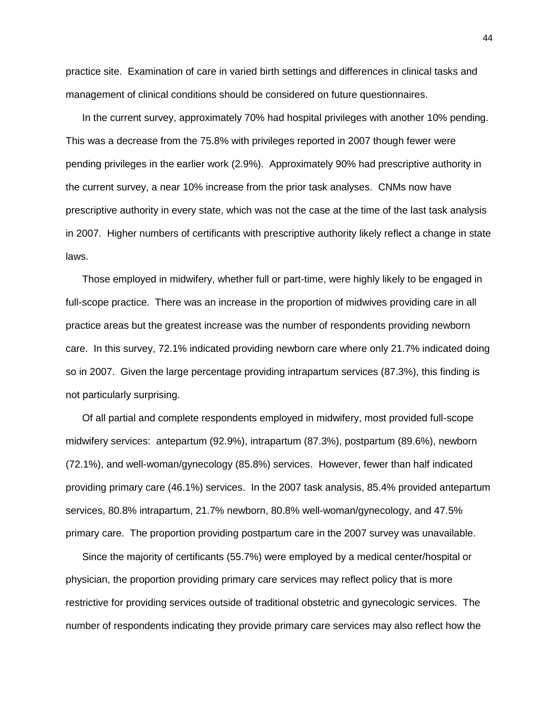practice site. Examination of care in varied birth settings and differences in clinical tasks and management of clinical conditions should be considered on future questionnaires.

In the current survey, approximately 70% had hospital privileges with another 10% pending. This was a decrease from the 75.8% with privileges reported in 2007 though fewer were pending privileges in the earlier work (2.9%). Approximately 90% had prescriptive authority in the current survey, a near 10% increase from the prior task analyses. CNMs now have prescriptive authority in every state, which was not the case at the time of the last task analysis in 2007. Higher numbers of certificants with prescriptive authority likely reflect a change in state laws.

Those employed in midwifery, whether full or part-time, were highly likely to be engaged in full-scope practice. There was an increase in the proportion of midwives providing care in all practice areas but the greatest increase was the number of respondents providing newborn care. In this survey, 72.1% indicated providing newborn care where only 21.7% indicated doing so in 2007. Given the large percentage providing intrapartum services (87.3%), this finding is not particularly surprising.

Of all partial and complete respondents employed in midwifery, most provided full-scope midwifery services: antepartum (92.9%), intrapartum (87.3%), postpartum (89.6%), newborn (72.1%), and well-woman/gynecology (85.8%) services. However, fewer than half indicated providing primary care (46.1%) services. In the 2007 task analysis, 85.4% provided antepartum services, 80.8% intrapartum, 21.7% newborn, 80.8% well-woman/gynecology, and 47.5% primary care. The proportion providing postpartum care in the 2007 survey was unavailable.

Since the majority of certificants (55.7%) were employed by a medical center/hospital or physician, the proportion providing primary care services may reflect policy that is more restrictive for providing services outside of traditional obstetric and gynecologic services. The number of respondents indicating they provide primary care services may also reflect how the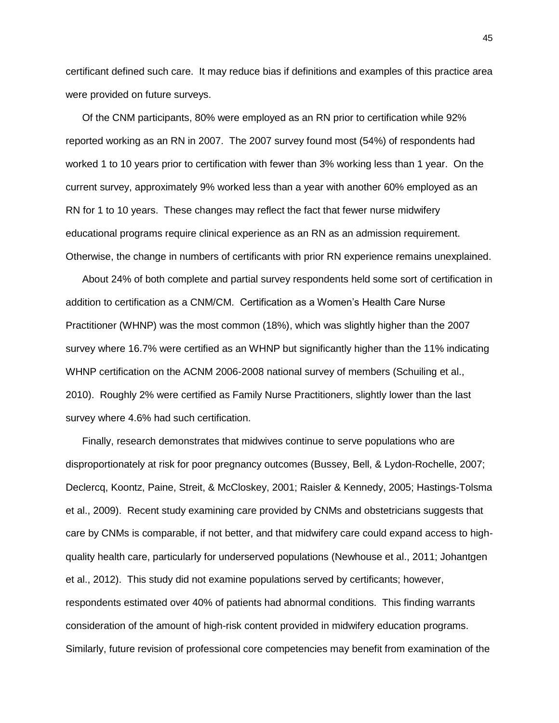certificant defined such care. It may reduce bias if definitions and examples of this practice area were provided on future surveys.

Of the CNM participants, 80% were employed as an RN prior to certification while 92% reported working as an RN in 2007. The 2007 survey found most (54%) of respondents had worked 1 to 10 years prior to certification with fewer than 3% working less than 1 year. On the current survey, approximately 9% worked less than a year with another 60% employed as an RN for 1 to 10 years. These changes may reflect the fact that fewer nurse midwifery educational programs require clinical experience as an RN as an admission requirement. Otherwise, the change in numbers of certificants with prior RN experience remains unexplained.

About 24% of both complete and partial survey respondents held some sort of certification in addition to certification as a CNM/CM. Certification as a Women"s Health Care Nurse Practitioner (WHNP) was the most common (18%), which was slightly higher than the 2007 survey where 16.7% were certified as an WHNP but significantly higher than the 11% indicating WHNP certification on the ACNM 2006-2008 national survey of members (Schuiling et al., 2010). Roughly 2% were certified as Family Nurse Practitioners, slightly lower than the last survey where 4.6% had such certification.

Finally, research demonstrates that midwives continue to serve populations who are disproportionately at risk for poor pregnancy outcomes (Bussey, Bell, & Lydon-Rochelle, 2007; Declercq, Koontz, Paine, Streit, & McCloskey, 2001; Raisler & Kennedy, 2005; Hastings-Tolsma et al., 2009). Recent study examining care provided by CNMs and obstetricians suggests that care by CNMs is comparable, if not better, and that midwifery care could expand access to highquality health care, particularly for underserved populations (Newhouse et al., 2011; Johantgen et al., 2012). This study did not examine populations served by certificants; however, respondents estimated over 40% of patients had abnormal conditions. This finding warrants consideration of the amount of high-risk content provided in midwifery education programs. Similarly, future revision of professional core competencies may benefit from examination of the

45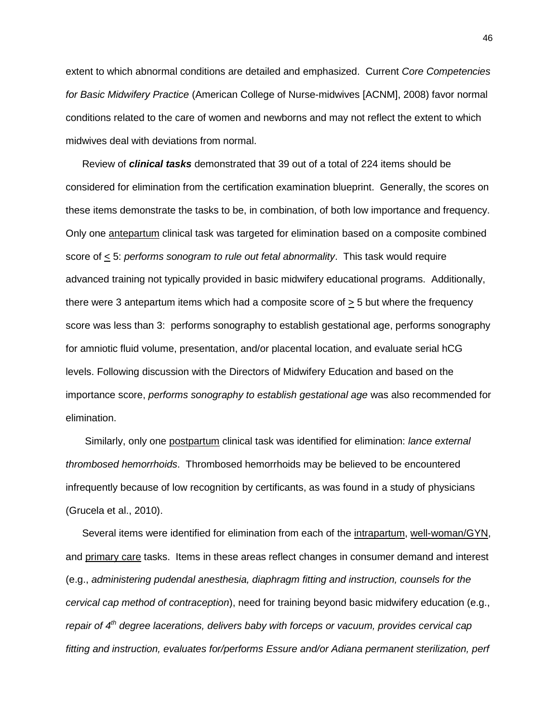extent to which abnormal conditions are detailed and emphasized. Current *Core Competencies for Basic Midwifery Practice* (American College of Nurse-midwives [ACNM], 2008) favor normal conditions related to the care of women and newborns and may not reflect the extent to which midwives deal with deviations from normal.

Review of *clinical tasks* demonstrated that 39 out of a total of 224 items should be considered for elimination from the certification examination blueprint. Generally, the scores on these items demonstrate the tasks to be, in combination, of both low importance and frequency. Only one antepartum clinical task was targeted for elimination based on a composite combined score of < 5: *performs sonogram to rule out fetal abnormality*. This task would require advanced training not typically provided in basic midwifery educational programs. Additionally, there were 3 antepartum items which had a composite score of  $\geq$  5 but where the frequency score was less than 3: performs sonography to establish gestational age, performs sonography for amniotic fluid volume, presentation, and/or placental location, and evaluate serial hCG levels. Following discussion with the Directors of Midwifery Education and based on the importance score, *performs sonography to establish gestational age* was also recommended for elimination.

Similarly, only one postpartum clinical task was identified for elimination: *lance external thrombosed hemorrhoids*. Thrombosed hemorrhoids may be believed to be encountered infrequently because of low recognition by certificants, as was found in a study of physicians (Grucela et al., 2010).

Several items were identified for elimination from each of the intrapartum, well-woman/GYN, and primary care tasks. Items in these areas reflect changes in consumer demand and interest (e.g., *administering pudendal anesthesia, diaphragm fitting and instruction, counsels for the cervical cap method of contraception*), need for training beyond basic midwifery education (e.g., *repair of 4th degree lacerations, delivers baby with forceps or vacuum, provides cervical cap fitting and instruction, evaluates for/performs Essure and/or Adiana permanent sterilization, perf*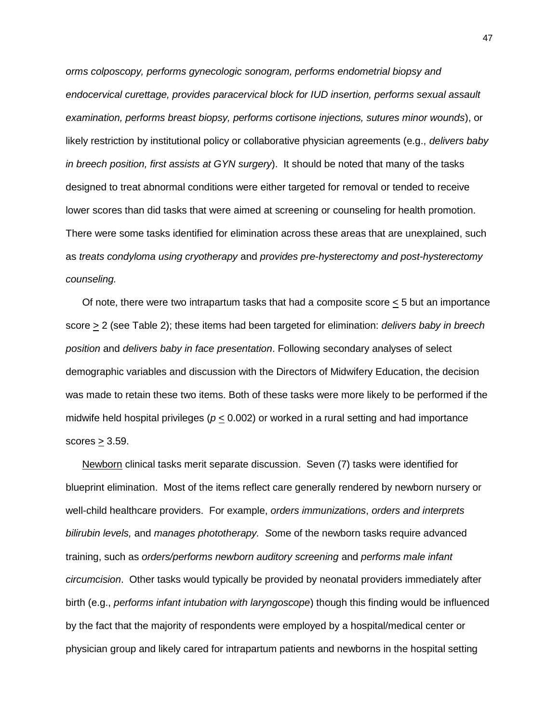*orms colposcopy, performs gynecologic sonogram, performs endometrial biopsy and endocervical curettage, provides paracervical block for IUD insertion, performs sexual assault examination, performs breast biopsy, performs cortisone injections, sutures minor wounds*), or likely restriction by institutional policy or collaborative physician agreements (e.g., *delivers baby in breech position, first assists at GYN surgery*). It should be noted that many of the tasks designed to treat abnormal conditions were either targeted for removal or tended to receive lower scores than did tasks that were aimed at screening or counseling for health promotion. There were some tasks identified for elimination across these areas that are unexplained, such as *treats condyloma using cryotherapy* and *provides pre-hysterectomy and post-hysterectomy counseling.*

Of note, there were two intrapartum tasks that had a composite score < 5 but an importance score > 2 (see Table 2); these items had been targeted for elimination: *delivers baby in breech position* and *delivers baby in face presentation*. Following secondary analyses of select demographic variables and discussion with the Directors of Midwifery Education, the decision was made to retain these two items. Both of these tasks were more likely to be performed if the midwife held hospital privileges (*p* < 0.002) or worked in a rural setting and had importance scores  $\geq$  3.59.

Newborn clinical tasks merit separate discussion. Seven (7) tasks were identified for blueprint elimination. Most of the items reflect care generally rendered by newborn nursery or well-child healthcare providers. For example, *orders immunizations*, *orders and interprets bilirubin levels,* and *manages phototherapy. S*ome of the newborn tasks require advanced training, such as *orders/performs newborn auditory screening* and *performs male infant circumcision*. Other tasks would typically be provided by neonatal providers immediately after birth (e.g., *performs infant intubation with laryngoscope*) though this finding would be influenced by the fact that the majority of respondents were employed by a hospital/medical center or physician group and likely cared for intrapartum patients and newborns in the hospital setting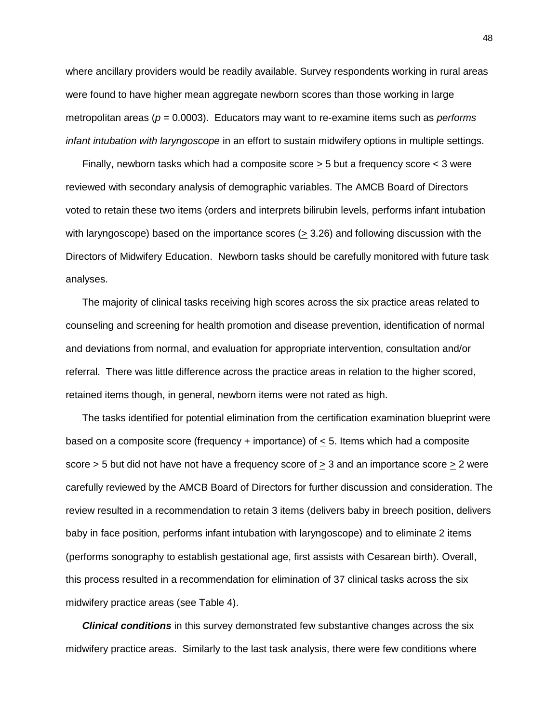where ancillary providers would be readily available. Survey respondents working in rural areas were found to have higher mean aggregate newborn scores than those working in large metropolitan areas (*p* = 0.0003). Educators may want to re-examine items such as *performs infant intubation with laryngoscope* in an effort to sustain midwifery options in multiple settings.

Finally, newborn tasks which had a composite score  $\geq$  5 but a frequency score  $\lt$  3 were reviewed with secondary analysis of demographic variables. The AMCB Board of Directors voted to retain these two items (orders and interprets bilirubin levels, performs infant intubation with laryngoscope) based on the importance scores ( $\geq$  3.26) and following discussion with the Directors of Midwifery Education. Newborn tasks should be carefully monitored with future task analyses.

The majority of clinical tasks receiving high scores across the six practice areas related to counseling and screening for health promotion and disease prevention, identification of normal and deviations from normal, and evaluation for appropriate intervention, consultation and/or referral. There was little difference across the practice areas in relation to the higher scored, retained items though, in general, newborn items were not rated as high.

The tasks identified for potential elimination from the certification examination blueprint were based on a composite score (frequency + importance) of  $\leq$  5. Items which had a composite score > 5 but did not have not have a frequency score of  $\geq 3$  and an importance score  $\geq 2$  were carefully reviewed by the AMCB Board of Directors for further discussion and consideration. The review resulted in a recommendation to retain 3 items (delivers baby in breech position, delivers baby in face position, performs infant intubation with laryngoscope) and to eliminate 2 items (performs sonography to establish gestational age, first assists with Cesarean birth). Overall, this process resulted in a recommendation for elimination of 37 clinical tasks across the six midwifery practice areas (see Table 4).

*Clinical conditions* in this survey demonstrated few substantive changes across the six midwifery practice areas. Similarly to the last task analysis, there were few conditions where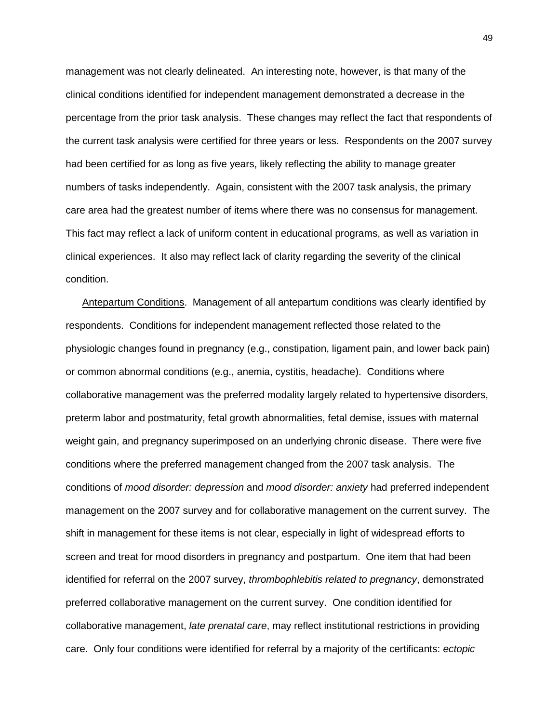management was not clearly delineated. An interesting note, however, is that many of the clinical conditions identified for independent management demonstrated a decrease in the percentage from the prior task analysis. These changes may reflect the fact that respondents of the current task analysis were certified for three years or less. Respondents on the 2007 survey had been certified for as long as five years, likely reflecting the ability to manage greater numbers of tasks independently. Again, consistent with the 2007 task analysis, the primary care area had the greatest number of items where there was no consensus for management. This fact may reflect a lack of uniform content in educational programs, as well as variation in clinical experiences. It also may reflect lack of clarity regarding the severity of the clinical condition.

Antepartum Conditions. Management of all antepartum conditions was clearly identified by respondents. Conditions for independent management reflected those related to the physiologic changes found in pregnancy (e.g., constipation, ligament pain, and lower back pain) or common abnormal conditions (e.g., anemia, cystitis, headache). Conditions where collaborative management was the preferred modality largely related to hypertensive disorders, preterm labor and postmaturity, fetal growth abnormalities, fetal demise, issues with maternal weight gain, and pregnancy superimposed on an underlying chronic disease. There were five conditions where the preferred management changed from the 2007 task analysis. The conditions of *mood disorder: depression* and *mood disorder: anxiety* had preferred independent management on the 2007 survey and for collaborative management on the current survey. The shift in management for these items is not clear, especially in light of widespread efforts to screen and treat for mood disorders in pregnancy and postpartum. One item that had been identified for referral on the 2007 survey, *thrombophlebitis related to pregnancy*, demonstrated preferred collaborative management on the current survey. One condition identified for collaborative management, *late prenatal care*, may reflect institutional restrictions in providing care. Only four conditions were identified for referral by a majority of the certificants: *ectopic*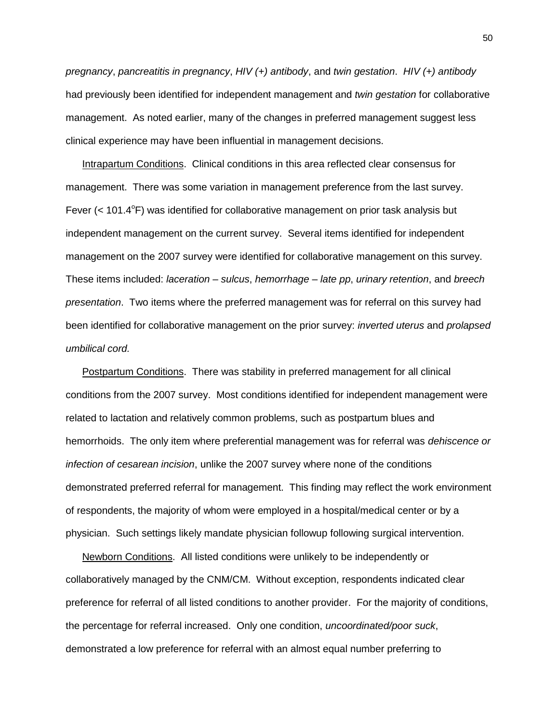*pregnancy*, *pancreatitis in pregnancy*, *HIV (+) antibody*, and *twin gestation*. *HIV (+) antibody*  had previously been identified for independent management and *twin gestation* for collaborative management. As noted earlier, many of the changes in preferred management suggest less clinical experience may have been influential in management decisions.

Intrapartum Conditions. Clinical conditions in this area reflected clear consensus for management. There was some variation in management preference from the last survey. Fever  $( $101.4^{\circ}$ F) was identified for collaborative management on prior task analysis but$ independent management on the current survey. Several items identified for independent management on the 2007 survey were identified for collaborative management on this survey. These items included: *laceration – sulcus*, *hemorrhage – late pp*, *urinary retention*, and *breech presentation*. Two items where the preferred management was for referral on this survey had been identified for collaborative management on the prior survey: *inverted uterus* and *prolapsed umbilical cord.* 

Postpartum Conditions. There was stability in preferred management for all clinical conditions from the 2007 survey. Most conditions identified for independent management were related to lactation and relatively common problems, such as postpartum blues and hemorrhoids. The only item where preferential management was for referral was *dehiscence or infection of cesarean incision*, unlike the 2007 survey where none of the conditions demonstrated preferred referral for management. This finding may reflect the work environment of respondents, the majority of whom were employed in a hospital/medical center or by a physician. Such settings likely mandate physician followup following surgical intervention.

Newborn Conditions. All listed conditions were unlikely to be independently or collaboratively managed by the CNM/CM. Without exception, respondents indicated clear preference for referral of all listed conditions to another provider. For the majority of conditions, the percentage for referral increased. Only one condition, *uncoordinated/poor suck*, demonstrated a low preference for referral with an almost equal number preferring to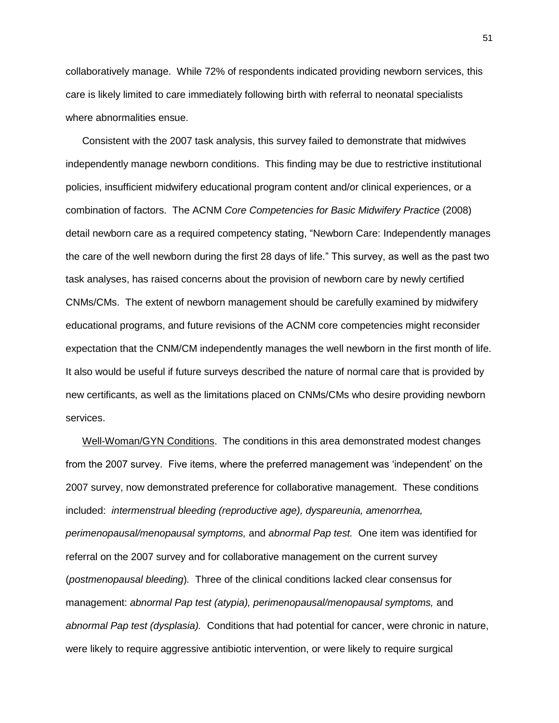collaboratively manage. While 72% of respondents indicated providing newborn services, this care is likely limited to care immediately following birth with referral to neonatal specialists where abnormalities ensue.

Consistent with the 2007 task analysis, this survey failed to demonstrate that midwives independently manage newborn conditions. This finding may be due to restrictive institutional policies, insufficient midwifery educational program content and/or clinical experiences, or a combination of factors. The ACNM *Core Competencies for Basic Midwifery Practice* (2008) detail newborn care as a required competency stating, "Newborn Care: Independently manages the care of the well newborn during the first 28 days of life." This survey, as well as the past two task analyses, has raised concerns about the provision of newborn care by newly certified CNMs/CMs. The extent of newborn management should be carefully examined by midwifery educational programs, and future revisions of the ACNM core competencies might reconsider expectation that the CNM/CM independently manages the well newborn in the first month of life. It also would be useful if future surveys described the nature of normal care that is provided by new certificants, as well as the limitations placed on CNMs/CMs who desire providing newborn services.

Well-Woman/GYN Conditions. The conditions in this area demonstrated modest changes from the 2007 survey. Five items, where the preferred management was "independent" on the 2007 survey, now demonstrated preference for collaborative management. These conditions included: *intermenstrual bleeding (reproductive age), dyspareunia, amenorrhea, perimenopausal/menopausal symptoms,* and *abnormal Pap test.* One item was identified for referral on the 2007 survey and for collaborative management on the current survey (*postmenopausal bleeding*)*.* Three of the clinical conditions lacked clear consensus for management: *abnormal Pap test (atypia), perimenopausal/menopausal symptoms,* and *abnormal Pap test (dysplasia).* Conditions that had potential for cancer, were chronic in nature, were likely to require aggressive antibiotic intervention, or were likely to require surgical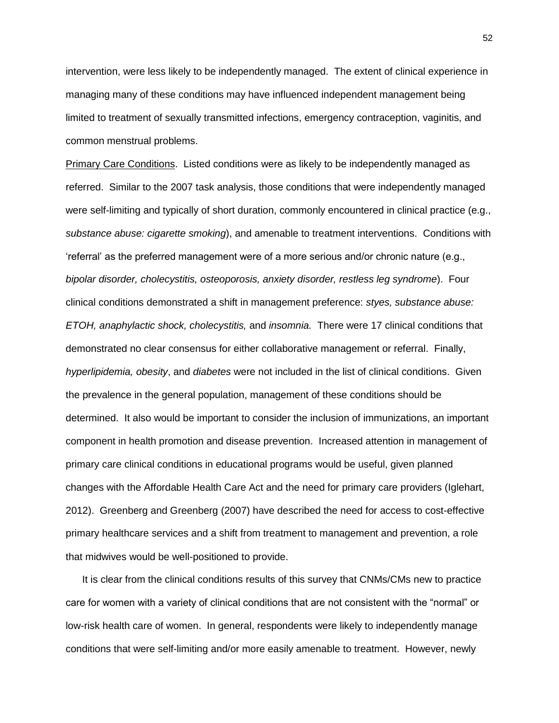intervention, were less likely to be independently managed. The extent of clinical experience in managing many of these conditions may have influenced independent management being limited to treatment of sexually transmitted infections, emergency contraception, vaginitis, and common menstrual problems.

Primary Care Conditions. Listed conditions were as likely to be independently managed as referred. Similar to the 2007 task analysis, those conditions that were independently managed were self-limiting and typically of short duration, commonly encountered in clinical practice (e.g., *substance abuse: cigarette smoking*), and amenable to treatment interventions. Conditions with "referral" as the preferred management were of a more serious and/or chronic nature (e.g., *bipolar disorder, cholecystitis, osteoporosis, anxiety disorder, restless leg syndrome*). Four clinical conditions demonstrated a shift in management preference: *styes, substance abuse: ETOH, anaphylactic shock, cholecystitis,* and *insomnia.* There were 17 clinical conditions that demonstrated no clear consensus for either collaborative management or referral. Finally, *hyperlipidemia, obesity*, and *diabetes* were not included in the list of clinical conditions. Given the prevalence in the general population, management of these conditions should be determined. It also would be important to consider the inclusion of immunizations, an important component in health promotion and disease prevention. Increased attention in management of primary care clinical conditions in educational programs would be useful, given planned changes with the Affordable Health Care Act and the need for primary care providers (Iglehart, 2012). Greenberg and Greenberg (2007) have described the need for access to cost-effective primary healthcare services and a shift from treatment to management and prevention, a role that midwives would be well-positioned to provide.

It is clear from the clinical conditions results of this survey that CNMs/CMs new to practice care for women with a variety of clinical conditions that are not consistent with the "normal" or low-risk health care of women. In general, respondents were likely to independently manage conditions that were self-limiting and/or more easily amenable to treatment. However, newly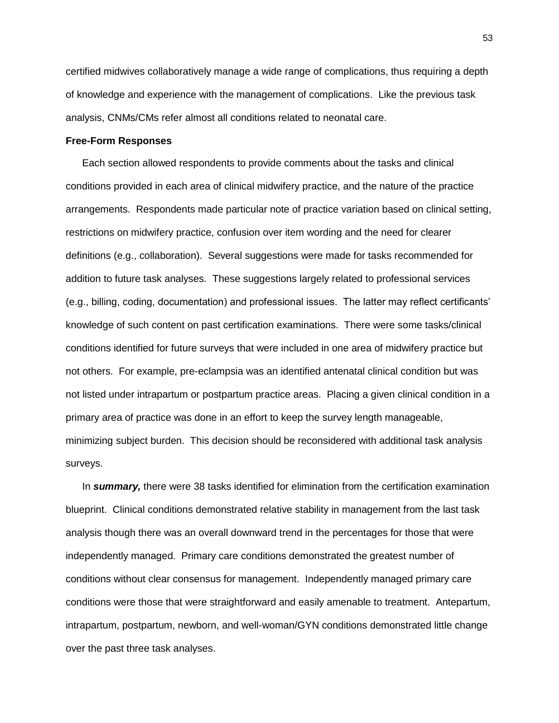certified midwives collaboratively manage a wide range of complications, thus requiring a depth of knowledge and experience with the management of complications. Like the previous task analysis, CNMs/CMs refer almost all conditions related to neonatal care.

## **Free-Form Responses**

Each section allowed respondents to provide comments about the tasks and clinical conditions provided in each area of clinical midwifery practice, and the nature of the practice arrangements. Respondents made particular note of practice variation based on clinical setting, restrictions on midwifery practice, confusion over item wording and the need for clearer definitions (e.g., collaboration). Several suggestions were made for tasks recommended for addition to future task analyses. These suggestions largely related to professional services (e.g., billing, coding, documentation) and professional issues. The latter may reflect certificants" knowledge of such content on past certification examinations. There were some tasks/clinical conditions identified for future surveys that were included in one area of midwifery practice but not others. For example, pre-eclampsia was an identified antenatal clinical condition but was not listed under intrapartum or postpartum practice areas. Placing a given clinical condition in a primary area of practice was done in an effort to keep the survey length manageable, minimizing subject burden. This decision should be reconsidered with additional task analysis surveys.

In *summary,* there were 38 tasks identified for elimination from the certification examination blueprint. Clinical conditions demonstrated relative stability in management from the last task analysis though there was an overall downward trend in the percentages for those that were independently managed. Primary care conditions demonstrated the greatest number of conditions without clear consensus for management. Independently managed primary care conditions were those that were straightforward and easily amenable to treatment. Antepartum, intrapartum, postpartum, newborn, and well-woman/GYN conditions demonstrated little change over the past three task analyses.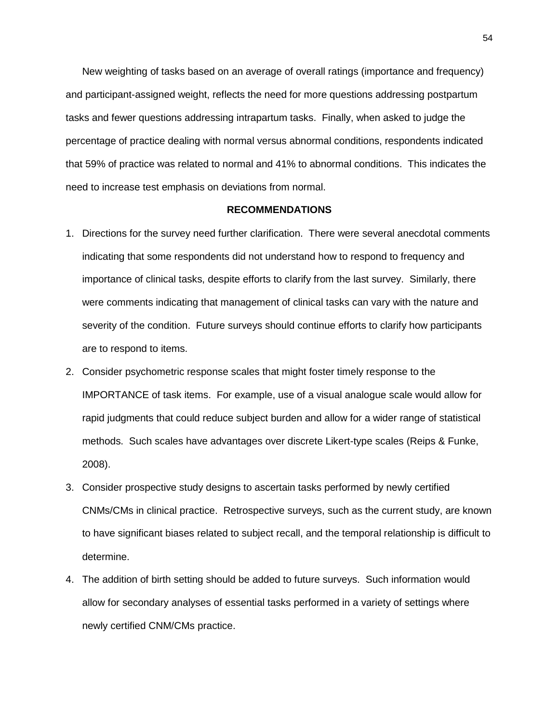New weighting of tasks based on an average of overall ratings (importance and frequency) and participant-assigned weight, reflects the need for more questions addressing postpartum tasks and fewer questions addressing intrapartum tasks. Finally, when asked to judge the percentage of practice dealing with normal versus abnormal conditions, respondents indicated that 59% of practice was related to normal and 41% to abnormal conditions. This indicates the need to increase test emphasis on deviations from normal.

## **RECOMMENDATIONS**

- 1. Directions for the survey need further clarification. There were several anecdotal comments indicating that some respondents did not understand how to respond to frequency and importance of clinical tasks, despite efforts to clarify from the last survey. Similarly, there were comments indicating that management of clinical tasks can vary with the nature and severity of the condition. Future surveys should continue efforts to clarify how participants are to respond to items.
- 2. Consider psychometric response scales that might foster timely response to the IMPORTANCE of task items. For example, use of a visual analogue scale would allow for rapid judgments that could reduce subject burden and allow for a wider range of statistical methods. Such scales have advantages over discrete Likert-type scales (Reips & Funke, 2008).
- 3. Consider prospective study designs to ascertain tasks performed by newly certified CNMs/CMs in clinical practice. Retrospective surveys, such as the current study, are known to have significant biases related to subject recall, and the temporal relationship is difficult to determine.
- 4. The addition of birth setting should be added to future surveys. Such information would allow for secondary analyses of essential tasks performed in a variety of settings where newly certified CNM/CMs practice.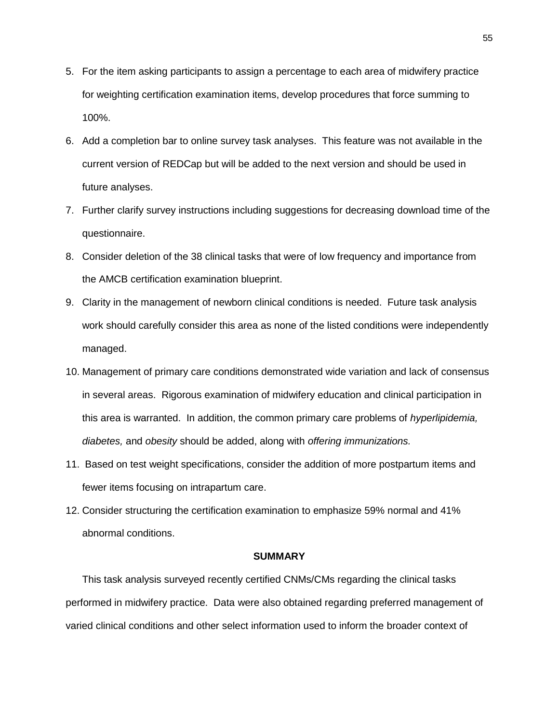- 5. For the item asking participants to assign a percentage to each area of midwifery practice for weighting certification examination items, develop procedures that force summing to 100%.
- 6. Add a completion bar to online survey task analyses. This feature was not available in the current version of REDCap but will be added to the next version and should be used in future analyses.
- 7. Further clarify survey instructions including suggestions for decreasing download time of the questionnaire.
- 8. Consider deletion of the 38 clinical tasks that were of low frequency and importance from the AMCB certification examination blueprint.
- 9. Clarity in the management of newborn clinical conditions is needed. Future task analysis work should carefully consider this area as none of the listed conditions were independently managed.
- 10. Management of primary care conditions demonstrated wide variation and lack of consensus in several areas. Rigorous examination of midwifery education and clinical participation in this area is warranted. In addition, the common primary care problems of *hyperlipidemia, diabetes,* and *obesity* should be added, along with *offering immunizations.*
- 11. Based on test weight specifications, consider the addition of more postpartum items and fewer items focusing on intrapartum care.
- 12. Consider structuring the certification examination to emphasize 59% normal and 41% abnormal conditions.

#### **SUMMARY**

This task analysis surveyed recently certified CNMs/CMs regarding the clinical tasks performed in midwifery practice. Data were also obtained regarding preferred management of varied clinical conditions and other select information used to inform the broader context of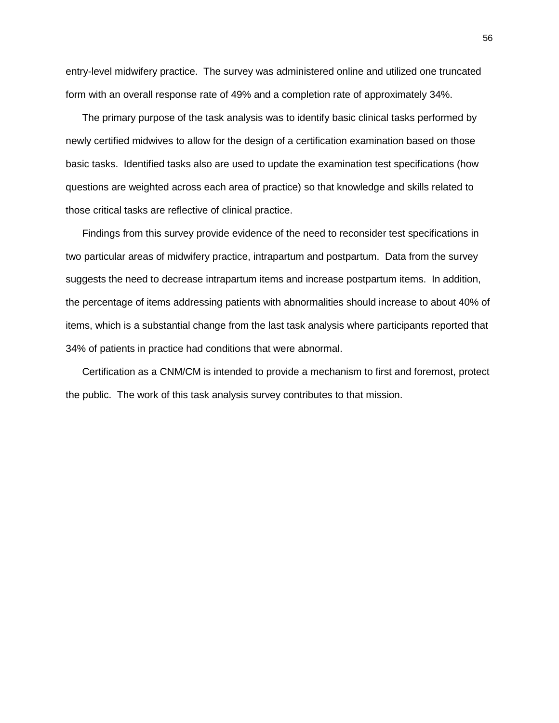entry-level midwifery practice. The survey was administered online and utilized one truncated form with an overall response rate of 49% and a completion rate of approximately 34%.

The primary purpose of the task analysis was to identify basic clinical tasks performed by newly certified midwives to allow for the design of a certification examination based on those basic tasks. Identified tasks also are used to update the examination test specifications (how questions are weighted across each area of practice) so that knowledge and skills related to those critical tasks are reflective of clinical practice.

Findings from this survey provide evidence of the need to reconsider test specifications in two particular areas of midwifery practice, intrapartum and postpartum. Data from the survey suggests the need to decrease intrapartum items and increase postpartum items. In addition, the percentage of items addressing patients with abnormalities should increase to about 40% of items, which is a substantial change from the last task analysis where participants reported that 34% of patients in practice had conditions that were abnormal.

Certification as a CNM/CM is intended to provide a mechanism to first and foremost, protect the public. The work of this task analysis survey contributes to that mission.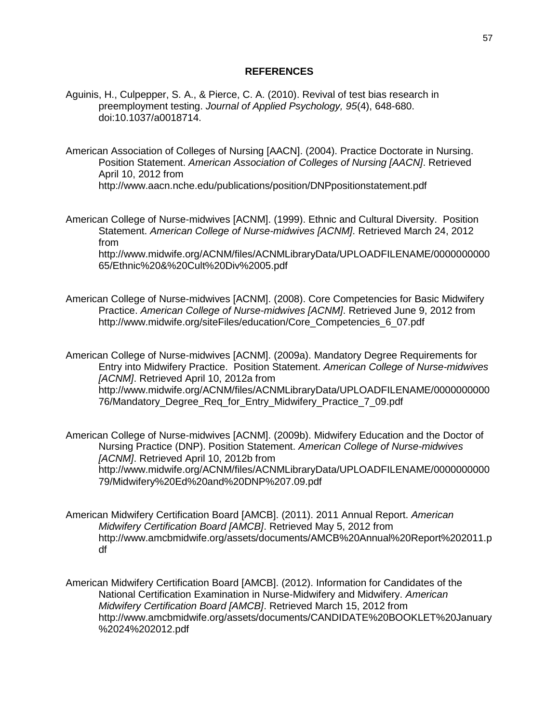# **REFERENCES**

- Aguinis, H., Culpepper, S. A., & Pierce, C. A. (2010). Revival of test bias research in preemployment testing. *Journal of Applied Psychology, 95*(4), 648-680. doi:10.1037/a0018714.
- American Association of Colleges of Nursing [AACN]. (2004). Practice Doctorate in Nursing. Position Statement. *American Association of Colleges of Nursing [AACN]*. Retrieved April 10, 2012 from http://www.aacn.nche.edu/publications/position/DNPpositionstatement.pdf
- American College of Nurse-midwives [ACNM]. (1999). Ethnic and Cultural Diversity. Position Statement. *American College of Nurse-midwives [ACNM]*. Retrieved March 24, 2012 from

http://www.midwife.org/ACNM/files/ACNMLibraryData/UPLOADFILENAME/0000000000 65/Ethnic%20&%20Cult%20Div%2005.pdf

American College of Nurse-midwives [ACNM]. (2008). Core Competencies for Basic Midwifery Practice. *American College of Nurse-midwives [ACNM]*. Retrieved June 9, 2012 from http://www.midwife.org/siteFiles/education/Core\_Competencies\_6\_07.pdf

American College of Nurse-midwives [ACNM]. (2009a). Mandatory Degree Requirements for Entry into Midwifery Practice. Position Statement. *American College of Nurse-midwives [ACNM]*. Retrieved April 10, 2012a from http://www.midwife.org/ACNM/files/ACNMLibraryData/UPLOADFILENAME/0000000000 76/Mandatory\_Degree\_Req\_for\_Entry\_Midwifery\_Practice\_7\_09.pdf

American College of Nurse-midwives [ACNM]. (2009b). Midwifery Education and the Doctor of Nursing Practice (DNP). Position Statement. *American College of Nurse-midwives [ACNM]*. Retrieved April 10, 2012b from http://www.midwife.org/ACNM/files/ACNMLibraryData/UPLOADFILENAME/0000000000 79/Midwifery%20Ed%20and%20DNP%207.09.pdf

- American Midwifery Certification Board [AMCB]. (2011). 2011 Annual Report. *American Midwifery Certification Board [AMCB]*. Retrieved May 5, 2012 from http://www.amcbmidwife.org/assets/documents/AMCB%20Annual%20Report%202011.p df
- American Midwifery Certification Board [AMCB]. (2012). Information for Candidates of the National Certification Examination in Nurse-Midwifery and Midwifery. *American Midwifery Certification Board [AMCB]*. Retrieved March 15, 2012 from http://www.amcbmidwife.org/assets/documents/CANDIDATE%20BOOKLET%20January %2024%202012.pdf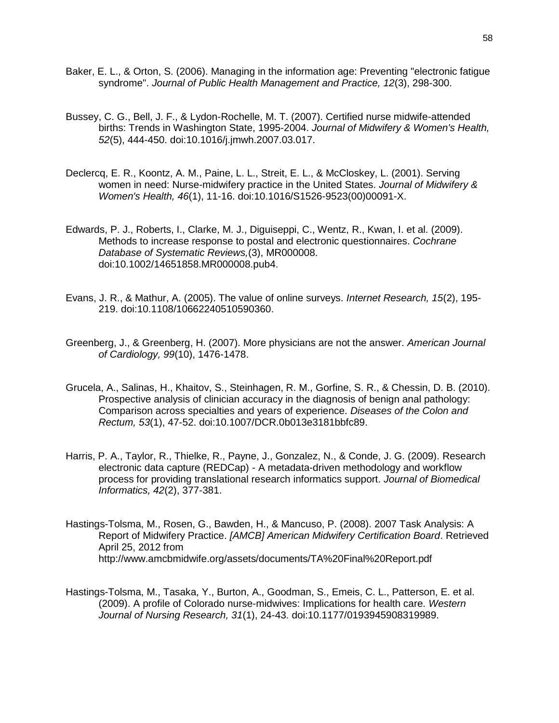- Baker, E. L., & Orton, S. (2006). Managing in the information age: Preventing "electronic fatigue syndrome". *Journal of Public Health Management and Practice, 12*(3), 298-300.
- Bussey, C. G., Bell, J. F., & Lydon-Rochelle, M. T. (2007). Certified nurse midwife-attended births: Trends in Washington State, 1995-2004. *Journal of Midwifery & Women's Health, 52*(5), 444-450. doi:10.1016/j.jmwh.2007.03.017.
- Declercq, E. R., Koontz, A. M., Paine, L. L., Streit, E. L., & McCloskey, L. (2001). Serving women in need: Nurse-midwifery practice in the United States. *Journal of Midwifery & Women's Health, 46*(1), 11-16. doi:10.1016/S1526-9523(00)00091-X.
- Edwards, P. J., Roberts, I., Clarke, M. J., Diguiseppi, C., Wentz, R., Kwan, I. et al. (2009). Methods to increase response to postal and electronic questionnaires. *Cochrane Database of Systematic Reviews,*(3), MR000008. doi:10.1002/14651858.MR000008.pub4.
- Evans, J. R., & Mathur, A. (2005). The value of online surveys. *Internet Research, 15*(2), 195- 219. doi:10.1108/10662240510590360.
- Greenberg, J., & Greenberg, H. (2007). More physicians are not the answer. *American Journal of Cardiology, 99*(10), 1476-1478.
- Grucela, A., Salinas, H., Khaitov, S., Steinhagen, R. M., Gorfine, S. R., & Chessin, D. B. (2010). Prospective analysis of clinician accuracy in the diagnosis of benign anal pathology: Comparison across specialties and years of experience. *Diseases of the Colon and Rectum, 53*(1), 47-52. doi:10.1007/DCR.0b013e3181bbfc89.
- Harris, P. A., Taylor, R., Thielke, R., Payne, J., Gonzalez, N., & Conde, J. G. (2009). Research electronic data capture (REDCap) - A metadata-driven methodology and workflow process for providing translational research informatics support. *Journal of Biomedical Informatics, 42*(2), 377-381.
- Hastings-Tolsma, M., Rosen, G., Bawden, H., & Mancuso, P. (2008). 2007 Task Analysis: A Report of Midwifery Practice. *[AMCB] American Midwifery Certification Board*. Retrieved April 25, 2012 from http://www.amcbmidwife.org/assets/documents/TA%20Final%20Report.pdf
- Hastings-Tolsma, M., Tasaka, Y., Burton, A., Goodman, S., Emeis, C. L., Patterson, E. et al. (2009). A profile of Colorado nurse-midwives: Implications for health care. *Western Journal of Nursing Research, 31*(1), 24-43. doi:10.1177/0193945908319989.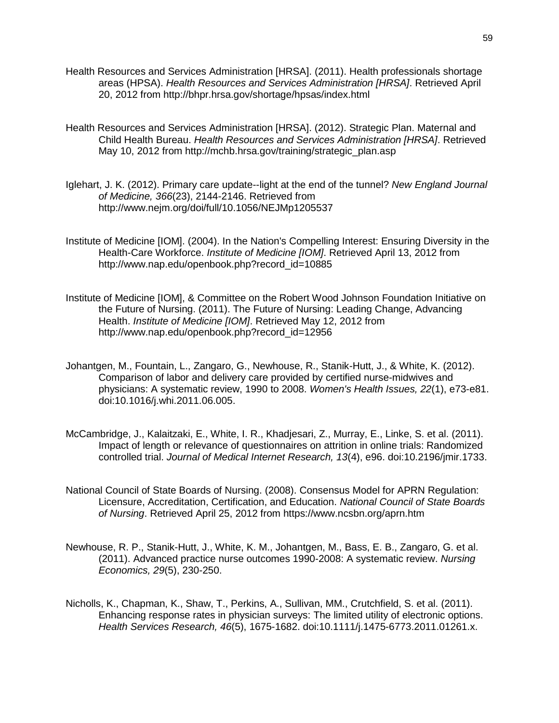- Health Resources and Services Administration [HRSA]. (2011). Health professionals shortage areas (HPSA). *Health Resources and Services Administration [HRSA]*. Retrieved April 20, 2012 from http://bhpr.hrsa.gov/shortage/hpsas/index.html
- Health Resources and Services Administration [HRSA]. (2012). Strategic Plan. Maternal and Child Health Bureau. *Health Resources and Services Administration [HRSA]*. Retrieved May 10, 2012 from http://mchb.hrsa.gov/training/strategic\_plan.asp
- Iglehart, J. K. (2012). Primary care update--light at the end of the tunnel? *New England Journal of Medicine, 366*(23), 2144-2146. Retrieved from http://www.nejm.org/doi/full/10.1056/NEJMp1205537
- Institute of Medicine [IOM]. (2004). In the Nation's Compelling Interest: Ensuring Diversity in the Health-Care Workforce. *Institute of Medicine [IOM]*. Retrieved April 13, 2012 from http://www.nap.edu/openbook.php?record\_id=10885
- Institute of Medicine [IOM], & Committee on the Robert Wood Johnson Foundation Initiative on the Future of Nursing. (2011). The Future of Nursing: Leading Change, Advancing Health. *Institute of Medicine [IOM]*. Retrieved May 12, 2012 from http://www.nap.edu/openbook.php?record\_id=12956
- Johantgen, M., Fountain, L., Zangaro, G., Newhouse, R., Stanik-Hutt, J., & White, K. (2012). Comparison of labor and delivery care provided by certified nurse-midwives and physicians: A systematic review, 1990 to 2008. *Women's Health Issues, 22*(1), e73-e81. doi:10.1016/j.whi.2011.06.005.
- McCambridge, J., Kalaitzaki, E., White, I. R., Khadjesari, Z., Murray, E., Linke, S. et al. (2011). Impact of length or relevance of questionnaires on attrition in online trials: Randomized controlled trial. *Journal of Medical Internet Research, 13*(4), e96. doi:10.2196/jmir.1733.
- National Council of State Boards of Nursing. (2008). Consensus Model for APRN Regulation: Licensure, Accreditation, Certification, and Education. *National Council of State Boards of Nursing*. Retrieved April 25, 2012 from https://www.ncsbn.org/aprn.htm
- Newhouse, R. P., Stanik-Hutt, J., White, K. M., Johantgen, M., Bass, E. B., Zangaro, G. et al. (2011). Advanced practice nurse outcomes 1990-2008: A systematic review. *Nursing Economics, 29*(5), 230-250.
- Nicholls, K., Chapman, K., Shaw, T., Perkins, A., Sullivan, MM., Crutchfield, S. et al. (2011). Enhancing response rates in physician surveys: The limited utility of electronic options. *Health Services Research, 46*(5), 1675-1682. doi:10.1111/j.1475-6773.2011.01261.x.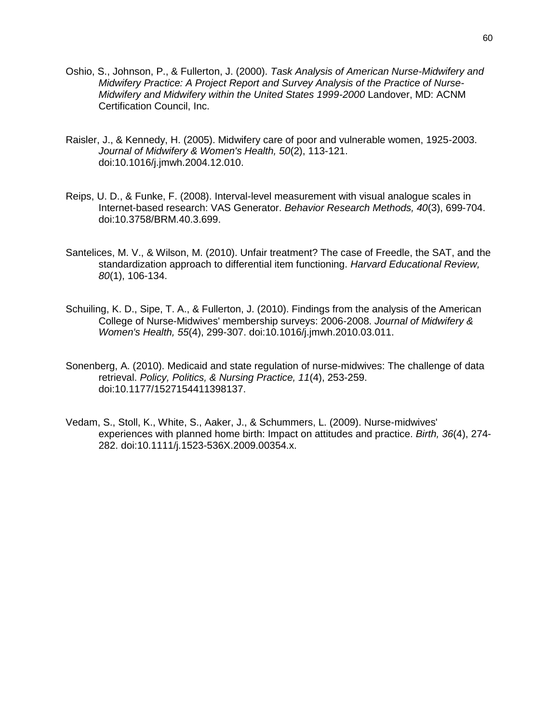- Oshio, S., Johnson, P., & Fullerton, J. (2000). *Task Analysis of American Nurse-Midwifery and Midwifery Practice: A Project Report and Survey Analysis of the Practice of Nurse-Midwifery and Midwifery within the United States 1999-2000* Landover, MD: ACNM Certification Council, Inc.
- Raisler, J., & Kennedy, H. (2005). Midwifery care of poor and vulnerable women, 1925-2003. *Journal of Midwifery & Women's Health, 50*(2), 113-121. doi:10.1016/j.jmwh.2004.12.010.
- Reips, U. D., & Funke, F. (2008). Interval-level measurement with visual analogue scales in Internet-based research: VAS Generator. *Behavior Research Methods, 40*(3), 699-704. doi:10.3758/BRM.40.3.699.
- Santelices, M. V., & Wilson, M. (2010). Unfair treatment? The case of Freedle, the SAT, and the standardization approach to differential item functioning. *Harvard Educational Review, 80*(1), 106-134.
- Schuiling, K. D., Sipe, T. A., & Fullerton, J. (2010). Findings from the analysis of the American College of Nurse-Midwives' membership surveys: 2006-2008. *Journal of Midwifery & Women's Health, 55*(4), 299-307. doi:10.1016/j.jmwh.2010.03.011.
- Sonenberg, A. (2010). Medicaid and state regulation of nurse-midwives: The challenge of data retrieval. *Policy, Politics, & Nursing Practice, 11*(4), 253-259. doi:10.1177/1527154411398137.
- Vedam, S., Stoll, K., White, S., Aaker, J., & Schummers, L. (2009). Nurse-midwives' experiences with planned home birth: Impact on attitudes and practice. *Birth, 36*(4), 274- 282. doi:10.1111/j.1523-536X.2009.00354.x.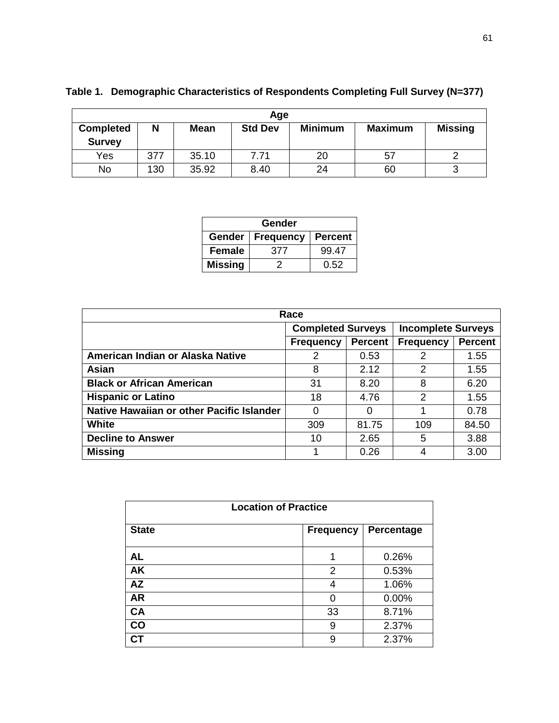| Age                               |     |             |                |                |                |                |
|-----------------------------------|-----|-------------|----------------|----------------|----------------|----------------|
| <b>Completed</b><br><b>Survey</b> | N   | <b>Mean</b> | <b>Std Dev</b> | <b>Minimum</b> | <b>Maximum</b> | <b>Missing</b> |
| Yes                               | 377 | 35.10       | 7.71           | 20             | 57             |                |
| No                                | 130 | 35.92       | 8.40           | 24             | 60             |                |

| Table 1. Demographic Characteristics of Respondents Completing Full Survey (N=377) |  |
|------------------------------------------------------------------------------------|--|
|                                                                                    |  |

| Gender                                       |     |       |  |  |  |
|----------------------------------------------|-----|-------|--|--|--|
| Gender<br><b>Percent</b><br><b>Frequency</b> |     |       |  |  |  |
| <b>Female</b>                                | 377 | 99.47 |  |  |  |
| <b>Missing</b>                               |     | 0.52  |  |  |  |

| Race                                      |                          |                |                           |                |  |  |
|-------------------------------------------|--------------------------|----------------|---------------------------|----------------|--|--|
|                                           | <b>Completed Surveys</b> |                | <b>Incomplete Surveys</b> |                |  |  |
|                                           | <b>Frequency</b>         | <b>Percent</b> | <b>Frequency</b>          | <b>Percent</b> |  |  |
| American Indian or Alaska Native          | 2                        | 0.53           | 2                         | 1.55           |  |  |
| Asian                                     | 8                        | 2.12           | 2                         | 1.55           |  |  |
| <b>Black or African American</b>          | 31                       | 8.20           | 8                         | 6.20           |  |  |
| <b>Hispanic or Latino</b>                 | 18                       | 4.76           | $\mathfrak{p}$            | 1.55           |  |  |
| Native Hawaiian or other Pacific Islander | 0                        | 0              |                           | 0.78           |  |  |
| <b>White</b>                              | 309                      | 81.75          | 109                       | 84.50          |  |  |
| <b>Decline to Answer</b>                  | 10                       | 2.65           | 5                         | 3.88           |  |  |
| <b>Missing</b>                            |                          | 0.26           | 4                         | 3.00           |  |  |

| <b>Location of Practice</b> |  |                  |            |  |  |
|-----------------------------|--|------------------|------------|--|--|
| <b>State</b>                |  | <b>Frequency</b> | Percentage |  |  |
| <b>AL</b>                   |  | 1                | 0.26%      |  |  |
| <b>AK</b>                   |  | $\overline{2}$   | 0.53%      |  |  |
| <b>AZ</b>                   |  | 4                | 1.06%      |  |  |
| <b>AR</b>                   |  | ი                | 0.00%      |  |  |
| <b>CA</b>                   |  | 33               | 8.71%      |  |  |
| $\mathbf{CO}$               |  | 9                | 2.37%      |  |  |
|                             |  | 9                | 2.37%      |  |  |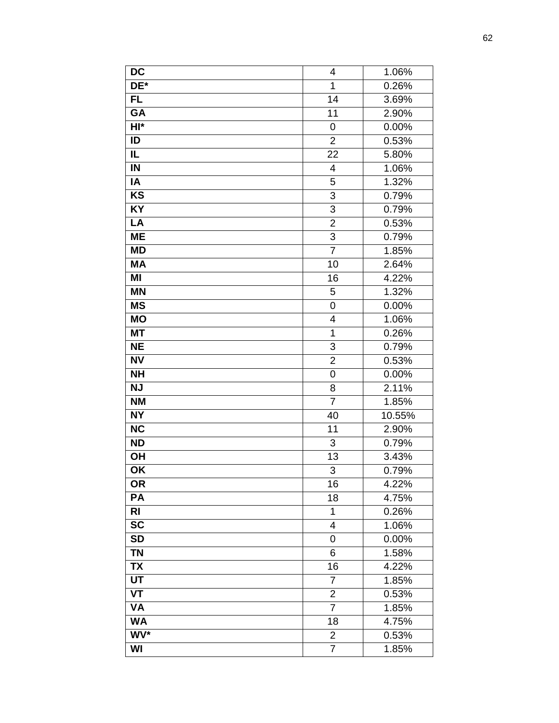| <b>DC</b>                         | 4              | 1.06%  |
|-----------------------------------|----------------|--------|
| DE*                               | 1              | 0.26%  |
| <b>FL</b>                         | 14             | 3.69%  |
| <b>GA</b>                         | 11             | 2.90%  |
| $HI*$                             | 0              | 0.00%  |
| ID                                | $\overline{2}$ | 0.53%  |
| IL                                | 22             | 5.80%  |
| $\overline{N}$                    | 4              | 1.06%  |
| $\overline{IA}$                   | 5              | 1.32%  |
| K <sub>S</sub>                    | $\overline{3}$ | 0.79%  |
| <b>KY</b>                         | $\overline{3}$ | 0.79%  |
| LA                                | $\overline{2}$ | 0.53%  |
| <b>ME</b>                         | $\overline{3}$ | 0.79%  |
| <b>MD</b>                         | $\overline{7}$ | 1.85%  |
| <b>MA</b>                         | 10             | 2.64%  |
| $\overline{M}$                    | 16             | 4.22%  |
| <b>MN</b>                         | 5              | 1.32%  |
| <b>MS</b>                         | 0              | 0.00%  |
| <b>MO</b>                         | 4              | 1.06%  |
| <b>MT</b>                         | $\mathbf{1}$   | 0.26%  |
| <b>NE</b>                         | 3              | 0.79%  |
| <b>NV</b>                         | $\overline{2}$ | 0.53%  |
| <b>NH</b>                         | 0              | 0.00%  |
| <b>NJ</b>                         | $\overline{8}$ | 2.11%  |
| <b>NM</b>                         | $\overline{7}$ | 1.85%  |
| <b>NY</b>                         | 40             | 10.55% |
| <b>NC</b>                         | 11             | 2.90%  |
| <b>ND</b>                         | 3              | 0.79%  |
| OH                                | 13             | 3.43%  |
| $\overline{\mathsf{OK}}$          | $\overline{3}$ | 0.79%  |
| <b>OR</b>                         | 16             | 4.22%  |
| PA                                | 18             | 4.75%  |
| RI                                | 1              | 0.26%  |
| <b>SC</b>                         | 4              | 1.06%  |
| <b>SD</b>                         | 0              | 0.00%  |
| <b>TN</b>                         | 6              | 1.58%  |
| <b>TX</b>                         | 16             | 4.22%  |
| <b>UT</b>                         | 7              | 1.85%  |
| $\overline{\mathsf{V}\mathsf{T}}$ | $\overline{2}$ | 0.53%  |
| <b>VA</b>                         | $\overline{7}$ | 1.85%  |
| <b>WA</b>                         | 18             | 4.75%  |
| WV*                               | $\overline{2}$ | 0.53%  |
| WI                                | $\overline{7}$ | 1.85%  |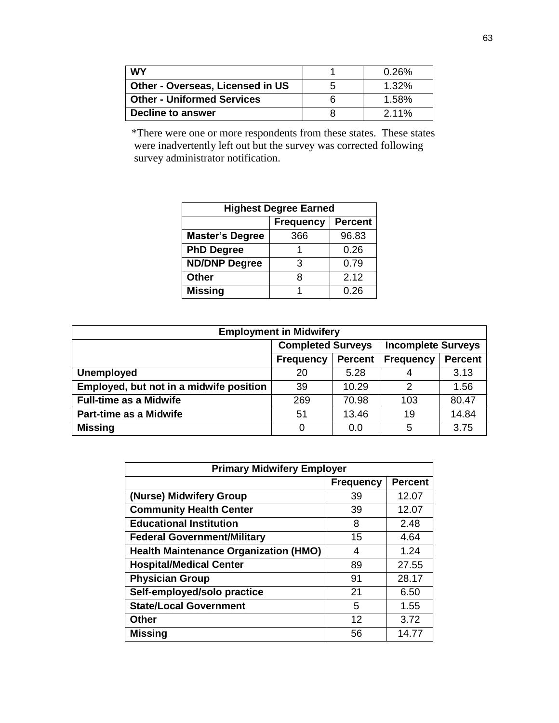| <b>WY</b>                               |   | 0.26%    |
|-----------------------------------------|---|----------|
| <b>Other - Overseas, Licensed in US</b> | G | 1.32%    |
| <b>Other - Uniformed Services</b>       |   | 1.58%    |
| Decline to answer                       |   | $2.11\%$ |

\*There were one or more respondents from these states. These states were inadvertently left out but the survey was corrected following survey administrator notification.

| <b>Highest Degree Earned</b>       |      |       |  |  |  |
|------------------------------------|------|-------|--|--|--|
| <b>Frequency</b><br><b>Percent</b> |      |       |  |  |  |
| <b>Master's Degree</b>             | 366  | 96.83 |  |  |  |
| <b>PhD Degree</b>                  |      | 0.26  |  |  |  |
| <b>ND/DNP Degree</b>               | З    | 0.79  |  |  |  |
| <b>Other</b>                       | 2.12 |       |  |  |  |
| <b>Missing</b>                     |      | 0.26  |  |  |  |

| <b>Employment in Midwifery</b>          |                          |                |                           |                |  |  |
|-----------------------------------------|--------------------------|----------------|---------------------------|----------------|--|--|
|                                         | <b>Completed Surveys</b> |                | <b>Incomplete Surveys</b> |                |  |  |
|                                         | <b>Frequency</b>         | <b>Percent</b> | <b>Frequency</b>          | <b>Percent</b> |  |  |
| <b>Unemployed</b>                       | 20                       | 5.28           | 4                         | 3.13           |  |  |
| Employed, but not in a midwife position | 39                       | 10.29          | 2                         | 1.56           |  |  |
| <b>Full-time as a Midwife</b>           | 269                      | 70.98          | 103                       | 80.47          |  |  |
| <b>Part-time as a Midwife</b>           | 51                       | 13.46          | 19                        | 14.84          |  |  |
| <b>Missing</b>                          | 0                        | 0.0            | 5                         | 3.75           |  |  |

| <b>Primary Midwifery Employer</b>            |    |       |  |  |  |
|----------------------------------------------|----|-------|--|--|--|
| <b>Percent</b><br><b>Frequency</b>           |    |       |  |  |  |
| (Nurse) Midwifery Group                      | 39 | 12.07 |  |  |  |
| <b>Community Health Center</b>               | 39 | 12.07 |  |  |  |
| <b>Educational Institution</b>               | 8  | 2.48  |  |  |  |
| <b>Federal Government/Military</b>           | 15 | 4.64  |  |  |  |
| <b>Health Maintenance Organization (HMO)</b> | 4  | 1.24  |  |  |  |
| <b>Hospital/Medical Center</b>               | 89 | 27.55 |  |  |  |
| <b>Physician Group</b>                       | 91 | 28.17 |  |  |  |
| Self-employed/solo practice                  | 21 | 6.50  |  |  |  |
| <b>State/Local Government</b>                | 5  | 1.55  |  |  |  |
| <b>Other</b>                                 | 12 | 3.72  |  |  |  |
| <b>Missing</b>                               | 56 | 14.77 |  |  |  |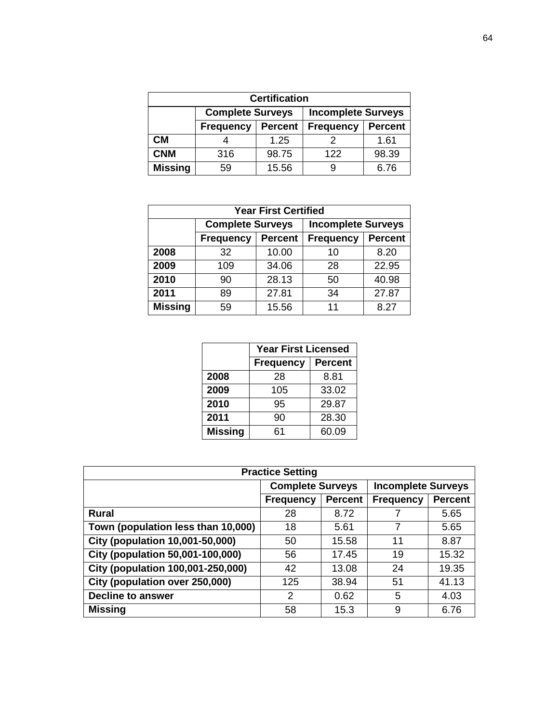| <b>Certification</b> |                                                                                                                                  |       |     |       |  |  |
|----------------------|----------------------------------------------------------------------------------------------------------------------------------|-------|-----|-------|--|--|
|                      | <b>Complete Surveys</b><br><b>Incomplete Surveys</b><br><b>Percent</b><br><b>Frequency</b><br><b>Percent</b><br><b>Frequency</b> |       |     |       |  |  |
|                      |                                                                                                                                  |       |     |       |  |  |
| CМ                   |                                                                                                                                  | 1.25  |     | 1.61  |  |  |
| <b>CNM</b>           | 316                                                                                                                              | 98.75 | 122 | 98.39 |  |  |
| <b>Missing</b>       | 59                                                                                                                               | 15.56 |     | 6.76  |  |  |

| <b>Year First Certified</b> |                         |                |                                    |       |  |
|-----------------------------|-------------------------|----------------|------------------------------------|-------|--|
|                             | <b>Complete Surveys</b> |                | <b>Incomplete Surveys</b>          |       |  |
|                             | <b>Frequency</b>        | <b>Percent</b> | <b>Percent</b><br><b>Frequency</b> |       |  |
| 2008                        | 32                      | 10.00          | 10                                 | 8.20  |  |
| 2009                        | 109                     | 34.06          | 28                                 | 22.95 |  |
| 2010                        | 90                      | 28.13          | 50                                 | 40.98 |  |
| 2011                        | 89                      | 27.81          | 34                                 | 27.87 |  |
| <b>Missing</b>              | 59                      | 15.56          | 11                                 | 8.27  |  |

|                | <b>Year First Licensed</b> |                |
|----------------|----------------------------|----------------|
|                | <b>Frequency</b>           | <b>Percent</b> |
| 2008           | 28                         | 8.81           |
| 2009           | 105                        | 33.02          |
| 2010           | 95                         | 29.87          |
| 2011           | 90                         | 28.30          |
| <b>Missing</b> | 61                         | 60.09          |

| <b>Practice Setting</b>                 |                         |                |                           |                |  |
|-----------------------------------------|-------------------------|----------------|---------------------------|----------------|--|
|                                         | <b>Complete Surveys</b> |                | <b>Incomplete Surveys</b> |                |  |
|                                         | <b>Frequency</b>        | <b>Percent</b> | <b>Frequency</b>          | <b>Percent</b> |  |
| <b>Rural</b>                            | 28                      | 8.72           |                           | 5.65           |  |
| Town (population less than 10,000)      | 18                      | 5.61           | 7                         | 5.65           |  |
| <b>City (population 10,001-50,000)</b>  | 50                      | 15.58          | 11                        | 8.87           |  |
| <b>City (population 50,001-100,000)</b> | 56                      | 17.45          | 19                        | 15.32          |  |
| City (population 100,001-250,000)       | 42                      | 13.08          | 24                        | 19.35          |  |
| City (population over 250,000)          | 125                     | 38.94          | 51                        | 41.13          |  |
| <b>Decline to answer</b>                | 2                       | 0.62           | 5                         | 4.03           |  |
| <b>Missing</b>                          | 58                      | 15.3           | 9                         | 6.76           |  |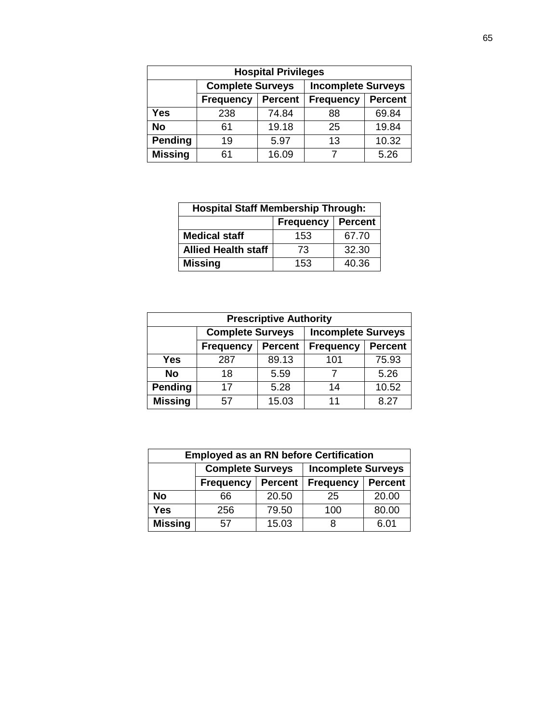| <b>Hospital Privileges</b> |                         |                |                           |                |  |  |  |
|----------------------------|-------------------------|----------------|---------------------------|----------------|--|--|--|
|                            | <b>Complete Surveys</b> |                | <b>Incomplete Surveys</b> |                |  |  |  |
|                            | <b>Frequency</b>        | <b>Percent</b> | <b>Frequency</b>          | <b>Percent</b> |  |  |  |
| <b>Yes</b>                 | 238                     | 74.84          | 88                        | 69.84          |  |  |  |
| <b>No</b>                  | 61                      | 19.18          | 25                        | 19.84          |  |  |  |
| <b>Pending</b>             | 19                      | 5.97           | 13                        | 10.32          |  |  |  |
| <b>Missing</b>             | 61                      | 16.09          |                           | 5.26           |  |  |  |

| <b>Hospital Staff Membership Through:</b> |     |       |  |  |  |  |
|-------------------------------------------|-----|-------|--|--|--|--|
| <b>Percent</b><br><b>Frequency</b>        |     |       |  |  |  |  |
| <b>Medical staff</b>                      | 153 | 67.70 |  |  |  |  |
| <b>Allied Health staff</b>                | 73  | 32.30 |  |  |  |  |
| <b>Missing</b>                            | 153 | 40.36 |  |  |  |  |

| <b>Prescriptive Authority</b> |                         |                |                           |                |  |  |  |
|-------------------------------|-------------------------|----------------|---------------------------|----------------|--|--|--|
|                               | <b>Complete Surveys</b> |                | <b>Incomplete Surveys</b> |                |  |  |  |
|                               | <b>Frequency</b>        | <b>Percent</b> | <b>Frequency</b>          | <b>Percent</b> |  |  |  |
| <b>Yes</b>                    | 287                     | 89.13          | 101                       | 75.93          |  |  |  |
| <b>No</b>                     | 18                      | 5.59           |                           | 5.26           |  |  |  |
| Pending                       | 17                      | 5.28           | 14                        | 10.52          |  |  |  |
| <b>Missing</b>                | 57                      | 15.03          | 11                        | 8.27           |  |  |  |

| <b>Employed as an RN before Certification</b> |                                                                          |       |     |       |  |  |  |  |
|-----------------------------------------------|--------------------------------------------------------------------------|-------|-----|-------|--|--|--|--|
|                                               | <b>Complete Surveys</b><br><b>Incomplete Surveys</b>                     |       |     |       |  |  |  |  |
|                                               | <b>Percent</b><br><b>Percent</b><br><b>Frequency</b><br><b>Frequency</b> |       |     |       |  |  |  |  |
| <b>No</b>                                     | 66                                                                       | 20.50 | 25  | 20.00 |  |  |  |  |
| <b>Yes</b>                                    | 256                                                                      | 79.50 | 100 | 80.00 |  |  |  |  |
| <b>Missing</b>                                | 57                                                                       | 15.03 | 8   | 6.01  |  |  |  |  |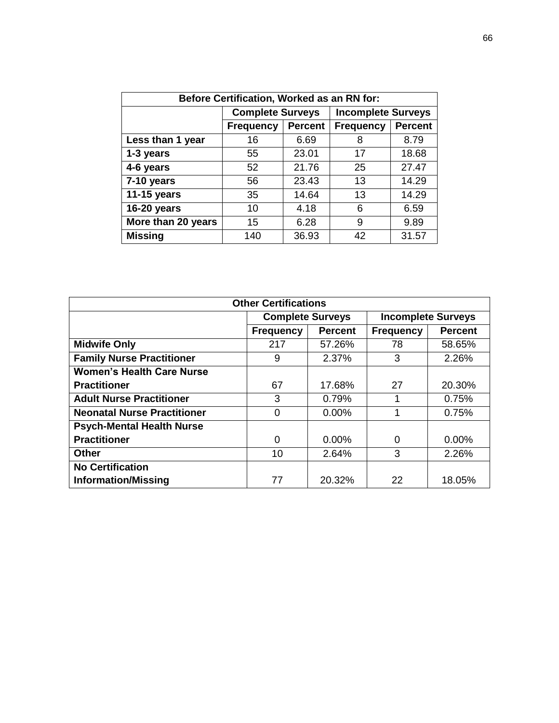| Before Certification, Worked as an RN for: |                         |                |                           |                |  |  |
|--------------------------------------------|-------------------------|----------------|---------------------------|----------------|--|--|
|                                            | <b>Complete Surveys</b> |                | <b>Incomplete Surveys</b> |                |  |  |
|                                            | <b>Frequency</b>        | <b>Percent</b> | <b>Frequency</b>          | <b>Percent</b> |  |  |
| Less than 1 year                           | 16                      | 6.69           | 8                         | 8.79           |  |  |
| 1-3 years                                  | 55                      | 23.01          | 17                        | 18.68          |  |  |
| 4-6 years                                  | 52                      | 21.76          | 25                        | 27.47          |  |  |
| 7-10 years                                 | 56                      | 23.43          | 13                        | 14.29          |  |  |
| 11-15 years                                | 35                      | 14.64          | 13                        | 14.29          |  |  |
| 16-20 years                                | 10                      | 4.18           | 6                         | 6.59           |  |  |
| More than 20 years                         | 15<br>6.28              |                | 9                         | 9.89           |  |  |
| <b>Missing</b>                             | 140                     | 36.93          | 42                        | 31.57          |  |  |

| <b>Other Certifications</b>        |                         |                |                           |                |
|------------------------------------|-------------------------|----------------|---------------------------|----------------|
|                                    | <b>Complete Surveys</b> |                | <b>Incomplete Surveys</b> |                |
|                                    | <b>Frequency</b>        | <b>Percent</b> | <b>Frequency</b>          | <b>Percent</b> |
| <b>Midwife Only</b>                | 217                     | 57.26%         | 78                        | 58.65%         |
| <b>Family Nurse Practitioner</b>   | 9                       | 2.37%          | 3                         | 2.26%          |
| <b>Women's Health Care Nurse</b>   |                         |                |                           |                |
| <b>Practitioner</b>                | 67                      | 17.68%         | 27                        | 20.30%         |
| <b>Adult Nurse Practitioner</b>    | 3                       | 0.79%          |                           | 0.75%          |
| <b>Neonatal Nurse Practitioner</b> | $\Omega$                | $0.00\%$       |                           | 0.75%          |
| <b>Psych-Mental Health Nurse</b>   |                         |                |                           |                |
| <b>Practitioner</b>                | 0                       | $0.00\%$       | 0                         | 0.00%          |
| <b>Other</b>                       | 10                      | 2.64%          | 3                         | 2.26%          |
| <b>No Certification</b>            |                         |                |                           |                |
| <b>Information/Missing</b>         | 77                      | 20.32%         | 22                        | 18.05%         |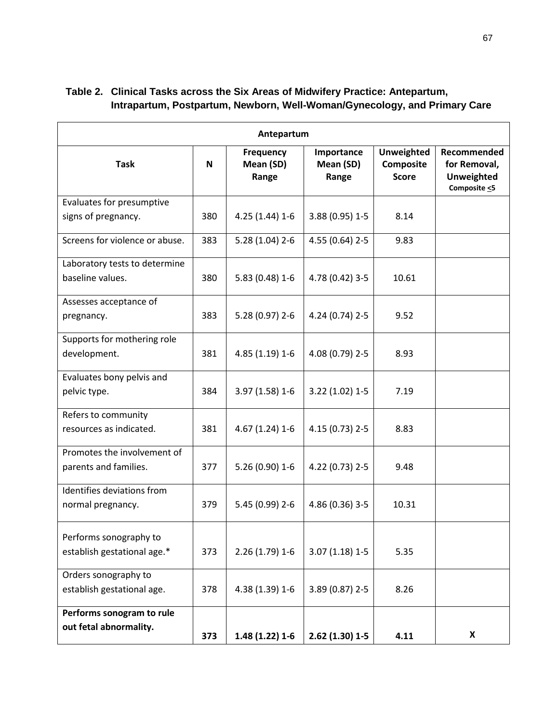| Antepartum                     |     |                                 |                                  |                                                |                                                                        |
|--------------------------------|-----|---------------------------------|----------------------------------|------------------------------------------------|------------------------------------------------------------------------|
| <b>Task</b>                    | N   | Frequency<br>Mean (SD)<br>Range | Importance<br>Mean (SD)<br>Range | <b>Unweighted</b><br>Composite<br><b>Score</b> | Recommended<br>for Removal,<br><b>Unweighted</b><br>Composite $\leq$ 5 |
| Evaluates for presumptive      |     |                                 |                                  |                                                |                                                                        |
| signs of pregnancy.            | 380 | $4.25(1.44)1-6$                 | 3.88 (0.95) 1-5                  | 8.14                                           |                                                                        |
| Screens for violence or abuse. | 383 | $5.28(1.04)$ 2-6                | 4.55 (0.64) 2-5                  | 9.83                                           |                                                                        |
| Laboratory tests to determine  |     |                                 |                                  |                                                |                                                                        |
| baseline values.               | 380 | 5.83 (0.48) 1-6                 | 4.78 (0.42) 3-5                  | 10.61                                          |                                                                        |
| Assesses acceptance of         |     |                                 |                                  |                                                |                                                                        |
| pregnancy.                     | 383 | $5.28(0.97)$ 2-6                | 4.24 (0.74) 2-5                  | 9.52                                           |                                                                        |
| Supports for mothering role    |     |                                 |                                  |                                                |                                                                        |
| development.                   | 381 | 4.85 (1.19) 1-6                 | 4.08 (0.79) 2-5                  | 8.93                                           |                                                                        |
| Evaluates bony pelvis and      |     |                                 |                                  |                                                |                                                                        |
| pelvic type.                   | 384 | 3.97 (1.58) 1-6                 | $3.22(1.02)1-5$                  | 7.19                                           |                                                                        |
| Refers to community            |     |                                 |                                  |                                                |                                                                        |
| resources as indicated.        | 381 | 4.67 (1.24) 1-6                 | 4.15 (0.73) 2-5                  | 8.83                                           |                                                                        |
| Promotes the involvement of    |     |                                 |                                  |                                                |                                                                        |
| parents and families.          | 377 | 5.26 (0.90) 1-6                 | 4.22 (0.73) 2-5                  | 9.48                                           |                                                                        |
| Identifies deviations from     |     |                                 |                                  |                                                |                                                                        |
| normal pregnancy.              | 379 | 5.45 (0.99) 2-6                 | 4.86 (0.36) 3-5                  | 10.31                                          |                                                                        |
| Performs sonography to         |     |                                 |                                  |                                                |                                                                        |
| establish gestational age.*    | 373 | $2.26(1.79)1-6$                 | $3.07(1.18)1-5$                  | 5.35                                           |                                                                        |
| Orders sonography to           |     |                                 |                                  |                                                |                                                                        |
| establish gestational age.     | 378 | 4.38 (1.39) 1-6                 | 3.89 (0.87) 2-5                  | 8.26                                           |                                                                        |
| Performs sonogram to rule      |     |                                 |                                  |                                                |                                                                        |
| out fetal abnormality.         | 373 | $1.48(1.22)1-6$                 | $2.62(1.30)1-5$                  | 4.11                                           | X                                                                      |

# **Table 2. Clinical Tasks across the Six Areas of Midwifery Practice: Antepartum, Intrapartum, Postpartum, Newborn, Well-Woman/Gynecology, and Primary Care**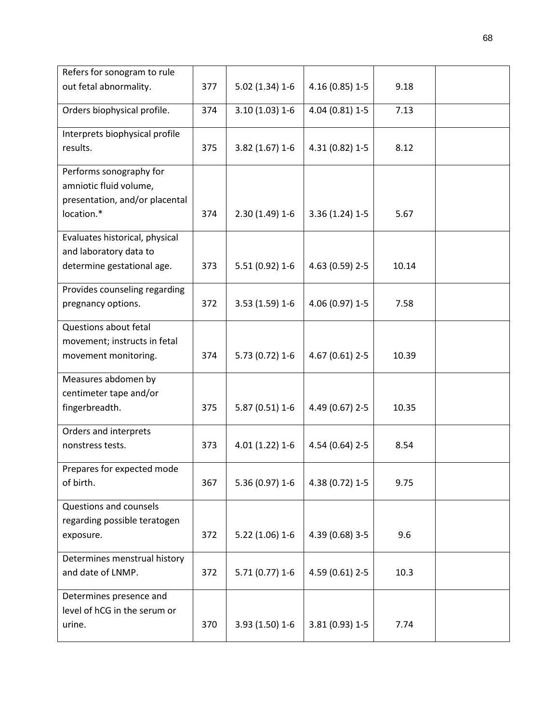| Refers for sonogram to rule                                                            |     |                  |                 |       |  |
|----------------------------------------------------------------------------------------|-----|------------------|-----------------|-------|--|
| out fetal abnormality.                                                                 | 377 | $5.02(1.34)1-6$  | 4.16 (0.85) 1-5 | 9.18  |  |
| Orders biophysical profile.                                                            | 374 | $3.10(1.03)1-6$  | 4.04 (0.81) 1-5 | 7.13  |  |
| Interprets biophysical profile<br>results.                                             | 375 | $3.82(1.67)$ 1-6 | 4.31 (0.82) 1-5 | 8.12  |  |
| Performs sonography for<br>amniotic fluid volume,<br>presentation, and/or placental    |     |                  |                 |       |  |
| location.*                                                                             | 374 | $2.30(1.49)1-6$  | $3.36(1.24)1-5$ | 5.67  |  |
| Evaluates historical, physical<br>and laboratory data to<br>determine gestational age. | 373 | 5.51 (0.92) 1-6  | 4.63 (0.59) 2-5 | 10.14 |  |
| Provides counseling regarding<br>pregnancy options.                                    | 372 | $3.53(1.59)1-6$  | 4.06 (0.97) 1-5 | 7.58  |  |
| Questions about fetal<br>movement; instructs in fetal<br>movement monitoring.          | 374 | 5.73 (0.72) 1-6  | 4.67 (0.61) 2-5 | 10.39 |  |
| Measures abdomen by<br>centimeter tape and/or<br>fingerbreadth.                        | 375 | $5.87(0.51)$ 1-6 | 4.49 (0.67) 2-5 | 10.35 |  |
| Orders and interprets<br>nonstress tests.                                              | 373 | 4.01 (1.22) 1-6  | 4.54 (0.64) 2-5 | 8.54  |  |
| Prepares for expected mode<br>of birth.                                                | 367 | 5.36 (0.97) 1-6  | 4.38 (0.72) 1-5 | 9.75  |  |
| Questions and counsels<br>regarding possible teratogen<br>exposure.                    | 372 | $5.22(1.06)1-6$  | 4.39 (0.68) 3-5 | 9.6   |  |
| Determines menstrual history<br>and date of LNMP.                                      | 372 | $5.71(0.77)$ 1-6 | 4.59 (0.61) 2-5 | 10.3  |  |
| Determines presence and<br>level of hCG in the serum or<br>urine.                      | 370 | 3.93 (1.50) 1-6  | 3.81 (0.93) 1-5 | 7.74  |  |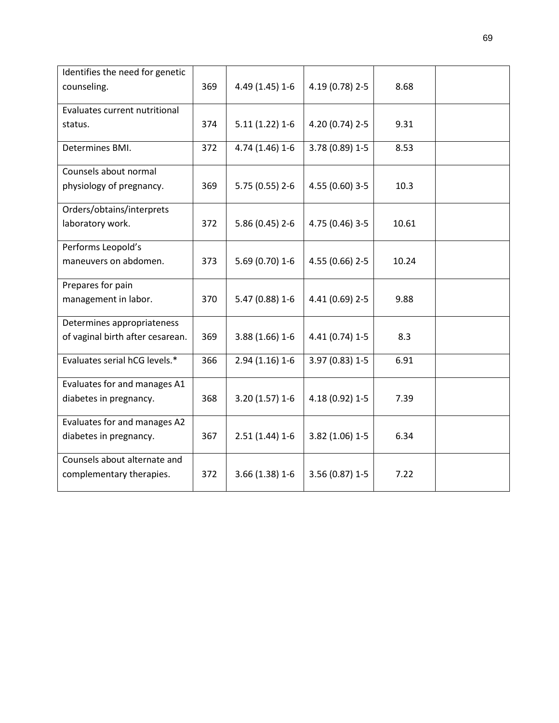| Identifies the need for genetic  |     |                 |                 |       |  |
|----------------------------------|-----|-----------------|-----------------|-------|--|
| counseling.                      | 369 | 4.49 (1.45) 1-6 | 4.19 (0.78) 2-5 | 8.68  |  |
| Evaluates current nutritional    |     |                 |                 |       |  |
| status.                          | 374 | $5.11(1.22)1-6$ | 4.20 (0.74) 2-5 | 9.31  |  |
| Determines BMI.                  | 372 | 4.74 (1.46) 1-6 | 3.78 (0.89) 1-5 | 8.53  |  |
| Counsels about normal            |     |                 |                 |       |  |
| physiology of pregnancy.         | 369 | 5.75 (0.55) 2-6 | 4.55 (0.60) 3-5 | 10.3  |  |
| Orders/obtains/interprets        |     |                 |                 |       |  |
| laboratory work.                 | 372 | 5.86 (0.45) 2-6 | 4.75 (0.46) 3-5 | 10.61 |  |
| Performs Leopold's               |     |                 |                 |       |  |
| maneuvers on abdomen.            | 373 | 5.69 (0.70) 1-6 | 4.55 (0.66) 2-5 | 10.24 |  |
| Prepares for pain                |     |                 |                 |       |  |
| management in labor.             | 370 | 5.47 (0.88) 1-6 | 4.41 (0.69) 2-5 | 9.88  |  |
| Determines appropriateness       |     |                 |                 |       |  |
| of vaginal birth after cesarean. | 369 | 3.88 (1.66) 1-6 | 4.41 (0.74) 1-5 | 8.3   |  |
| Evaluates serial hCG levels.*    | 366 | $2.94(1.16)1-6$ | 3.97 (0.83) 1-5 | 6.91  |  |
| Evaluates for and manages A1     |     |                 |                 |       |  |
| diabetes in pregnancy.           | 368 | $3.20(1.57)1-6$ | 4.18 (0.92) 1-5 | 7.39  |  |
| Evaluates for and manages A2     |     |                 |                 |       |  |
| diabetes in pregnancy.           | 367 | $2.51(1.44)1-6$ | 3.82 (1.06) 1-5 | 6.34  |  |
| Counsels about alternate and     |     |                 |                 |       |  |
| complementary therapies.         | 372 | 3.66 (1.38) 1-6 | 3.56 (0.87) 1-5 | 7.22  |  |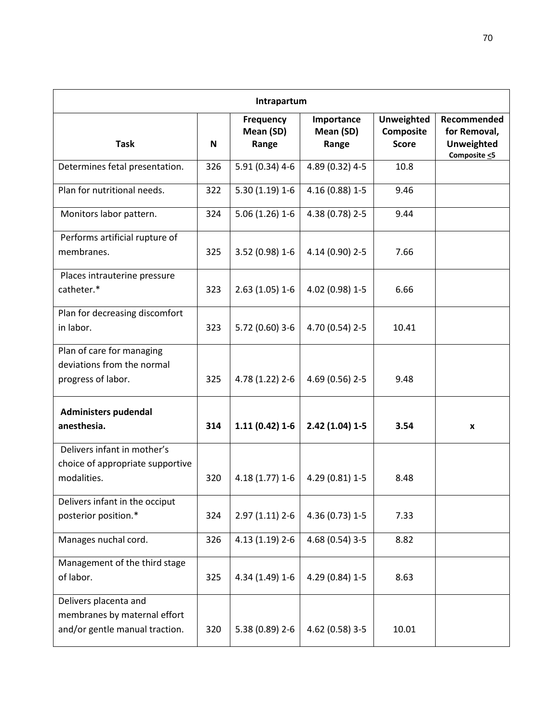| Intrapartum                                                                             |     |                                        |                                  |                                                |                                                                        |  |
|-----------------------------------------------------------------------------------------|-----|----------------------------------------|----------------------------------|------------------------------------------------|------------------------------------------------------------------------|--|
| <b>Task</b>                                                                             | N   | <b>Frequency</b><br>Mean (SD)<br>Range | Importance<br>Mean (SD)<br>Range | <b>Unweighted</b><br>Composite<br><b>Score</b> | Recommended<br>for Removal,<br><b>Unweighted</b><br>Composite $\leq$ 5 |  |
| Determines fetal presentation.                                                          | 326 | 5.91 (0.34) 4-6                        | 4.89 (0.32) 4-5                  | 10.8                                           |                                                                        |  |
| Plan for nutritional needs.                                                             | 322 | $5.30(1.19)1-6$                        | 4.16 (0.88) 1-5                  | 9.46                                           |                                                                        |  |
| Monitors labor pattern.                                                                 | 324 | $5.06(1.26)1-6$                        | 4.38 (0.78) 2-5                  | 9.44                                           |                                                                        |  |
| Performs artificial rupture of<br>membranes.                                            | 325 | 3.52 (0.98) 1-6                        | 4.14 (0.90) 2-5                  | 7.66                                           |                                                                        |  |
| Places intrauterine pressure<br>catheter.*                                              | 323 | $2.63(1.05)1-6$                        | 4.02 (0.98) 1-5                  | 6.66                                           |                                                                        |  |
| Plan for decreasing discomfort<br>in labor.                                             | 323 | 5.72 (0.60) 3-6                        | 4.70 (0.54) 2-5                  | 10.41                                          |                                                                        |  |
| Plan of care for managing<br>deviations from the normal<br>progress of labor.           | 325 | 4.78 (1.22) 2-6                        | 4.69 (0.56) 2-5                  | 9.48                                           |                                                                        |  |
| Administers pudendal<br>anesthesia.                                                     | 314 | $1.11(0.42)1-6$                        | $2.42(1.04)1-5$                  | 3.54                                           | X                                                                      |  |
| Delivers infant in mother's<br>choice of appropriate supportive<br>modalities.          | 320 | $4.18(1.77)1-6$                        | 4.29 (0.81) 1-5                  | 8.48                                           |                                                                        |  |
| Delivers infant in the occiput<br>posterior position.*                                  | 324 | $2.97(1.11)$ 2-6                       | 4.36 (0.73) 1-5                  | 7.33                                           |                                                                        |  |
| Manages nuchal cord.                                                                    | 326 | 4.13 (1.19) 2-6                        | 4.68 (0.54) 3-5                  | 8.82                                           |                                                                        |  |
| Management of the third stage<br>of labor.                                              | 325 | 4.34 (1.49) 1-6                        | 4.29 (0.84) 1-5                  | 8.63                                           |                                                                        |  |
| Delivers placenta and<br>membranes by maternal effort<br>and/or gentle manual traction. | 320 | 5.38 (0.89) 2-6                        | 4.62 (0.58) 3-5                  | 10.01                                          |                                                                        |  |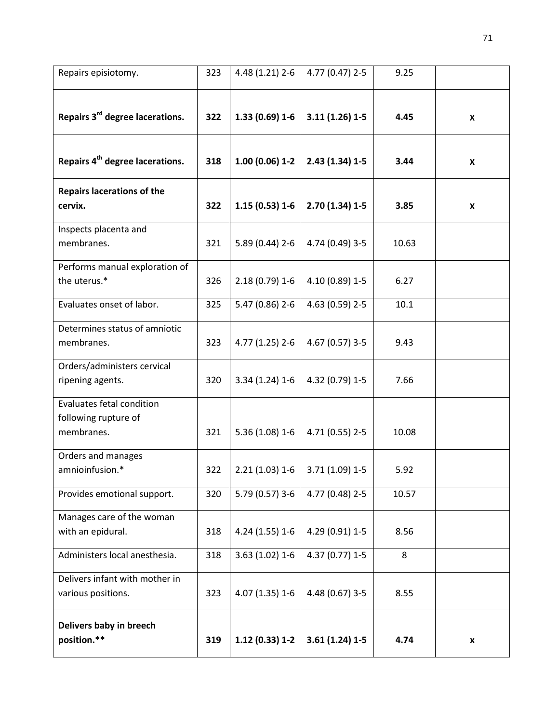| Repairs episiotomy.                                             | 323 | 4.48 (1.21) 2-6  | 4.77 (0.47) 2-5 | 9.25  |   |
|-----------------------------------------------------------------|-----|------------------|-----------------|-------|---|
| Repairs 3 <sup>rd</sup> degree lacerations.                     | 322 | $1.33(0.69)1-6$  | $3.11(1.26)1-5$ | 4.45  | X |
| Repairs 4 <sup>th</sup> degree lacerations.                     | 318 | $1.00(0.06)$ 1-2 | $2.43(1.34)1-5$ | 3.44  | X |
| <b>Repairs lacerations of the</b><br>cervix.                    | 322 | $1.15(0.53)1-6$  | $2.70(1.34)1-5$ | 3.85  | X |
| Inspects placenta and<br>membranes.                             | 321 | $5.89(0.44)$ 2-6 | 4.74 (0.49) 3-5 | 10.63 |   |
| Performs manual exploration of<br>the uterus.*                  | 326 | $2.18(0.79)1-6$  | 4.10 (0.89) 1-5 | 6.27  |   |
| Evaluates onset of labor.                                       | 325 | 5.47 (0.86) 2-6  | 4.63 (0.59) 2-5 | 10.1  |   |
| Determines status of amniotic<br>membranes.                     | 323 | 4.77 (1.25) 2-6  | 4.67 (0.57) 3-5 | 9.43  |   |
| Orders/administers cervical<br>ripening agents.                 | 320 | $3.34(1.24)1-6$  | 4.32 (0.79) 1-5 | 7.66  |   |
| Evaluates fetal condition<br>following rupture of<br>membranes. | 321 | $5.36(1.08)1-6$  | 4.71 (0.55) 2-5 | 10.08 |   |
| Orders and manages<br>amnioinfusion.*                           | 322 | $2.21(1.03)1-6$  | 3.71 (1.09) 1-5 | 5.92  |   |
| Provides emotional support.                                     | 320 | 5.79 (0.57) 3-6  | 4.77 (0.48) 2-5 | 10.57 |   |
| Manages care of the woman<br>with an epidural.                  | 318 | 4.24 (1.55) 1-6  | 4.29 (0.91) 1-5 | 8.56  |   |
| Administers local anesthesia.                                   | 318 | $3.63(1.02)1-6$  | 4.37 (0.77) 1-5 | 8     |   |
| Delivers infant with mother in<br>various positions.            | 323 | 4.07 (1.35) 1-6  | 4.48 (0.67) 3-5 | 8.55  |   |
| Delivers baby in breech<br>position.**                          | 319 | $1.12(0.33)1-2$  | $3.61(1.24)1-5$ | 4.74  | x |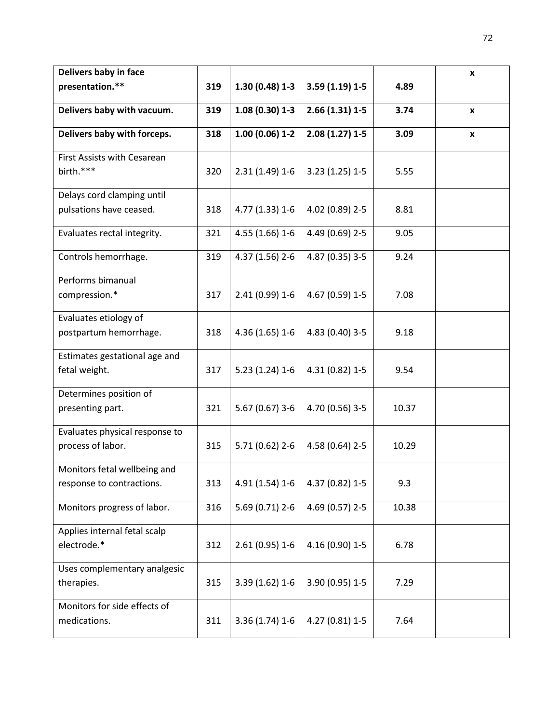| Delivers baby in face          |     |                  |                   |       | X            |
|--------------------------------|-----|------------------|-------------------|-------|--------------|
| presentation.**                | 319 | $1.30(0.48)1-3$  | $3.59(1.19)1-5$   | 4.89  |              |
|                                |     |                  |                   |       |              |
| Delivers baby with vacuum.     | 319 | $1.08(0.30)$ 1-3 | $2.66(1.31)$ 1-5  | 3.74  | $\pmb{\chi}$ |
| Delivers baby with forceps.    | 318 | $1.00(0.06)$ 1-2 | $2.08(1.27)1 - 5$ | 3.09  | $\pmb{\chi}$ |
|                                |     |                  |                   |       |              |
| First Assists with Cesarean    |     |                  |                   |       |              |
| birth.***                      | 320 | $2.31(1.49)1-6$  | $3.23(1.25)1-5$   | 5.55  |              |
| Delays cord clamping until     |     |                  |                   |       |              |
| pulsations have ceased.        | 318 | 4.77 (1.33) 1-6  | 4.02 (0.89) 2-5   | 8.81  |              |
|                                |     |                  |                   |       |              |
| Evaluates rectal integrity.    | 321 | $4.55(1.66)1-6$  | 4.49 (0.69) 2-5   | 9.05  |              |
|                                |     |                  |                   |       |              |
| Controls hemorrhage.           | 319 | 4.37 (1.56) 2-6  | 4.87 (0.35) 3-5   | 9.24  |              |
| Performs bimanual              |     |                  |                   |       |              |
| compression.*                  | 317 | 2.41 (0.99) 1-6  | 4.67 (0.59) 1-5   | 7.08  |              |
|                                |     |                  |                   |       |              |
| Evaluates etiology of          |     |                  |                   |       |              |
| postpartum hemorrhage.         | 318 | 4.36 (1.65) 1-6  | 4.83 (0.40) 3-5   | 9.18  |              |
|                                |     |                  |                   |       |              |
| Estimates gestational age and  |     |                  |                   |       |              |
| fetal weight.                  | 317 | $5.23(1.24)1-6$  | 4.31 (0.82) 1-5   | 9.54  |              |
| Determines position of         |     |                  |                   |       |              |
| presenting part.               | 321 | $5.67(0.67)$ 3-6 | 4.70 (0.56) 3-5   | 10.37 |              |
|                                |     |                  |                   |       |              |
| Evaluates physical response to |     |                  |                   |       |              |
| process of labor.              | 315 | $5.71(0.62)$ 2-6 | 4.58 (0.64) 2-5   | 10.29 |              |
| Monitors fetal wellbeing and   |     |                  |                   |       |              |
| response to contractions.      | 313 | 4.91 (1.54) 1-6  | 4.37 (0.82) 1-5   | 9.3   |              |
|                                |     |                  |                   |       |              |
| Monitors progress of labor.    | 316 | 5.69 (0.71) 2-6  | 4.69 (0.57) 2-5   | 10.38 |              |
|                                |     |                  |                   |       |              |
| Applies internal fetal scalp   |     |                  |                   |       |              |
| electrode.*                    | 312 | $2.61(0.95)$ 1-6 | 4.16 (0.90) 1-5   | 6.78  |              |
| Uses complementary analgesic   |     |                  |                   |       |              |
| therapies.                     | 315 | $3.39(1.62)1-6$  | 3.90 (0.95) 1-5   | 7.29  |              |
|                                |     |                  |                   |       |              |
| Monitors for side effects of   |     |                  |                   |       |              |
| medications.                   | 311 | $3.36(1.74)1-6$  | 4.27 (0.81) 1-5   | 7.64  |              |
|                                |     |                  |                   |       |              |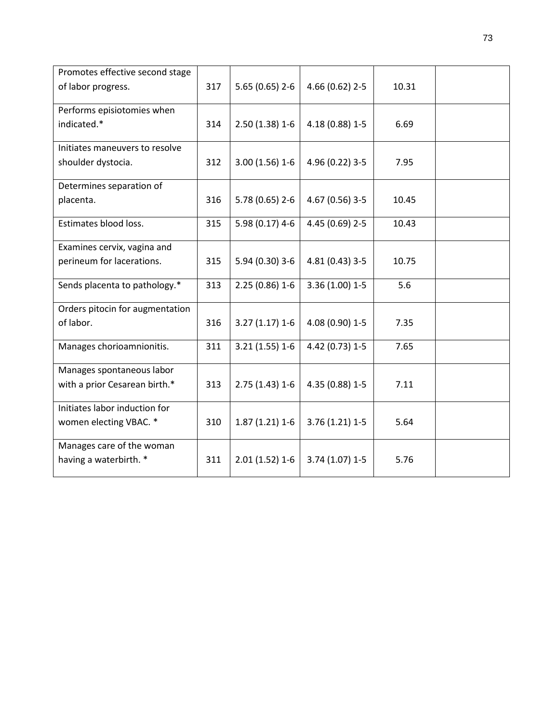| Promotes effective second stage |     |                  |                   |       |  |
|---------------------------------|-----|------------------|-------------------|-------|--|
| of labor progress.              | 317 | $5.65(0.65)$ 2-6 | 4.66 (0.62) 2-5   | 10.31 |  |
| Performs episiotomies when      |     |                  |                   |       |  |
| indicated.*                     | 314 | $2.50(1.38)1-6$  | 4.18 (0.88) 1-5   | 6.69  |  |
| Initiates maneuvers to resolve  |     |                  |                   |       |  |
| shoulder dystocia.              | 312 | $3.00(1.56)1-6$  | 4.96 (0.22) 3-5   | 7.95  |  |
| Determines separation of        |     |                  |                   |       |  |
| placenta.                       | 316 | 5.78 (0.65) 2-6  | 4.67 (0.56) 3-5   | 10.45 |  |
| Estimates blood loss.           | 315 | 5.98 (0.17) 4-6  | 4.45 (0.69) 2-5   | 10.43 |  |
| Examines cervix, vagina and     |     |                  |                   |       |  |
| perineum for lacerations.       | 315 | 5.94 (0.30) 3-6  | 4.81 (0.43) 3-5   | 10.75 |  |
| Sends placenta to pathology.*   | 313 | $2.25(0.86)1-6$  | $3.36(1.00)$ 1-5  | 5.6   |  |
| Orders pitocin for augmentation |     |                  |                   |       |  |
| of labor.                       | 316 | $3.27(1.17)1-6$  | 4.08 (0.90) 1-5   | 7.35  |  |
| Manages chorioamnionitis.       | 311 | $3.21(1.55)1-6$  | 4.42 (0.73) 1-5   | 7.65  |  |
| Manages spontaneous labor       |     |                  |                   |       |  |
| with a prior Cesarean birth.*   | 313 | $2.75(1.43)1-6$  | 4.35 (0.88) 1-5   | 7.11  |  |
| Initiates labor induction for   |     |                  |                   |       |  |
| women electing VBAC. *          | 310 | $1.87(1.21)1-6$  | $3.76(1.21)1 - 5$ | 5.64  |  |
| Manages care of the woman       |     |                  |                   |       |  |
| having a waterbirth. *          | 311 | $2.01(1.52)1-6$  | $3.74(1.07)$ 1-5  | 5.76  |  |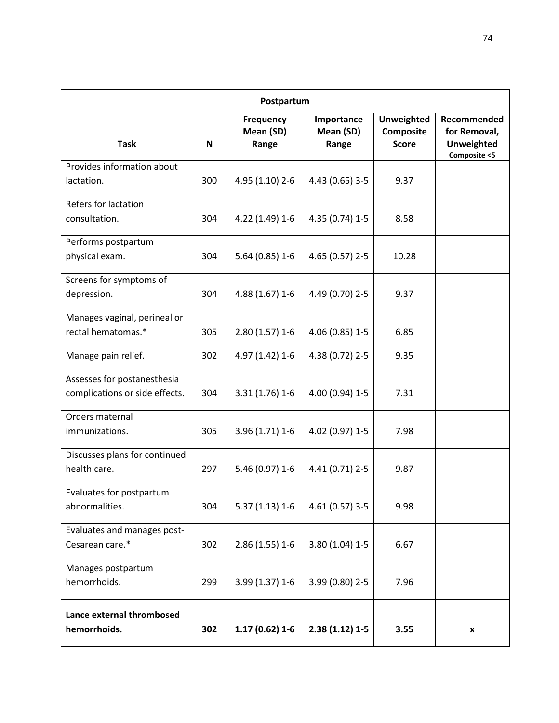|                                                               | Postpartum |                                        |                                  |                                                       |                                                                        |  |  |  |
|---------------------------------------------------------------|------------|----------------------------------------|----------------------------------|-------------------------------------------------------|------------------------------------------------------------------------|--|--|--|
| <b>Task</b>                                                   | N          | <b>Frequency</b><br>Mean (SD)<br>Range | Importance<br>Mean (SD)<br>Range | <b>Unweighted</b><br><b>Composite</b><br><b>Score</b> | Recommended<br>for Removal,<br><b>Unweighted</b><br>Composite $\leq$ 5 |  |  |  |
| Provides information about<br>lactation.                      | 300        | 4.95 (1.10) 2-6                        | 4.43 (0.65) 3-5                  | 9.37                                                  |                                                                        |  |  |  |
| Refers for lactation<br>consultation.                         | 304        | 4.22 (1.49) 1-6                        | 4.35 (0.74) 1-5                  | 8.58                                                  |                                                                        |  |  |  |
| Performs postpartum<br>physical exam.                         | 304        | $5.64(0.85)1-6$                        | 4.65 (0.57) 2-5                  | 10.28                                                 |                                                                        |  |  |  |
| Screens for symptoms of<br>depression.                        | 304        | 4.88 (1.67) 1-6                        | 4.49 (0.70) 2-5                  | 9.37                                                  |                                                                        |  |  |  |
| Manages vaginal, perineal or<br>rectal hematomas.*            | 305        | $2.80(1.57)$ 1-6                       | 4.06 (0.85) 1-5                  | 6.85                                                  |                                                                        |  |  |  |
| Manage pain relief.                                           | 302        | 4.97 (1.42) 1-6                        | 4.38 (0.72) 2-5                  | 9.35                                                  |                                                                        |  |  |  |
| Assesses for postanesthesia<br>complications or side effects. | 304        | 3.31 (1.76) 1-6                        | 4.00 (0.94) 1-5                  | 7.31                                                  |                                                                        |  |  |  |
| Orders maternal<br>immunizations.                             | 305        | 3.96 (1.71) 1-6                        | 4.02 (0.97) 1-5                  | 7.98                                                  |                                                                        |  |  |  |
| Discusses plans for continued<br>health care.                 | 297        | 5.46 (0.97) 1-6                        | 4.41 (0.71) 2-5                  | 9.87                                                  |                                                                        |  |  |  |
| Evaluates for postpartum<br>abnormalities.                    | 304        | $5.37(1.13)1-6$                        | 4.61 (0.57) 3-5                  | 9.98                                                  |                                                                        |  |  |  |
| Evaluates and manages post-<br>Cesarean care.*                | 302        | $2.86(1.55)1-6$                        | 3.80 (1.04) 1-5                  | 6.67                                                  |                                                                        |  |  |  |
| Manages postpartum<br>hemorrhoids.                            | 299        | 3.99 (1.37) 1-6                        | 3.99 (0.80) 2-5                  | 7.96                                                  |                                                                        |  |  |  |
| Lance external thrombosed<br>hemorrhoids.                     | 302        | $1.17(0.62)1-6$                        | $2.38(1.12)1-5$                  | 3.55                                                  | X                                                                      |  |  |  |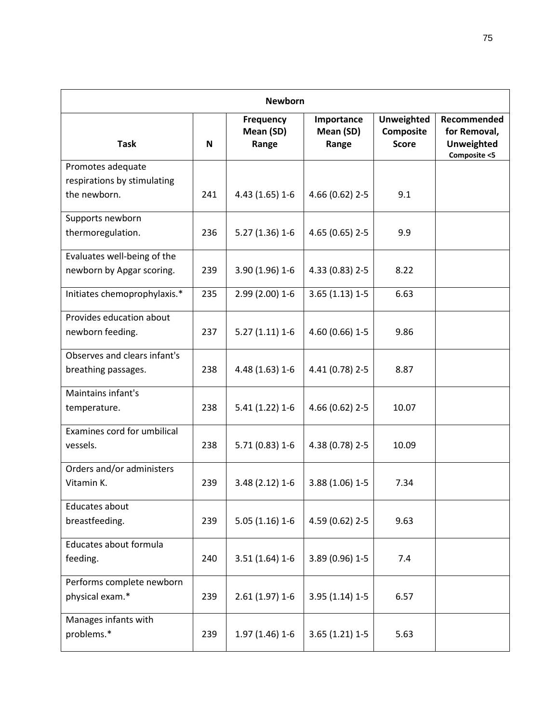| <b>Newborn</b>                                           |     |                                 |                                  |                                                |                                                                  |  |  |
|----------------------------------------------------------|-----|---------------------------------|----------------------------------|------------------------------------------------|------------------------------------------------------------------|--|--|
| <b>Task</b>                                              | N   | Frequency<br>Mean (SD)<br>Range | Importance<br>Mean (SD)<br>Range | <b>Unweighted</b><br>Composite<br><b>Score</b> | Recommended<br>for Removal,<br><b>Unweighted</b><br>Composite <5 |  |  |
| Promotes adequate                                        |     |                                 |                                  |                                                |                                                                  |  |  |
| respirations by stimulating<br>the newborn.              | 241 | 4.43 (1.65) 1-6                 | 4.66 (0.62) 2-5                  | 9.1                                            |                                                                  |  |  |
| Supports newborn<br>thermoregulation.                    | 236 | $5.27(1.36)1-6$                 | 4.65 (0.65) 2-5                  | 9.9                                            |                                                                  |  |  |
| Evaluates well-being of the<br>newborn by Apgar scoring. | 239 | 3.90 (1.96) 1-6                 | 4.33 (0.83) 2-5                  | 8.22                                           |                                                                  |  |  |
| Initiates chemoprophylaxis.*                             | 235 | 2.99 (2.00) 1-6                 | $3.65(1.13)1-5$                  | 6.63                                           |                                                                  |  |  |
| Provides education about<br>newborn feeding.             | 237 | $5.27(1.11)1-6$                 | 4.60 (0.66) 1-5                  | 9.86                                           |                                                                  |  |  |
| Observes and clears infant's<br>breathing passages.      | 238 | 4.48 (1.63) 1-6                 | 4.41 (0.78) 2-5                  | 8.87                                           |                                                                  |  |  |
| Maintains infant's<br>temperature.                       | 238 | $5.41(1.22)1-6$                 | 4.66 (0.62) 2-5                  | 10.07                                          |                                                                  |  |  |
| Examines cord for umbilical<br>vessels.                  | 238 | $5.71(0.83)1-6$                 | 4.38 (0.78) 2-5                  | 10.09                                          |                                                                  |  |  |
| Orders and/or administers<br>Vitamin K.                  | 239 | $3.48(2.12)1-6$                 | 3.88 (1.06) 1-5                  | 7.34                                           |                                                                  |  |  |
| Educates about<br>breastfeeding.                         | 239 | $5.05(1.16)1-6$                 | 4.59 (0.62) 2-5                  | 9.63                                           |                                                                  |  |  |
| Educates about formula<br>feeding.                       | 240 | $3.51(1.64)1-6$                 | 3.89 (0.96) 1-5                  | 7.4                                            |                                                                  |  |  |
| Performs complete newborn<br>physical exam.*             | 239 | $2.61(1.97)$ 1-6                | $3.95(1.14)1-5$                  | 6.57                                           |                                                                  |  |  |
| Manages infants with<br>problems.*                       | 239 | $1.97(1.46)1-6$                 | $3.65(1.21)1-5$                  | 5.63                                           |                                                                  |  |  |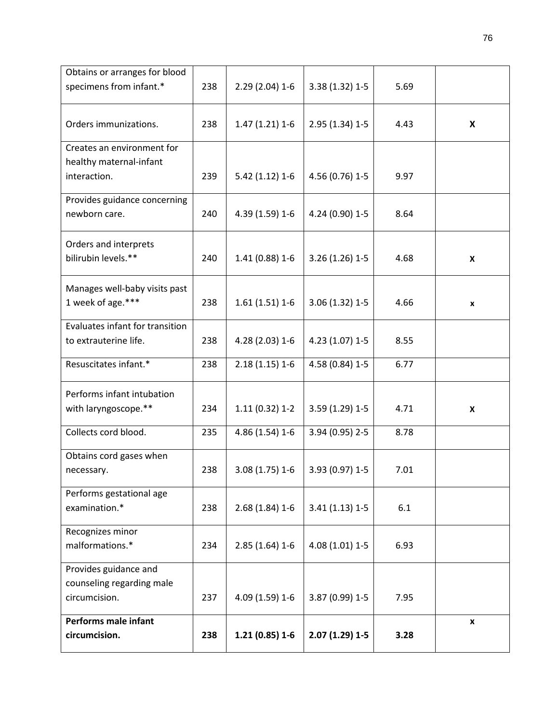| Obtains or arranges for blood<br>specimens from infant.*              | 238 | $2.29(2.04)$ 1-6 | 3.38 (1.32) 1-5  | 5.69 |                    |
|-----------------------------------------------------------------------|-----|------------------|------------------|------|--------------------|
| Orders immunizations.                                                 | 238 | $1.47(1.21)1-6$  | 2.95 (1.34) 1-5  | 4.43 | $\pmb{\mathsf{x}}$ |
| Creates an environment for<br>healthy maternal-infant<br>interaction. | 239 | $5.42(1.12)1-6$  | 4.56 (0.76) 1-5  | 9.97 |                    |
| Provides guidance concerning<br>newborn care.                         | 240 | 4.39 (1.59) 1-6  | 4.24 (0.90) 1-5  | 8.64 |                    |
| Orders and interprets<br>bilirubin levels.**                          | 240 | 1.41 (0.88) 1-6  | $3.26(1.26)$ 1-5 | 4.68 | X                  |
| Manages well-baby visits past<br>1 week of age.***                    | 238 | $1.61(1.51)1-6$  | 3.06 (1.32) 1-5  | 4.66 | $\pmb{\mathsf{x}}$ |
| Evaluates infant for transition<br>to extrauterine life.              | 238 | 4.28 (2.03) 1-6  | 4.23 (1.07) 1-5  | 8.55 |                    |
| Resuscitates infant.*                                                 | 238 | $2.18(1.15)1-6$  | 4.58 (0.84) 1-5  | 6.77 |                    |
| Performs infant intubation<br>with laryngoscope.**                    | 234 | $1.11(0.32)$ 1-2 | 3.59 (1.29) 1-5  | 4.71 | $\pmb{\mathsf{X}}$ |
| Collects cord blood.                                                  | 235 | 4.86 (1.54) 1-6  | 3.94 (0.95) 2-5  | 8.78 |                    |
| Obtains cord gases when<br>necessary.                                 | 238 | 3.08 (1.75) 1-6  | 3.93 (0.97) 1-5  | 7.01 |                    |
| Performs gestational age<br>examination.*                             | 238 | $2.68(1.84)1-6$  | $3.41(1.13)1-5$  | 6.1  |                    |
| Recognizes minor<br>malformations.*                                   | 234 | $2.85(1.64)1-6$  | 4.08 (1.01) 1-5  | 6.93 |                    |
| Provides guidance and<br>counseling regarding male<br>circumcision.   | 237 | 4.09 (1.59) 1-6  | 3.87 (0.99) 1-5  | 7.95 |                    |
| Performs male infant<br>circumcision.                                 | 238 | $1.21(0.85)1-6$  | $2.07(1.29)1-5$  | 3.28 | $\pmb{\mathsf{x}}$ |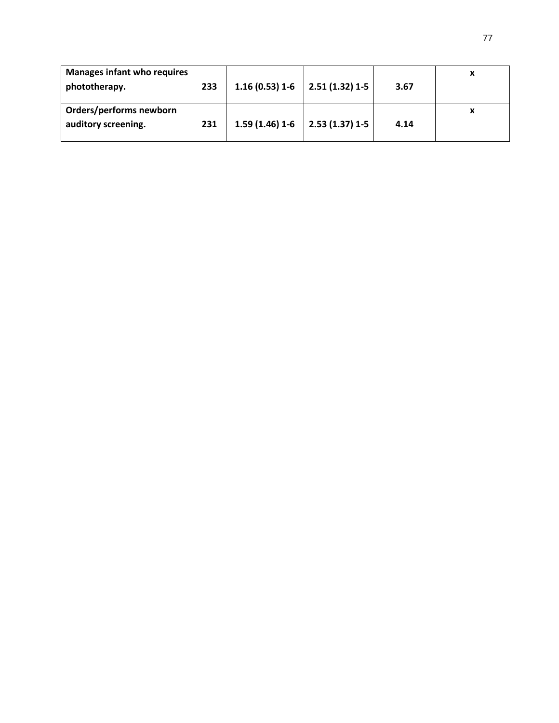| <b>Manages infant who requires</b><br>phototherapy. | 233 | $1.16(0.53)1-6$                   | $\vert$ 2.51 (1.32) 1-5 | 3.67 | х |
|-----------------------------------------------------|-----|-----------------------------------|-------------------------|------|---|
| Orders/performs newborn<br>auditory screening.      | 231 | $1.59(1.46)1-6$   2.53 (1.37) 1-5 |                         | 4.14 | X |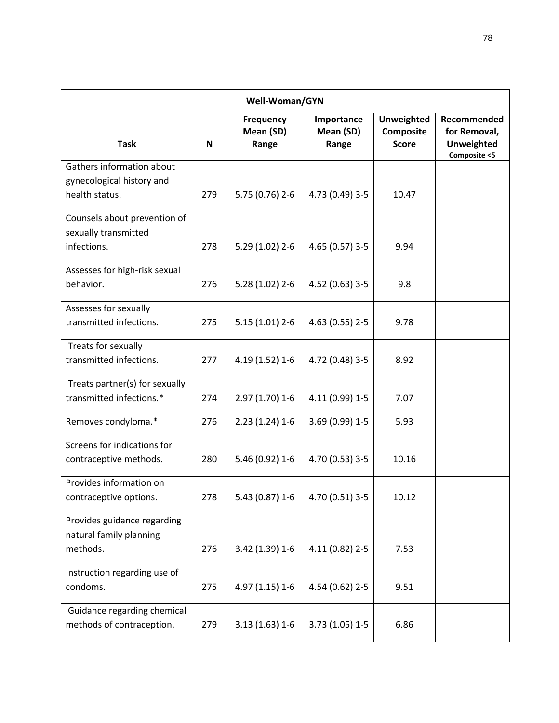| Well-Woman/GYN                                                           |     |                                        |                                  |                                                |                                                                        |  |  |
|--------------------------------------------------------------------------|-----|----------------------------------------|----------------------------------|------------------------------------------------|------------------------------------------------------------------------|--|--|
| <b>Task</b>                                                              | N   | <b>Frequency</b><br>Mean (SD)<br>Range | Importance<br>Mean (SD)<br>Range | <b>Unweighted</b><br>Composite<br><b>Score</b> | Recommended<br>for Removal,<br><b>Unweighted</b><br>Composite $\leq$ 5 |  |  |
| Gathers information about<br>gynecological history and<br>health status. | 279 | 5.75 (0.76) 2-6                        | 4.73 (0.49) 3-5                  | 10.47                                          |                                                                        |  |  |
| Counsels about prevention of<br>sexually transmitted<br>infections.      | 278 | 5.29 (1.02) 2-6                        | 4.65 (0.57) 3-5                  | 9.94                                           |                                                                        |  |  |
| Assesses for high-risk sexual<br>behavior.                               | 276 | $5.28(1.02)$ 2-6                       | 4.52 (0.63) 3-5                  | 9.8                                            |                                                                        |  |  |
| Assesses for sexually<br>transmitted infections.                         | 275 | $5.15(1.01)$ 2-6                       | 4.63 (0.55) 2-5                  | 9.78                                           |                                                                        |  |  |
| Treats for sexually<br>transmitted infections.                           | 277 | 4.19 (1.52) 1-6                        | 4.72 (0.48) 3-5                  | 8.92                                           |                                                                        |  |  |
| Treats partner(s) for sexually<br>transmitted infections.*               | 274 | 2.97 (1.70) 1-6                        | 4.11 (0.99) 1-5                  | 7.07                                           |                                                                        |  |  |
| Removes condyloma.*                                                      | 276 | $2.23(1.24)1-6$                        | 3.69 (0.99) 1-5                  | 5.93                                           |                                                                        |  |  |
| Screens for indications for<br>contraceptive methods.                    | 280 | 5.46 (0.92) 1-6                        | 4.70 (0.53) 3-5                  | 10.16                                          |                                                                        |  |  |
| Provides information on<br>contraceptive options.                        | 278 | 5.43 (0.87) 1-6                        | $ $ 4.70 (0.51) 3-5              | 10.12                                          |                                                                        |  |  |
| Provides guidance regarding<br>natural family planning<br>methods.       | 276 | 3.42 (1.39) 1-6                        | 4.11 (0.82) 2-5                  | 7.53                                           |                                                                        |  |  |
| Instruction regarding use of<br>condoms.                                 | 275 | 4.97 (1.15) 1-6                        | 4.54 (0.62) 2-5                  | 9.51                                           |                                                                        |  |  |
| Guidance regarding chemical<br>methods of contraception.                 | 279 | $3.13(1.63)1-6$                        | $3.73(1.05)1-5$                  | 6.86                                           |                                                                        |  |  |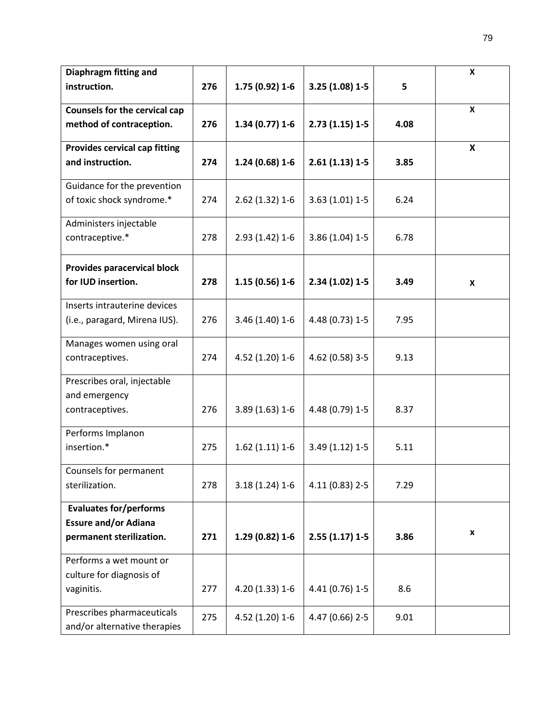| Diaphragm fitting and                                    |     |                 |                  |      | X                  |
|----------------------------------------------------------|-----|-----------------|------------------|------|--------------------|
| instruction.                                             | 276 | 1.75 (0.92) 1-6 | $3.25(1.08)1-5$  | 5    |                    |
|                                                          |     |                 |                  |      |                    |
| <b>Counsels for the cervical cap</b>                     |     |                 |                  |      | X                  |
| method of contraception.                                 | 276 | $1.34(0.77)1-6$ | $2.73(1.15)1-5$  | 4.08 |                    |
| <b>Provides cervical cap fitting</b>                     |     |                 |                  |      | X                  |
| and instruction.                                         | 274 | $1.24(0.68)1-6$ | $2.61(1.13)1-5$  | 3.85 |                    |
|                                                          |     |                 |                  |      |                    |
| Guidance for the prevention                              |     |                 |                  |      |                    |
| of toxic shock syndrome.*                                | 274 | $2.62(1.32)1-6$ | $3.63(1.01)$ 1-5 | 6.24 |                    |
|                                                          |     |                 |                  |      |                    |
| Administers injectable                                   |     |                 |                  |      |                    |
| contraceptive.*                                          | 278 | $2.93(1.42)1-6$ | 3.86 (1.04) 1-5  | 6.78 |                    |
|                                                          |     |                 |                  |      |                    |
| <b>Provides paracervical block</b><br>for IUD insertion. | 278 | $1.15(0.56)1-6$ | $2.34(1.02)1-5$  | 3.49 |                    |
|                                                          |     |                 |                  |      | X                  |
| Inserts intrauterine devices                             |     |                 |                  |      |                    |
| (i.e., paragard, Mirena IUS).                            | 276 | 3.46 (1.40) 1-6 | 4.48 (0.73) 1-5  | 7.95 |                    |
|                                                          |     |                 |                  |      |                    |
| Manages women using oral                                 |     |                 |                  |      |                    |
| contraceptives.                                          | 274 | 4.52 (1.20) 1-6 | 4.62 (0.58) 3-5  | 9.13 |                    |
| Prescribes oral, injectable                              |     |                 |                  |      |                    |
| and emergency                                            |     |                 |                  |      |                    |
| contraceptives.                                          | 276 | $3.89(1.63)1-6$ | 4.48 (0.79) 1-5  | 8.37 |                    |
|                                                          |     |                 |                  |      |                    |
| Performs Implanon                                        |     |                 |                  |      |                    |
| insertion.*                                              | 275 | $1.62(1.11)1-6$ | 3.49 (1.12) 1-5  | 5.11 |                    |
|                                                          |     |                 |                  |      |                    |
| Counsels for permanent                                   |     |                 |                  |      |                    |
| sterilization.                                           | 278 | $3.18(1.24)1-6$ | 4.11 (0.83) 2-5  | 7.29 |                    |
| <b>Evaluates for/performs</b>                            |     |                 |                  |      |                    |
| <b>Essure and/or Adiana</b>                              |     |                 |                  |      |                    |
| permanent sterilization.                                 | 271 | $1.29(0.82)1-6$ | $2.55(1.17)1-5$  | 3.86 | $\pmb{\mathsf{x}}$ |
|                                                          |     |                 |                  |      |                    |
| Performs a wet mount or                                  |     |                 |                  |      |                    |
| culture for diagnosis of                                 |     |                 |                  |      |                    |
| vaginitis.                                               | 277 | 4.20 (1.33) 1-6 | 4.41 (0.76) 1-5  | 8.6  |                    |
| Prescribes pharmaceuticals                               |     |                 |                  |      |                    |
| and/or alternative therapies                             | 275 | 4.52 (1.20) 1-6 | 4.47 (0.66) 2-5  | 9.01 |                    |
|                                                          |     |                 |                  |      |                    |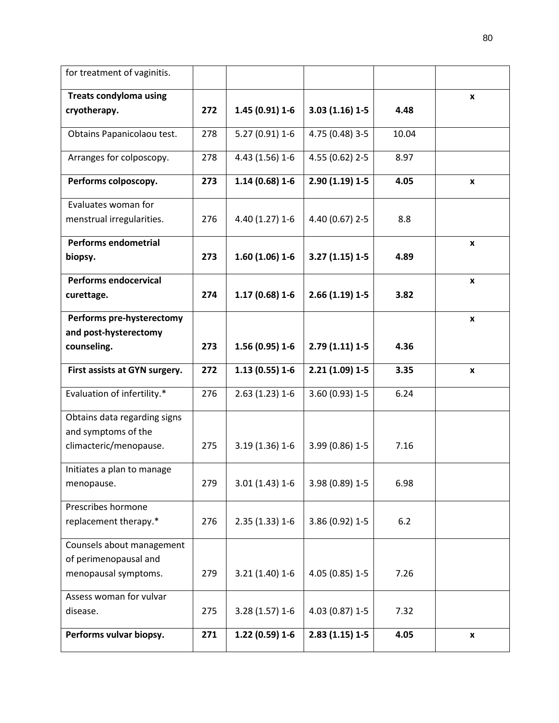| for treatment of vaginitis.                                                |     |                  |                   |       |                    |
|----------------------------------------------------------------------------|-----|------------------|-------------------|-------|--------------------|
| <b>Treats condyloma using</b>                                              |     |                  |                   |       | $\pmb{\mathsf{x}}$ |
| cryotherapy.                                                               | 272 | $1.45(0.91)1-6$  | $3.03(1.16)1-5$   | 4.48  |                    |
| Obtains Papanicolaou test.                                                 | 278 | $5.27(0.91)$ 1-6 | 4.75 (0.48) 3-5   | 10.04 |                    |
| Arranges for colposcopy.                                                   | 278 | 4.43 (1.56) 1-6  | 4.55 (0.62) 2-5   | 8.97  |                    |
| Performs colposcopy.                                                       | 273 | $1.14(0.68)1-6$  | $2.90(1.19)1 - 5$ | 4.05  | X                  |
| Evaluates woman for                                                        |     |                  |                   |       |                    |
| menstrual irregularities.                                                  | 276 | 4.40 (1.27) 1-6  | 4.40 (0.67) 2-5   | 8.8   |                    |
| Performs endometrial                                                       |     |                  |                   |       | $\pmb{\mathsf{x}}$ |
| biopsy.                                                                    | 273 | $1.60(1.06)1-6$  | $3.27(1.15)1-5$   | 4.89  |                    |
| <b>Performs endocervical</b>                                               |     |                  |                   |       | $\pmb{\mathsf{x}}$ |
| curettage.                                                                 | 274 | $1.17(0.68)1-6$  | $2.66(1.19)1-5$   | 3.82  |                    |
| Performs pre-hysterectomy                                                  |     |                  |                   |       | $\pmb{\mathsf{x}}$ |
| and post-hysterectomy                                                      |     |                  |                   |       |                    |
| counseling.                                                                | 273 | $1.56(0.95)1-6$  | $2.79(1.11)1-5$   | 4.36  |                    |
| First assists at GYN surgery.                                              | 272 | $1.13(0.55)1-6$  | $2.21(1.09)1-5$   | 3.35  | x                  |
| Evaluation of infertility.*                                                | 276 | $2.63(1.23)1-6$  | 3.60 (0.93) 1-5   | 6.24  |                    |
| Obtains data regarding signs<br>and symptoms of the                        |     |                  |                   |       |                    |
| climacteric/menopause.                                                     | 275 | $3.19(1.36)1-6$  | 3.99 (0.86) 1-5   | 7.16  |                    |
| Initiates a plan to manage<br>menopause.                                   | 279 | $3.01(1.43)1-6$  | 3.98 (0.89) 1-5   | 6.98  |                    |
| Prescribes hormone<br>replacement therapy.*                                | 276 | $2.35(1.33)1-6$  | 3.86 (0.92) 1-5   | 6.2   |                    |
| Counsels about management<br>of perimenopausal and<br>menopausal symptoms. | 279 | $3.21(1.40)1-6$  | 4.05 (0.85) 1-5   | 7.26  |                    |
| Assess woman for vulvar<br>disease.                                        | 275 | $3.28(1.57)1-6$  | 4.03 (0.87) 1-5   | 7.32  |                    |
| Performs vulvar biopsy.                                                    | 271 | $1.22(0.59)1-6$  | $2.83(1.15)1-5$   | 4.05  | X                  |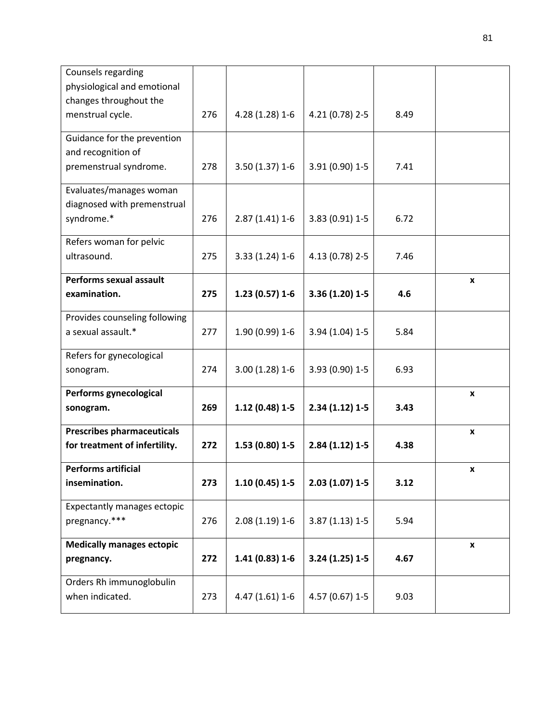| Counsels regarding                                    |     |                   |                  |      |                    |
|-------------------------------------------------------|-----|-------------------|------------------|------|--------------------|
| physiological and emotional<br>changes throughout the |     |                   |                  |      |                    |
| menstrual cycle.                                      | 276 | 4.28 (1.28) 1-6   | 4.21 (0.78) 2-5  | 8.49 |                    |
|                                                       |     |                   |                  |      |                    |
| Guidance for the prevention                           |     |                   |                  |      |                    |
| and recognition of                                    |     |                   |                  |      |                    |
| premenstrual syndrome.                                | 278 | $3.50(1.37)$ 1-6  | 3.91 (0.90) 1-5  | 7.41 |                    |
| Evaluates/manages woman                               |     |                   |                  |      |                    |
| diagnosed with premenstrual                           |     |                   |                  |      |                    |
| syndrome.*                                            | 276 | $2.87(1.41)$ 1-6  | 3.83 (0.91) 1-5  | 6.72 |                    |
| Refers woman for pelvic                               |     |                   |                  |      |                    |
| ultrasound.                                           | 275 | $3.33(1.24)1-6$   | 4.13 (0.78) 2-5  | 7.46 |                    |
| Performs sexual assault                               |     |                   |                  |      | $\pmb{\mathsf{x}}$ |
| examination.                                          | 275 | $1.23(0.57)1-6$   | 3.36 (1.20) 1-5  | 4.6  |                    |
| Provides counseling following                         |     |                   |                  |      |                    |
| a sexual assault.*                                    | 277 | 1.90 (0.99) 1-6   | 3.94 (1.04) 1-5  | 5.84 |                    |
| Refers for gynecological                              |     |                   |                  |      |                    |
| sonogram.                                             | 274 | $3.00(1.28)1-6$   | 3.93 (0.90) 1-5  | 6.93 |                    |
| Performs gynecological                                |     |                   |                  |      | X                  |
| sonogram.                                             | 269 | $1.12(0.48)1-5$   | $2.34(1.12)1-5$  | 3.43 |                    |
| <b>Prescribes pharmaceuticals</b>                     |     |                   |                  |      | X                  |
| for treatment of infertility.                         | 272 | $1.53(0.80)1-5$   | $2.84(1.12)1-5$  | 4.38 |                    |
| <b>Performs artificial</b>                            |     |                   |                  |      | x                  |
| insemination.                                         | 273 | $1.10(0.45)1 - 5$ | $2.03(1.07)$ 1-5 | 3.12 |                    |
| Expectantly manages ectopic                           |     |                   |                  |      |                    |
| pregnancy.***                                         | 276 | $2.08(1.19)1-6$   | $3.87(1.13)1-5$  | 5.94 |                    |
| <b>Medically manages ectopic</b>                      |     |                   |                  |      | $\pmb{\mathsf{x}}$ |
| pregnancy.                                            | 272 | $1.41(0.83)1-6$   | $3.24(1.25)1-5$  | 4.67 |                    |
| Orders Rh immunoglobulin                              |     |                   |                  |      |                    |
| when indicated.                                       | 273 | $4.47(1.61)1-6$   | 4.57 (0.67) 1-5  | 9.03 |                    |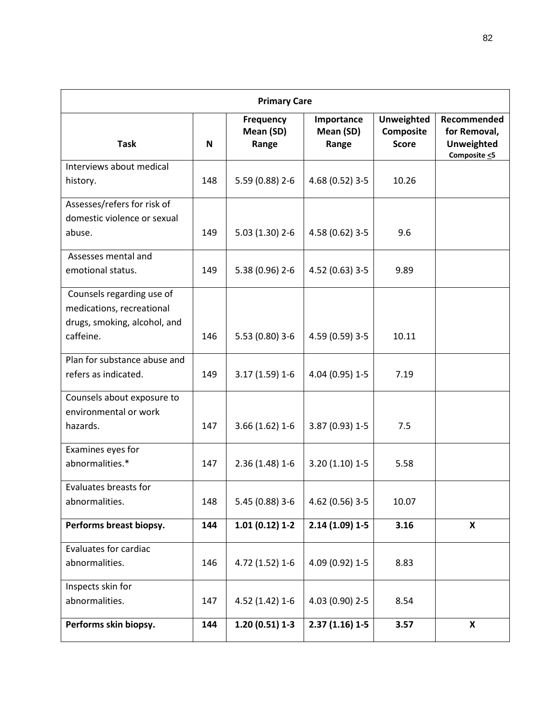| <b>Primary Care</b>                                                                                 |     |                                 |                                  |                                                |                                                                        |  |  |
|-----------------------------------------------------------------------------------------------------|-----|---------------------------------|----------------------------------|------------------------------------------------|------------------------------------------------------------------------|--|--|
| <b>Task</b>                                                                                         | N   | Frequency<br>Mean (SD)<br>Range | Importance<br>Mean (SD)<br>Range | <b>Unweighted</b><br>Composite<br><b>Score</b> | Recommended<br>for Removal,<br><b>Unweighted</b><br>Composite $\leq$ 5 |  |  |
| Interviews about medical<br>history.                                                                | 148 | 5.59 (0.88) 2-6                 | 4.68 (0.52) 3-5                  | 10.26                                          |                                                                        |  |  |
| Assesses/refers for risk of<br>domestic violence or sexual<br>abuse.                                | 149 | $5.03(1.30)$ 2-6                | 4.58 (0.62) 3-5                  | 9.6                                            |                                                                        |  |  |
| Assesses mental and<br>emotional status.                                                            | 149 | 5.38 (0.96) 2-6                 | 4.52 (0.63) 3-5                  | 9.89                                           |                                                                        |  |  |
| Counsels regarding use of<br>medications, recreational<br>drugs, smoking, alcohol, and<br>caffeine. | 146 | 5.53 (0.80) 3-6                 | 4.59 (0.59) 3-5                  | 10.11                                          |                                                                        |  |  |
| Plan for substance abuse and<br>refers as indicated.                                                | 149 | $3.17(1.59)1-6$                 | 4.04 (0.95) 1-5                  | 7.19                                           |                                                                        |  |  |
| Counsels about exposure to<br>environmental or work<br>hazards.                                     | 147 | $3.66(1.62)1-6$                 | 3.87 (0.93) 1-5                  | 7.5                                            |                                                                        |  |  |
| Examines eyes for<br>abnormalities.*                                                                | 147 | $2.36(1.48)1-6$                 | $3.20(1.10)$ 1-5                 | 5.58                                           |                                                                        |  |  |
| Evaluates breasts for<br>abnormalities.                                                             | 148 | 5.45 (0.88) 3-6                 | 4.62 (0.56) 3-5                  | 10.07                                          |                                                                        |  |  |
| Performs breast biopsy.                                                                             | 144 | $1.01(0.12)$ 1-2                | $2.14(1.09)1-5$                  | 3.16                                           | X                                                                      |  |  |
| Evaluates for cardiac<br>abnormalities.                                                             | 146 | 4.72 (1.52) 1-6                 | 4.09 (0.92) 1-5                  | 8.83                                           |                                                                        |  |  |
| Inspects skin for<br>abnormalities.                                                                 | 147 | 4.52 (1.42) 1-6                 | 4.03 (0.90) 2-5                  | 8.54                                           |                                                                        |  |  |
| Performs skin biopsy.                                                                               | 144 | $1.20(0.51)1-3$                 | $2.37(1.16)1-5$                  | 3.57                                           | X                                                                      |  |  |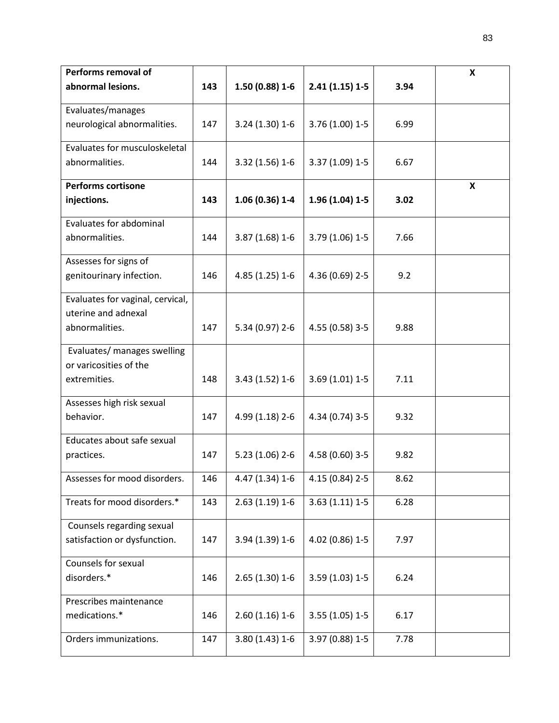| Performs removal of              |     |                  |                  |      | X |
|----------------------------------|-----|------------------|------------------|------|---|
| abnormal lesions.                | 143 | $1.50(0.88)1-6$  | $2.41(1.15)1-5$  | 3.94 |   |
| Evaluates/manages                |     |                  |                  |      |   |
| neurological abnormalities.      | 147 | 3.24 (1.30) 1-6  | 3.76 (1.00) 1-5  | 6.99 |   |
| Evaluates for musculoskeletal    |     |                  |                  |      |   |
| abnormalities.                   | 144 | 3.32 (1.56) 1-6  | 3.37 (1.09) 1-5  | 6.67 |   |
| <b>Performs cortisone</b>        |     |                  |                  |      | X |
| injections.                      | 143 | $1.06(0.36)$ 1-4 | 1.96 (1.04) 1-5  | 3.02 |   |
| Evaluates for abdominal          |     |                  |                  |      |   |
| abnormalities.                   | 144 | $3.87(1.68)1-6$  | 3.79 (1.06) 1-5  | 7.66 |   |
| Assesses for signs of            |     |                  |                  |      |   |
| genitourinary infection.         | 146 | 4.85 (1.25) 1-6  | 4.36 (0.69) 2-5  | 9.2  |   |
| Evaluates for vaginal, cervical, |     |                  |                  |      |   |
| uterine and adnexal              |     |                  |                  |      |   |
| abnormalities.                   | 147 | 5.34 (0.97) 2-6  | 4.55 (0.58) 3-5  | 9.88 |   |
| Evaluates/ manages swelling      |     |                  |                  |      |   |
| or varicosities of the           |     |                  |                  |      |   |
| extremities.                     | 148 | 3.43 (1.52) 1-6  | $3.69(1.01)$ 1-5 | 7.11 |   |
| Assesses high risk sexual        |     |                  |                  |      |   |
| behavior.                        | 147 | 4.99 (1.18) 2-6  | 4.34 (0.74) 3-5  | 9.32 |   |
| Educates about safe sexual       |     |                  |                  |      |   |
| practices.                       | 147 | $5.23(1.06)$ 2-6 | 4.58 (0.60) 3-5  | 9.82 |   |
| Assesses for mood disorders.     | 146 | 4.47 (1.34) 1-6  | 4.15 (0.84) 2-5  | 8.62 |   |
| Treats for mood disorders.*      | 143 | $2.63(1.19)1-6$  | $3.63(1.11)1-5$  | 6.28 |   |
|                                  |     |                  |                  |      |   |
| Counsels regarding sexual        |     |                  |                  |      |   |
| satisfaction or dysfunction.     | 147 | 3.94 (1.39) 1-6  | 4.02 (0.86) 1-5  | 7.97 |   |
| Counsels for sexual              |     |                  |                  |      |   |
| disorders.*                      | 146 | $2.65(1.30)1-6$  | 3.59 (1.03) 1-5  | 6.24 |   |
| Prescribes maintenance           |     |                  |                  |      |   |
| medications.*                    | 146 | $2.60(1.16)1-6$  | $3.55(1.05)1-5$  | 6.17 |   |
| Orders immunizations.            | 147 | $3.80(1.43)1-6$  | 3.97 (0.88) 1-5  | 7.78 |   |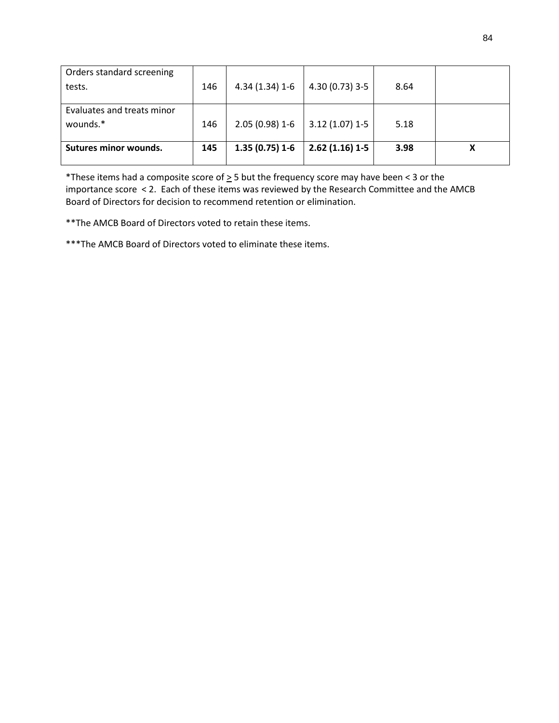| Orders standard screening  |     |                 |                  |      |   |
|----------------------------|-----|-----------------|------------------|------|---|
| tests.                     | 146 | $4.34(1.34)1-6$ | 4.30 (0.73) 3-5  | 8.64 |   |
|                            |     |                 |                  |      |   |
| Evaluates and treats minor |     |                 |                  |      |   |
| wounds.*                   | 146 | $2.05(0.98)1-6$ | $3.12(1.07)$ 1-5 | 5.18 |   |
|                            |     |                 |                  |      |   |
| Sutures minor wounds.      | 145 | $1.35(0.75)1-6$ | $2.62(1.16)1-5$  | 3.98 | Х |
|                            |     |                 |                  |      |   |

\*These items had a composite score of  $\geq$  5 but the frequency score may have been < 3 or the importance score < 2. Each of these items was reviewed by the Research Committee and the AMCB Board of Directors for decision to recommend retention or elimination.

\*\*The AMCB Board of Directors voted to retain these items.

\*\*\*The AMCB Board of Directors voted to eliminate these items.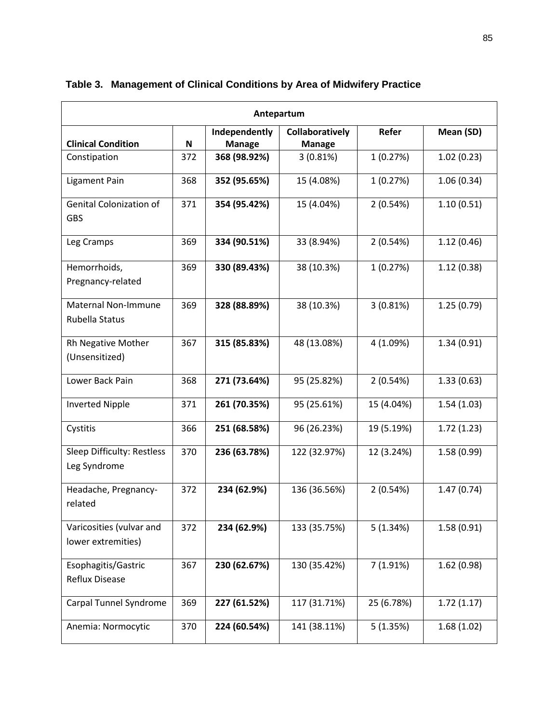| Antepartum                                     |     |                                |                                  |              |            |  |  |  |  |  |
|------------------------------------------------|-----|--------------------------------|----------------------------------|--------------|------------|--|--|--|--|--|
| <b>Clinical Condition</b>                      | N   | Independently<br><b>Manage</b> | Collaboratively<br><b>Manage</b> | <b>Refer</b> | Mean (SD)  |  |  |  |  |  |
| Constipation                                   | 372 | 368 (98.92%)                   | 3(0.81%)                         | 1(0.27%)     | 1.02(0.23) |  |  |  |  |  |
| Ligament Pain                                  | 368 | 352 (95.65%)                   | 15 (4.08%)                       | 1(0.27%)     | 1.06(0.34) |  |  |  |  |  |
| <b>Genital Colonization of</b><br><b>GBS</b>   | 371 | 354 (95.42%)                   | 15 (4.04%)                       | 2(0.54%)     | 1.10(0.51) |  |  |  |  |  |
| Leg Cramps                                     | 369 | 334 (90.51%)                   | 33 (8.94%)                       | 2(0.54%)     | 1.12(0.46) |  |  |  |  |  |
| Hemorrhoids,<br>Pregnancy-related              | 369 | 330 (89.43%)                   | 38 (10.3%)                       | 1(0.27%)     | 1.12(0.38) |  |  |  |  |  |
| <b>Maternal Non-Immune</b><br>Rubella Status   | 369 | 328 (88.89%)                   | 38 (10.3%)                       | 3(0.81%)     | 1.25(0.79) |  |  |  |  |  |
| Rh Negative Mother<br>(Unsensitized)           | 367 | 315 (85.83%)                   | 48 (13.08%)                      | 4 (1.09%)    | 1.34(0.91) |  |  |  |  |  |
| Lower Back Pain                                | 368 | 271 (73.64%)                   | 95 (25.82%)                      | 2(0.54%)     | 1.33(0.63) |  |  |  |  |  |
| <b>Inverted Nipple</b>                         | 371 | 261 (70.35%)                   | 95 (25.61%)                      | 15 (4.04%)   | 1.54(1.03) |  |  |  |  |  |
| Cystitis                                       | 366 | 251 (68.58%)                   | 96 (26.23%)                      | 19 (5.19%)   | 1.72(1.23) |  |  |  |  |  |
| Sleep Difficulty: Restless<br>Leg Syndrome     | 370 | 236 (63.78%)                   | 122 (32.97%)                     | 12 (3.24%)   | 1.58(0.99) |  |  |  |  |  |
| Headache, Pregnancy-<br>related                | 372 | 234 (62.9%)                    | 136 (36.56%)                     | 2(0.54%)     | 1.47(0.74) |  |  |  |  |  |
| Varicosities (vulvar and<br>lower extremities) | 372 | 234 (62.9%)                    | 133 (35.75%)                     | 5(1.34%)     | 1.58(0.91) |  |  |  |  |  |
| Esophagitis/Gastric<br>Reflux Disease          | 367 | 230 (62.67%)                   | 130 (35.42%)                     | 7 (1.91%)    | 1.62(0.98) |  |  |  |  |  |
| Carpal Tunnel Syndrome                         | 369 | 227 (61.52%)                   | 117 (31.71%)                     | 25 (6.78%)   | 1.72(1.17) |  |  |  |  |  |
| Anemia: Normocytic                             | 370 | 224 (60.54%)                   | 141 (38.11%)                     | 5(1.35%)     | 1.68(1.02) |  |  |  |  |  |

## **Table 3. Management of Clinical Conditions by Area of Midwifery Practice**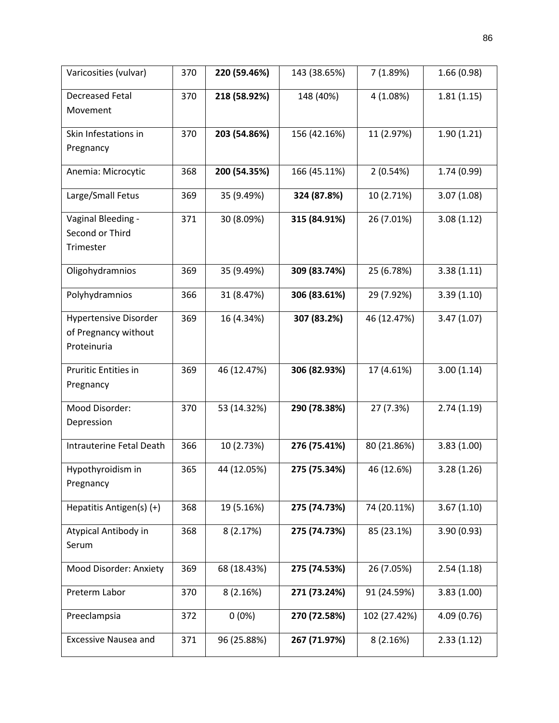| Varicosities (vulvar)        | 370 | 220 (59.46%) | 143 (38.65%) | 7 (1.89%)    | 1.66(0.98)  |
|------------------------------|-----|--------------|--------------|--------------|-------------|
| <b>Decreased Fetal</b>       | 370 | 218 (58.92%) | 148 (40%)    | 4 (1.08%)    | 1.81(1.15)  |
| Movement                     |     |              |              |              |             |
| Skin Infestations in         | 370 | 203 (54.86%) | 156 (42.16%) | 11 (2.97%)   | 1.90(1.21)  |
| Pregnancy                    |     |              |              |              |             |
| Anemia: Microcytic           | 368 | 200 (54.35%) | 166 (45.11%) | 2(0.54%)     | 1.74 (0.99) |
| Large/Small Fetus            | 369 | 35 (9.49%)   | 324 (87.8%)  | 10 (2.71%)   | 3.07(1.08)  |
| Vaginal Bleeding -           | 371 | 30 (8.09%)   | 315 (84.91%) | 26 (7.01%)   | 3.08(1.12)  |
| Second or Third              |     |              |              |              |             |
| Trimester                    |     |              |              |              |             |
| Oligohydramnios              | 369 | 35 (9.49%)   | 309 (83.74%) | 25 (6.78%)   | 3.38(1.11)  |
| Polyhydramnios               | 366 | 31 (8.47%)   | 306 (83.61%) | 29 (7.92%)   | 3.39(1.10)  |
| <b>Hypertensive Disorder</b> | 369 | 16 (4.34%)   | 307 (83.2%)  | 46 (12.47%)  | 3.47(1.07)  |
| of Pregnancy without         |     |              |              |              |             |
| Proteinuria                  |     |              |              |              |             |
| Pruritic Entities in         | 369 | 46 (12.47%)  | 306 (82.93%) | 17 (4.61%)   | 3.00(1.14)  |
| Pregnancy                    |     |              |              |              |             |
| Mood Disorder:               | 370 | 53 (14.32%)  | 290 (78.38%) | 27 (7.3%)    | 2.74(1.19)  |
| Depression                   |     |              |              |              |             |
| Intrauterine Fetal Death     | 366 | 10 (2.73%)   | 276 (75.41%) | 80 (21.86%)  | 3.83(1.00)  |
| Hypothyroidism in            | 365 | 44 (12.05%)  | 275 (75.34%) | 46 (12.6%)   | 3.28(1.26)  |
| Pregnancy                    |     |              |              |              |             |
| Hepatitis Antigen(s) (+)     | 368 | 19 (5.16%)   | 275 (74.73%) | 74 (20.11%)  | 3.67(1.10)  |
| Atypical Antibody in         | 368 | 8(2.17%)     | 275 (74.73%) | 85 (23.1%)   | 3.90(0.93)  |
| Serum                        |     |              |              |              |             |
| Mood Disorder: Anxiety       | 369 | 68 (18.43%)  | 275 (74.53%) | 26 (7.05%)   | 2.54(1.18)  |
| Preterm Labor                | 370 | 8(2.16%)     | 271 (73.24%) | 91 (24.59%)  | 3.83(1.00)  |
| Preeclampsia                 | 372 | $0(0\%)$     | 270 (72.58%) | 102 (27.42%) | 4.09(0.76)  |
| <b>Excessive Nausea and</b>  | 371 | 96 (25.88%)  | 267 (71.97%) | 8(2.16%)     | 2.33(1.12)  |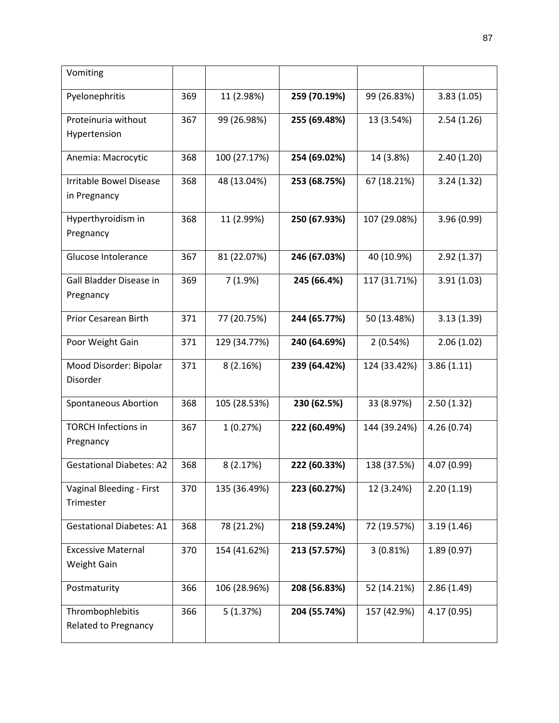| Vomiting                                       |     |              |              |              |             |
|------------------------------------------------|-----|--------------|--------------|--------------|-------------|
| Pyelonephritis                                 | 369 | 11 (2.98%)   | 259 (70.19%) | 99 (26.83%)  | 3.83(1.05)  |
| Proteinuria without<br>Hypertension            | 367 | 99 (26.98%)  | 255 (69.48%) | 13 (3.54%)   | 2.54(1.26)  |
| Anemia: Macrocytic                             | 368 | 100 (27.17%) | 254 (69.02%) | 14 (3.8%)    | 2.40(1.20)  |
| <b>Irritable Bowel Disease</b><br>in Pregnancy | 368 | 48 (13.04%)  | 253 (68.75%) | 67 (18.21%)  | 3.24(1.32)  |
| Hyperthyroidism in<br>Pregnancy                | 368 | 11 (2.99%)   | 250 (67.93%) | 107 (29.08%) | 3.96(0.99)  |
| Glucose Intolerance                            | 367 | 81 (22.07%)  | 246 (67.03%) | 40 (10.9%)   | 2.92(1.37)  |
| Gall Bladder Disease in<br>Pregnancy           | 369 | 7(1.9%)      | 245 (66.4%)  | 117 (31.71%) | 3.91(1.03)  |
| Prior Cesarean Birth                           | 371 | 77 (20.75%)  | 244 (65.77%) | 50 (13.48%)  | 3.13(1.39)  |
| Poor Weight Gain                               | 371 | 129 (34.77%) | 240 (64.69%) | 2(0.54%)     | 2.06(1.02)  |
| Mood Disorder: Bipolar<br>Disorder             | 371 | 8(2.16%)     | 239 (64.42%) | 124 (33.42%) | 3.86(1.11)  |
| <b>Spontaneous Abortion</b>                    | 368 | 105 (28.53%) | 230 (62.5%)  | 33 (8.97%)   | 2.50(1.32)  |
| <b>TORCH Infections in</b><br>Pregnancy        | 367 | 1(0.27%)     | 222 (60.49%) | 144 (39.24%) | 4.26(0.74)  |
| <b>Gestational Diabetes: A2</b>                | 368 | 8(2.17%)     | 222 (60.33%) | 138 (37.5%)  | 4.07 (0.99) |
| Vaginal Bleeding - First<br>Trimester          | 370 | 135 (36.49%) | 223 (60.27%) | 12 (3.24%)   | 2.20(1.19)  |
| <b>Gestational Diabetes: A1</b>                | 368 | 78 (21.2%)   | 218 (59.24%) | 72 (19.57%)  | 3.19(1.46)  |
| <b>Excessive Maternal</b><br>Weight Gain       | 370 | 154 (41.62%) | 213 (57.57%) | 3(0.81%)     | 1.89(0.97)  |
| Postmaturity                                   | 366 | 106 (28.96%) | 208 (56.83%) | 52 (14.21%)  | 2.86(1.49)  |
| Thrombophlebitis<br>Related to Pregnancy       | 366 | 5(1.37%)     | 204 (55.74%) | 157 (42.9%)  | 4.17 (0.95) |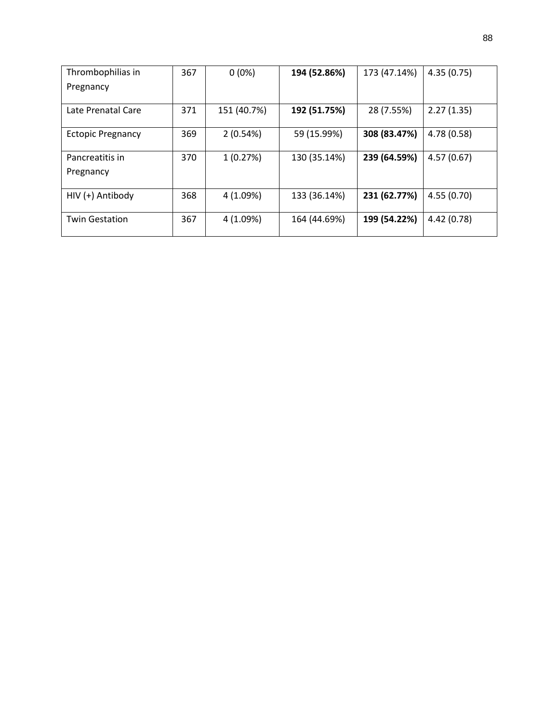| Thrombophilias in        | 367 | $0(0\%)$    | 194 (52.86%) | 173 (47.14%) | 4.35(0.75) |
|--------------------------|-----|-------------|--------------|--------------|------------|
| Pregnancy                |     |             |              |              |            |
|                          |     |             |              |              |            |
| Late Prenatal Care       | 371 | 151 (40.7%) | 192 (51.75%) | 28 (7.55%)   | 2.27(1.35) |
| <b>Ectopic Pregnancy</b> | 369 | 2(0.54%)    | 59 (15.99%)  | 308 (83.47%) | 4.78(0.58) |
| Pancreatitis in          | 370 | 1(0.27%)    | 130 (35.14%) | 239 (64.59%) | 4.57(0.67) |
| Pregnancy                |     |             |              |              |            |
|                          |     |             |              |              |            |
| HIV (+) Antibody         | 368 | 4 (1.09%)   | 133 (36.14%) | 231 (62.77%) | 4.55(0.70) |
| <b>Twin Gestation</b>    | 367 | 4 (1.09%)   | 164 (44.69%) | 199 (54.22%) | 4.42(0.78) |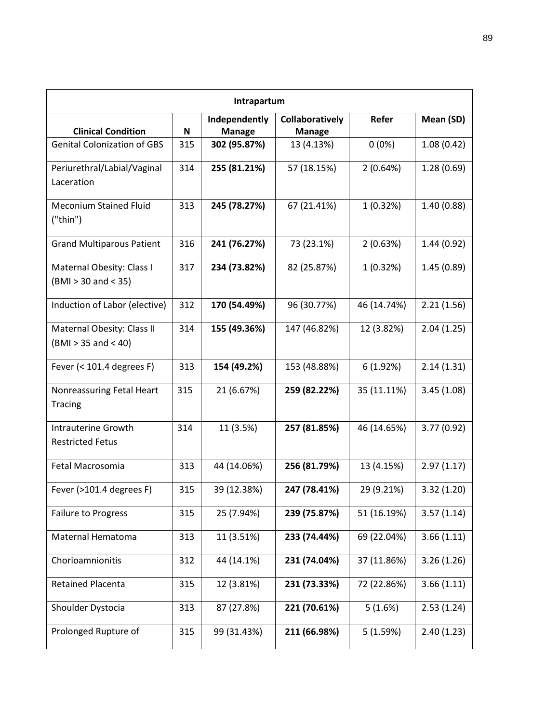| Intrapartum                                         |     |                                |                                         |              |            |  |  |
|-----------------------------------------------------|-----|--------------------------------|-----------------------------------------|--------------|------------|--|--|
| <b>Clinical Condition</b>                           | N   | Independently<br><b>Manage</b> | <b>Collaboratively</b><br><b>Manage</b> | <b>Refer</b> | Mean (SD)  |  |  |
| <b>Genital Colonization of GBS</b>                  | 315 | 302 (95.87%)                   | 13 (4.13%)                              | $0(0\%)$     | 1.08(0.42) |  |  |
| Periurethral/Labial/Vaginal<br>Laceration           | 314 | 255 (81.21%)                   | 57 (18.15%)                             | 2(0.64%)     | 1.28(0.69) |  |  |
| <b>Meconium Stained Fluid</b><br>("thin")           | 313 | 245 (78.27%)                   | 67 (21.41%)                             | 1(0.32%)     | 1.40(0.88) |  |  |
| <b>Grand Multiparous Patient</b>                    | 316 | 241 (76.27%)                   | 73 (23.1%)                              | 2(0.63%)     | 1.44(0.92) |  |  |
| Maternal Obesity: Class I<br>$(BMI > 30$ and < 35)  | 317 | 234 (73.82%)                   | 82 (25.87%)                             | 1(0.32%)     | 1.45(0.89) |  |  |
| Induction of Labor (elective)                       | 312 | 170 (54.49%)                   | 96 (30.77%)                             | 46 (14.74%)  | 2.21(1.56) |  |  |
| Maternal Obesity: Class II<br>$(BMI > 35$ and < 40) | 314 | 155 (49.36%)                   | 147 (46.82%)                            | 12 (3.82%)   | 2.04(1.25) |  |  |
| Fever (< 101.4 degrees F)                           | 313 | 154 (49.2%)                    | 153 (48.88%)                            | 6(1.92%)     | 2.14(1.31) |  |  |
| Nonreassuring Fetal Heart<br><b>Tracing</b>         | 315 | 21 (6.67%)                     | 259 (82.22%)                            | 35 (11.11%)  | 3.45(1.08) |  |  |
| Intrauterine Growth<br><b>Restricted Fetus</b>      | 314 | 11 (3.5%)                      | 257 (81.85%)                            | 46 (14.65%)  | 3.77(0.92) |  |  |
| Fetal Macrosomia                                    | 313 | 44 (14.06%)                    | 256 (81.79%)                            | 13 (4.15%)   | 2.97(1.17) |  |  |
| Fever (>101.4 degrees F)                            | 315 | 39 (12.38%)                    | 247 (78.41%)                            | 29 (9.21%)   | 3.32(1.20) |  |  |
| <b>Failure to Progress</b>                          | 315 | 25 (7.94%)                     | 239 (75.87%)                            | 51 (16.19%)  | 3.57(1.14) |  |  |
| Maternal Hematoma                                   | 313 | 11 (3.51%)                     | 233 (74.44%)                            | 69 (22.04%)  | 3.66(1.11) |  |  |
| Chorioamnionitis                                    | 312 | 44 (14.1%)                     | 231 (74.04%)                            | 37 (11.86%)  | 3.26(1.26) |  |  |
| <b>Retained Placenta</b>                            | 315 | 12 (3.81%)                     | 231 (73.33%)                            | 72 (22.86%)  | 3.66(1.11) |  |  |
| Shoulder Dystocia                                   | 313 | 87 (27.8%)                     | 221 (70.61%)                            | 5(1.6%)      | 2.53(1.24) |  |  |
| Prolonged Rupture of                                | 315 | 99 (31.43%)                    | 211 (66.98%)                            | 5(1.59%)     | 2.40(1.23) |  |  |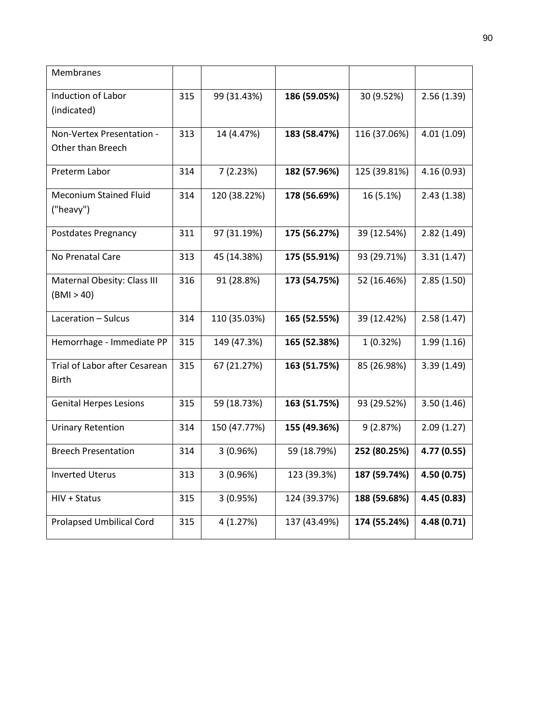| Membranes                                     |     |              |              |              |             |
|-----------------------------------------------|-----|--------------|--------------|--------------|-------------|
| <b>Induction of Labor</b>                     | 315 | 99 (31.43%)  | 186 (59.05%) | 30 (9.52%)   | 2.56(1.39)  |
| (indicated)                                   |     |              |              |              |             |
| Non-Vertex Presentation -                     | 313 | 14 (4.47%)   | 183 (58.47%) | 116 (37.06%) | 4.01(1.09)  |
| Other than Breech                             |     |              |              |              |             |
| Preterm Labor                                 | 314 | 7(2.23%)     | 182 (57.96%) | 125 (39.81%) | 4.16(0.93)  |
| <b>Meconium Stained Fluid</b>                 | 314 | 120 (38.22%) | 178 (56.69%) | 16 (5.1%)    | 2.43(1.38)  |
| ("heavy")                                     |     |              |              |              |             |
| Postdates Pregnancy                           | 311 | 97 (31.19%)  | 175 (56.27%) | 39 (12.54%)  | 2.82(1.49)  |
| No Prenatal Care                              | 313 | 45 (14.38%)  | 175 (55.91%) | 93 (29.71%)  | 3.31(1.47)  |
| Maternal Obesity: Class III                   | 316 | 91 (28.8%)   | 173 (54.75%) | 52 (16.46%)  | 2.85(1.50)  |
| (BMI > 40)                                    |     |              |              |              |             |
| Laceration - Sulcus                           | 314 | 110 (35.03%) | 165 (52.55%) | 39 (12.42%)  | 2.58(1.47)  |
| Hemorrhage - Immediate PP                     | 315 | 149 (47.3%)  | 165 (52.38%) | 1(0.32%)     | 1.99(1.16)  |
| Trial of Labor after Cesarean<br><b>Birth</b> | 315 | 67 (21.27%)  | 163 (51.75%) | 85 (26.98%)  | 3.39(1.49)  |
| <b>Genital Herpes Lesions</b>                 | 315 | 59 (18.73%)  | 163 (51.75%) | 93 (29.52%)  | 3.50(1.46)  |
| <b>Urinary Retention</b>                      | 314 | 150 (47.77%) | 155 (49.36%) | 9(2.87%)     | 2.09(1.27)  |
| <b>Breech Presentation</b>                    | 314 | 3(0.96%)     | 59 (18.79%)  | 252 (80.25%) | 4.77 (0.55) |
| <b>Inverted Uterus</b>                        | 313 | 3(0.96%)     | 123 (39.3%)  | 187 (59.74%) | 4.50 (0.75) |
| HIV + Status                                  | 315 | 3(0.95%)     | 124 (39.37%) | 188 (59.68%) | 4.45 (0.83) |
| <b>Prolapsed Umbilical Cord</b>               | 315 | 4 (1.27%)    | 137 (43.49%) | 174 (55.24%) | 4.48 (0.71) |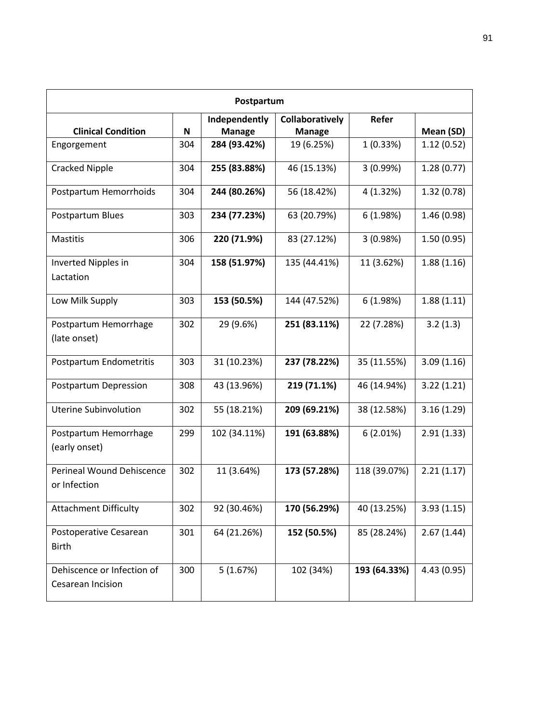|                                                  | Postpartum |               |                        |              |             |  |  |  |
|--------------------------------------------------|------------|---------------|------------------------|--------------|-------------|--|--|--|
|                                                  |            | Independently | <b>Collaboratively</b> | Refer        |             |  |  |  |
| <b>Clinical Condition</b>                        | N          | <b>Manage</b> | <b>Manage</b>          |              | Mean (SD)   |  |  |  |
| Engorgement                                      | 304        | 284 (93.42%)  | 19 (6.25%)             | 1(0.33%)     | 1.12(0.52)  |  |  |  |
| Cracked Nipple                                   | 304        | 255 (83.88%)  | 46 (15.13%)            | 3(0.99%)     | 1.28(0.77)  |  |  |  |
| Postpartum Hemorrhoids                           | 304        | 244 (80.26%)  | 56 (18.42%)            | 4 (1.32%)    | 1.32(0.78)  |  |  |  |
| Postpartum Blues                                 | 303        | 234 (77.23%)  | 63 (20.79%)            | 6(1.98%)     | 1.46(0.98)  |  |  |  |
| <b>Mastitis</b>                                  | 306        | 220 (71.9%)   | 83 (27.12%)            | 3(0.98%)     | 1.50(0.95)  |  |  |  |
| Inverted Nipples in<br>Lactation                 | 304        | 158 (51.97%)  | 135 (44.41%)           | 11 (3.62%)   | 1.88(1.16)  |  |  |  |
| Low Milk Supply                                  | 303        | 153 (50.5%)   | 144 (47.52%)           | 6(1.98%)     | 1.88(1.11)  |  |  |  |
| Postpartum Hemorrhage<br>(late onset)            | 302        | 29 (9.6%)     | 251 (83.11%)           | 22 (7.28%)   | 3.2(1.3)    |  |  |  |
| Postpartum Endometritis                          | 303        | 31 (10.23%)   | 237 (78.22%)           | 35 (11.55%)  | 3.09(1.16)  |  |  |  |
| Postpartum Depression                            | 308        | 43 (13.96%)   | 219 (71.1%)            | 46 (14.94%)  | 3.22(1.21)  |  |  |  |
| Uterine Subinvolution                            | 302        | 55 (18.21%)   | 209 (69.21%)           | 38 (12.58%)  | 3.16(1.29)  |  |  |  |
| Postpartum Hemorrhage<br>(early onset)           | 299        | 102 (34.11%)  | 191 (63.88%)           | 6(2.01%)     | 2.91(1.33)  |  |  |  |
| <b>Perineal Wound Dehiscence</b><br>or Infection | 302        | 11 (3.64%)    | 173 (57.28%)           | 118 (39.07%) | 2.21(1.17)  |  |  |  |
| <b>Attachment Difficulty</b>                     | 302        | 92 (30.46%)   | 170 (56.29%)           | 40 (13.25%)  | 3.93(1.15)  |  |  |  |
| Postoperative Cesarean<br><b>Birth</b>           | 301        | 64 (21.26%)   | 152 (50.5%)            | 85 (28.24%)  | 2.67(1.44)  |  |  |  |
| Dehiscence or Infection of<br>Cesarean Incision  | 300        | 5(1.67%)      | 102 (34%)              | 193 (64.33%) | 4.43 (0.95) |  |  |  |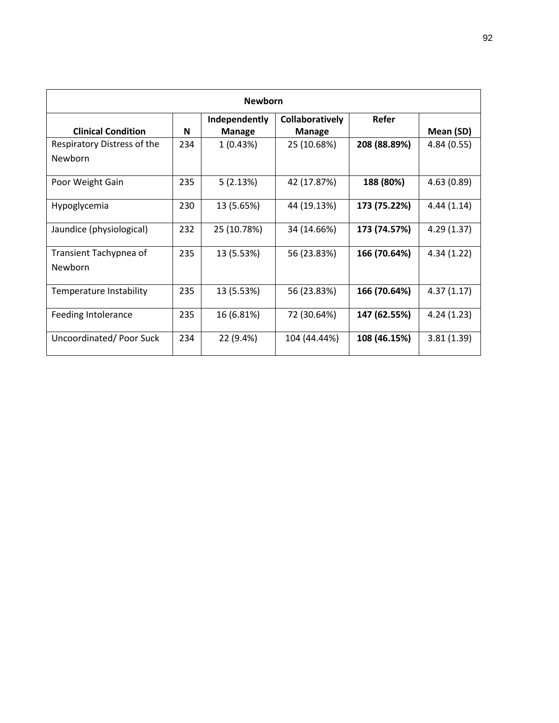| <b>Newborn</b>                                |     |                                |                                         |              |             |  |  |  |  |
|-----------------------------------------------|-----|--------------------------------|-----------------------------------------|--------------|-------------|--|--|--|--|
| <b>Clinical Condition</b>                     | N   | Independently<br><b>Manage</b> | <b>Collaboratively</b><br><b>Manage</b> | Refer        | Mean (SD)   |  |  |  |  |
| Respiratory Distress of the<br><b>Newborn</b> | 234 | 1(0.43%)                       | 25 (10.68%)                             | 208 (88.89%) | 4.84 (0.55) |  |  |  |  |
| Poor Weight Gain                              | 235 | 5(2.13%)                       | 42 (17.87%)                             | 188 (80%)    | 4.63(0.89)  |  |  |  |  |
| Hypoglycemia                                  | 230 | 13 (5.65%)                     | 44 (19.13%)                             | 173 (75.22%) | 4.44(1.14)  |  |  |  |  |
| Jaundice (physiological)                      | 232 | 25 (10.78%)                    | 34 (14.66%)                             | 173 (74.57%) | 4.29(1.37)  |  |  |  |  |
| Transient Tachypnea of<br><b>Newborn</b>      | 235 | 13 (5.53%)                     | 56 (23.83%)                             | 166 (70.64%) | 4.34(1.22)  |  |  |  |  |
| Temperature Instability                       | 235 | 13 (5.53%)                     | 56 (23.83%)                             | 166 (70.64%) | 4.37(1.17)  |  |  |  |  |
| Feeding Intolerance                           | 235 | 16 (6.81%)                     | 72 (30.64%)                             | 147 (62.55%) | 4.24(1.23)  |  |  |  |  |
| Uncoordinated/Poor Suck                       | 234 | 22 (9.4%)                      | 104 (44.44%)                            | 108 (46.15%) | 3.81(1.39)  |  |  |  |  |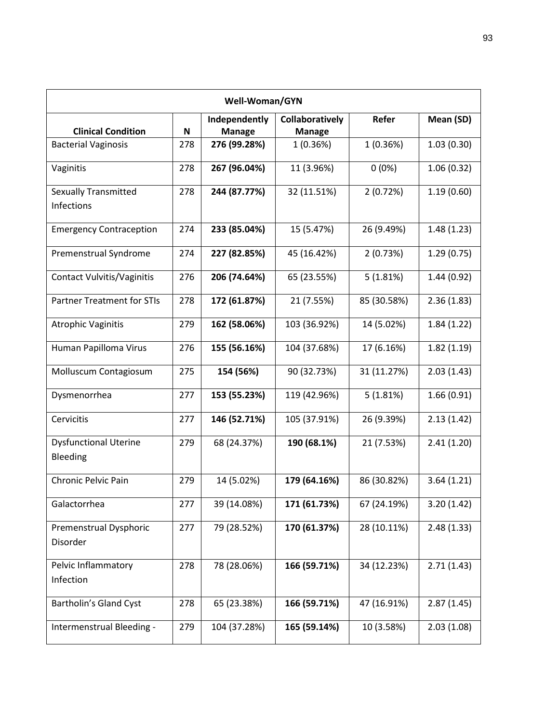| Well-Woman/GYN                            |     |                                |                                  |             |            |  |  |
|-------------------------------------------|-----|--------------------------------|----------------------------------|-------------|------------|--|--|
| <b>Clinical Condition</b>                 | N   | Independently<br><b>Manage</b> | Collaboratively<br><b>Manage</b> | Refer       | Mean (SD)  |  |  |
| <b>Bacterial Vaginosis</b>                | 278 | 276 (99.28%)                   | 1(0.36%)                         | 1(0.36%)    | 1.03(0.30) |  |  |
| Vaginitis                                 | 278 | 267 (96.04%)                   | 11 (3.96%)                       | $0(0\%)$    | 1.06(0.32) |  |  |
| <b>Sexually Transmitted</b><br>Infections | 278 | 244 (87.77%)                   | 32 (11.51%)                      | 2(0.72%)    | 1.19(0.60) |  |  |
| <b>Emergency Contraception</b>            | 274 | 233 (85.04%)                   | 15 (5.47%)                       | 26 (9.49%)  | 1.48(1.23) |  |  |
| Premenstrual Syndrome                     | 274 | 227 (82.85%)                   | 45 (16.42%)                      | 2(0.73%)    | 1.29(0.75) |  |  |
| <b>Contact Vulvitis/Vaginitis</b>         | 276 | 206 (74.64%)                   | 65 (23.55%)                      | 5(1.81%)    | 1.44(0.92) |  |  |
| <b>Partner Treatment for STIs</b>         | 278 | 172 (61.87%)                   | 21 (7.55%)                       | 85 (30.58%) | 2.36(1.83) |  |  |
| <b>Atrophic Vaginitis</b>                 | 279 | 162 (58.06%)                   | 103 (36.92%)                     | 14 (5.02%)  | 1.84(1.22) |  |  |
| Human Papilloma Virus                     | 276 | 155 (56.16%)                   | 104 (37.68%)                     | 17 (6.16%)  | 1.82(1.19) |  |  |
| Molluscum Contagiosum                     | 275 | 154 (56%)                      | 90 (32.73%)                      | 31 (11.27%) | 2.03(1.43) |  |  |
| Dysmenorrhea                              | 277 | 153 (55.23%)                   | 119 (42.96%)                     | 5(1.81%)    | 1.66(0.91) |  |  |
| Cervicitis                                | 277 | 146 (52.71%)                   | 105 (37.91%)                     | 26 (9.39%)  | 2.13(1.42) |  |  |
| <b>Dysfunctional Uterine</b><br>Bleeding  | 279 | 68 (24.37%)                    | 190 (68.1%)                      | 21 (7.53%)  | 2.41(1.20) |  |  |
| Chronic Pelvic Pain                       | 279 | 14 (5.02%)                     | 179 (64.16%)                     | 86 (30.82%) | 3.64(1.21) |  |  |
| Galactorrhea                              | 277 | 39 (14.08%)                    | 171 (61.73%)                     | 67 (24.19%) | 3.20(1.42) |  |  |
| Premenstrual Dysphoric<br>Disorder        | 277 | 79 (28.52%)                    | 170 (61.37%)                     | 28 (10.11%) | 2.48(1.33) |  |  |
| Pelvic Inflammatory<br>Infection          | 278 | 78 (28.06%)                    | 166 (59.71%)                     | 34 (12.23%) | 2.71(1.43) |  |  |
| Bartholin's Gland Cyst                    | 278 | 65 (23.38%)                    | 166 (59.71%)                     | 47 (16.91%) | 2.87(1.45) |  |  |
| Intermenstrual Bleeding -                 | 279 | 104 (37.28%)                   | 165 (59.14%)                     | 10 (3.58%)  | 2.03(1.08) |  |  |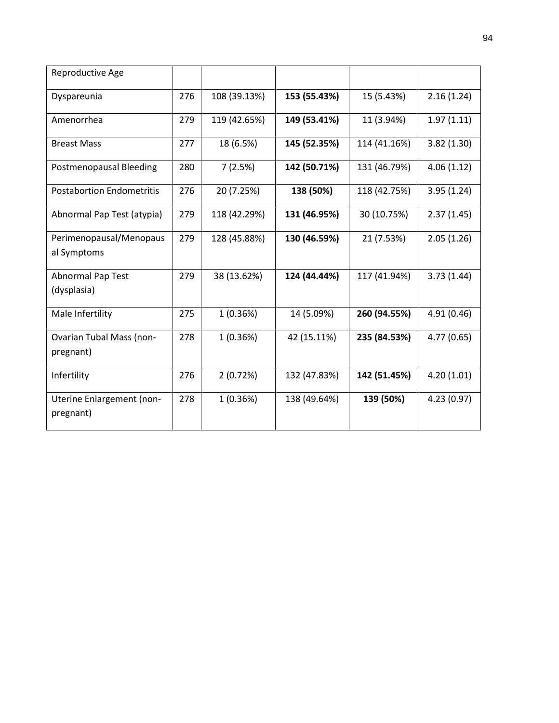| Reproductive Age                             |     |              |              |              |             |
|----------------------------------------------|-----|--------------|--------------|--------------|-------------|
| Dyspareunia                                  | 276 | 108 (39.13%) | 153 (55.43%) | 15 (5.43%)   | 2.16(1.24)  |
| Amenorrhea                                   | 279 | 119 (42.65%) | 149 (53.41%) | 11 (3.94%)   | 1.97(1.11)  |
| <b>Breast Mass</b>                           | 277 | 18 (6.5%)    | 145 (52.35%) | 114 (41.16%) | 3.82(1.30)  |
| Postmenopausal Bleeding                      | 280 | 7(2.5%)      | 142 (50.71%) | 131 (46.79%) | 4.06(1.12)  |
| <b>Postabortion Endometritis</b>             | 276 | 20 (7.25%)   | 138 (50%)    | 118 (42.75%) | 3.95(1.24)  |
| Abnormal Pap Test (atypia)                   | 279 | 118 (42.29%) | 131 (46.95%) | 30 (10.75%)  | 2.37(1.45)  |
| Perimenopausal/Menopaus<br>al Symptoms       | 279 | 128 (45.88%) | 130 (46.59%) | 21 (7.53%)   | 2.05(1.26)  |
| <b>Abnormal Pap Test</b><br>(dysplasia)      | 279 | 38 (13.62%)  | 124 (44.44%) | 117 (41.94%) | 3.73(1.44)  |
| Male Infertility                             | 275 | 1(0.36%)     | 14 (5.09%)   | 260 (94.55%) | 4.91 (0.46) |
| <b>Ovarian Tubal Mass (non-</b><br>pregnant) | 278 | 1(0.36%)     | 42 (15.11%)  | 235 (84.53%) | 4.77(0.65)  |
| Infertility                                  | 276 | 2(0.72%)     | 132 (47.83%) | 142 (51.45%) | 4.20(1.01)  |
| Uterine Enlargement (non-<br>pregnant)       | 278 | 1(0.36%)     | 138 (49.64%) | 139 (50%)    | 4.23(0.97)  |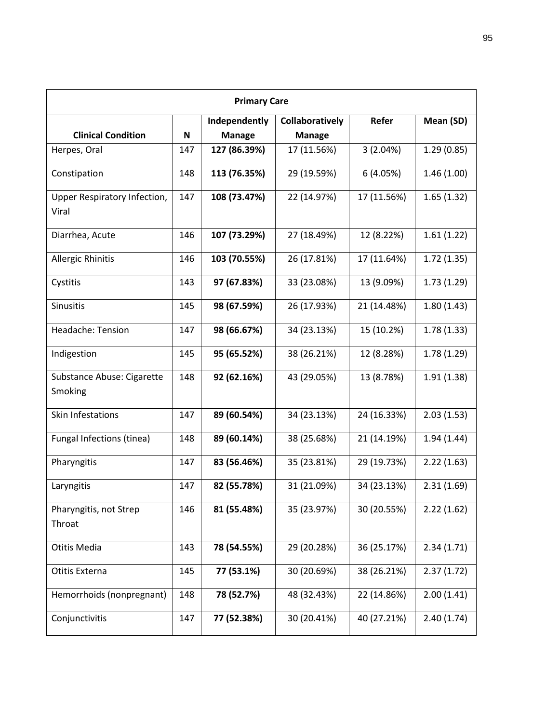| <b>Primary Care</b>          |     |               |                 |             |            |  |  |  |
|------------------------------|-----|---------------|-----------------|-------------|------------|--|--|--|
|                              |     | Independently | Collaboratively | Refer       | Mean (SD)  |  |  |  |
| <b>Clinical Condition</b>    | N   | <b>Manage</b> | <b>Manage</b>   |             |            |  |  |  |
| Herpes, Oral                 | 147 | 127 (86.39%)  | 17 (11.56%)     | 3(2.04%)    | 1.29(0.85) |  |  |  |
| Constipation                 | 148 | 113 (76.35%)  | 29 (19.59%)     | 6(4.05%)    | 1.46(1.00) |  |  |  |
| Upper Respiratory Infection, | 147 | 108 (73.47%)  | 22 (14.97%)     | 17 (11.56%) | 1.65(1.32) |  |  |  |
| Viral                        |     |               |                 |             |            |  |  |  |
| Diarrhea, Acute              | 146 | 107 (73.29%)  | 27 (18.49%)     | 12 (8.22%)  | 1.61(1.22) |  |  |  |
| Allergic Rhinitis            | 146 | 103 (70.55%)  | 26 (17.81%)     | 17 (11.64%) | 1.72(1.35) |  |  |  |
| Cystitis                     | 143 | 97 (67.83%)   | 33 (23.08%)     | 13 (9.09%)  | 1.73(1.29) |  |  |  |
| Sinusitis                    | 145 | 98 (67.59%)   | 26 (17.93%)     | 21 (14.48%) | 1.80(1.43) |  |  |  |
| Headache: Tension            | 147 | 98 (66.67%)   | 34 (23.13%)     | 15 (10.2%)  | 1.78(1.33) |  |  |  |
| Indigestion                  | 145 | 95 (65.52%)   | 38 (26.21%)     | 12 (8.28%)  | 1.78(1.29) |  |  |  |
| Substance Abuse: Cigarette   | 148 | 92 (62.16%)   | 43 (29.05%)     | 13 (8.78%)  | 1.91(1.38) |  |  |  |
| Smoking                      |     |               |                 |             |            |  |  |  |
| Skin Infestations            | 147 | 89 (60.54%)   | 34 (23.13%)     | 24 (16.33%) | 2.03(1.53) |  |  |  |
| Fungal Infections (tinea)    | 148 | 89 (60.14%)   | 38 (25.68%)     | 21 (14.19%) | 1.94(1.44) |  |  |  |
| Pharyngitis                  | 147 | 83 (56.46%)   | 35 (23.81%)     | 29 (19.73%) | 2.22(1.63) |  |  |  |
| Laryngitis                   | 147 | 82 (55.78%)   | 31 (21.09%)     | 34 (23.13%) | 2.31(1.69) |  |  |  |
| Pharyngitis, not Strep       | 146 | 81 (55.48%)   | 35 (23.97%)     | 30 (20.55%) | 2.22(1.62) |  |  |  |
| Throat                       |     |               |                 |             |            |  |  |  |
| Otitis Media                 | 143 | 78 (54.55%)   | 29 (20.28%)     | 36 (25.17%) | 2.34(1.71) |  |  |  |
| Otitis Externa               | 145 | 77 (53.1%)    | 30 (20.69%)     | 38 (26.21%) | 2.37(1.72) |  |  |  |
| Hemorrhoids (nonpregnant)    | 148 | 78 (52.7%)    | 48 (32.43%)     | 22 (14.86%) | 2.00(1.41) |  |  |  |
| Conjunctivitis               | 147 | 77 (52.38%)   | 30 (20.41%)     | 40 (27.21%) | 2.40(1.74) |  |  |  |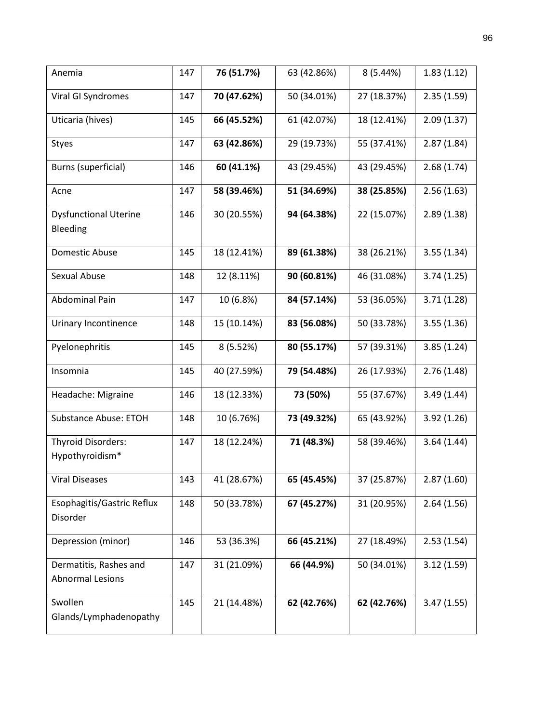| Anemia                                            | 147 | 76 (51.7%)  | 63 (42.86%) | 8(5.44%)    | 1.83(1.12) |
|---------------------------------------------------|-----|-------------|-------------|-------------|------------|
| Viral GI Syndromes                                | 147 | 70 (47.62%) | 50 (34.01%) | 27 (18.37%) | 2.35(1.59) |
| Uticaria (hives)                                  | 145 | 66 (45.52%) | 61 (42.07%) | 18 (12.41%) | 2.09(1.37) |
| Styes                                             | 147 | 63 (42.86%) | 29 (19.73%) | 55 (37.41%) | 2.87(1.84) |
| Burns (superficial)                               | 146 | 60 (41.1%)  | 43 (29.45%) | 43 (29.45%) | 2.68(1.74) |
| Acne                                              | 147 | 58 (39.46%) | 51 (34.69%) | 38 (25.85%) | 2.56(1.63) |
| <b>Dysfunctional Uterine</b><br>Bleeding          | 146 | 30 (20.55%) | 94 (64.38%) | 22 (15.07%) | 2.89(1.38) |
| Domestic Abuse                                    | 145 | 18 (12.41%) | 89 (61.38%) | 38 (26.21%) | 3.55(1.34) |
| Sexual Abuse                                      | 148 | 12 (8.11%)  | 90 (60.81%) | 46 (31.08%) | 3.74(1.25) |
| Abdominal Pain                                    | 147 | 10 (6.8%)   | 84 (57.14%) | 53 (36.05%) | 3.71(1.28) |
| Urinary Incontinence                              | 148 | 15 (10.14%) | 83 (56.08%) | 50 (33.78%) | 3.55(1.36) |
| Pyelonephritis                                    | 145 | 8 (5.52%)   | 80 (55.17%) | 57 (39.31%) | 3.85(1.24) |
| Insomnia                                          | 145 | 40 (27.59%) | 79 (54.48%) | 26 (17.93%) | 2.76(1.48) |
| Headache: Migraine                                | 146 | 18 (12.33%) | 73 (50%)    | 55 (37.67%) | 3.49(1.44) |
| <b>Substance Abuse: ETOH</b>                      | 148 | 10 (6.76%)  | 73 (49.32%) | 65 (43.92%) | 3.92(1.26) |
| <b>Thyroid Disorders:</b><br>Hypothyroidism*      | 147 | 18 (12.24%) | 71 (48.3%)  | 58 (39.46%) | 3.64(1.44) |
| <b>Viral Diseases</b>                             | 143 | 41 (28.67%) | 65 (45.45%) | 37 (25.87%) | 2.87(1.60) |
| Esophagitis/Gastric Reflux<br>Disorder            | 148 | 50 (33.78%) | 67 (45.27%) | 31 (20.95%) | 2.64(1.56) |
| Depression (minor)                                | 146 | 53 (36.3%)  | 66 (45.21%) | 27 (18.49%) | 2.53(1.54) |
| Dermatitis, Rashes and<br><b>Abnormal Lesions</b> | 147 | 31 (21.09%) | 66 (44.9%)  | 50 (34.01%) | 3.12(1.59) |
| Swollen<br>Glands/Lymphadenopathy                 | 145 | 21 (14.48%) | 62 (42.76%) | 62 (42.76%) | 3.47(1.55) |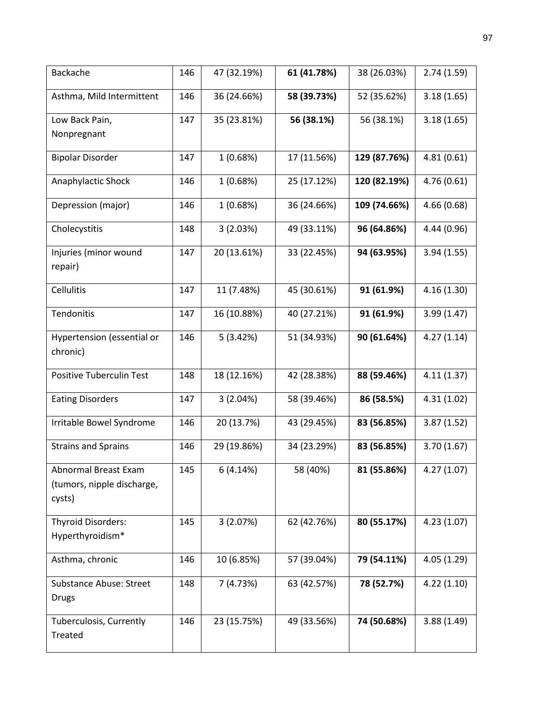| Backache                                           | 146 | 47 (32.19%) | 61 (41.78%) | 38 (26.03%)  | 2.74(1.59)  |
|----------------------------------------------------|-----|-------------|-------------|--------------|-------------|
| Asthma, Mild Intermittent                          | 146 | 36 (24.66%) | 58 (39.73%) | 52 (35.62%)  | 3.18(1.65)  |
| Low Back Pain,                                     | 147 | 35 (23.81%) | 56 (38.1%)  | 56 (38.1%)   | 3.18(1.65)  |
| Nonpregnant                                        |     |             |             |              |             |
| <b>Bipolar Disorder</b>                            | 147 | 1(0.68%)    | 17 (11.56%) | 129 (87.76%) | 4.81(0.61)  |
| Anaphylactic Shock                                 | 146 | 1(0.68%)    | 25 (17.12%) | 120 (82.19%) | 4.76(0.61)  |
| Depression (major)                                 | 146 | 1(0.68%)    | 36 (24.66%) | 109 (74.66%) | 4.66(0.68)  |
| Cholecystitis                                      | 148 | 3(2.03%)    | 49 (33.11%) | 96 (64.86%)  | 4.44 (0.96) |
| Injuries (minor wound                              | 147 | 20 (13.61%) | 33 (22.45%) | 94 (63.95%)  | 3.94(1.55)  |
| repair)                                            |     |             |             |              |             |
| Cellulitis                                         | 147 | 11 (7.48%)  | 45 (30.61%) | 91 (61.9%)   | 4.16(1.30)  |
| Tendonitis                                         | 147 | 16 (10.88%) | 40 (27.21%) | 91 (61.9%)   | 3.99(1.47)  |
| Hypertension (essential or<br>chronic)             | 146 | 5(3.42%)    | 51 (34.93%) | 90 (61.64%)  | 4.27(1.14)  |
| Positive Tuberculin Test                           | 148 | 18 (12.16%) | 42 (28.38%) | 88 (59.46%)  | 4.11(1.37)  |
| <b>Eating Disorders</b>                            | 147 | 3(2.04%)    | 58 (39.46%) | 86 (58.5%)   | 4.31(1.02)  |
|                                                    |     |             |             |              |             |
| Irritable Bowel Syndrome                           | 146 | 20 (13.7%)  | 43 (29.45%) | 83 (56.85%)  | 3.87(1.52)  |
| <b>Strains and Sprains</b>                         | 146 | 29 (19.86%) | 34 (23.29%) | 83 (56.85%)  | 3.70(1.67)  |
| Abnormal Breast Exam<br>(tumors, nipple discharge, | 145 | 6(4.14%)    | 58 (40%)    | 81 (55.86%)  | 4.27 (1.07) |
| cysts)                                             |     |             |             |              |             |
| <b>Thyroid Disorders:</b>                          | 145 | 3(2.07%)    | 62 (42.76%) | 80 (55.17%)  | 4.23(1.07)  |
| Hyperthyroidism*                                   |     |             |             |              |             |
| Asthma, chronic                                    | 146 | 10 (6.85%)  | 57 (39.04%) | 79 (54.11%)  | 4.05(1.29)  |
| <b>Substance Abuse: Street</b><br><b>Drugs</b>     | 148 | 7(4.73%)    | 63 (42.57%) | 78 (52.7%)   | 4.22(1.10)  |
|                                                    |     |             |             |              |             |
| Tuberculosis, Currently<br>Treated                 | 146 | 23 (15.75%) | 49 (33.56%) | 74 (50.68%)  | 3.88(1.49)  |
|                                                    |     |             |             |              |             |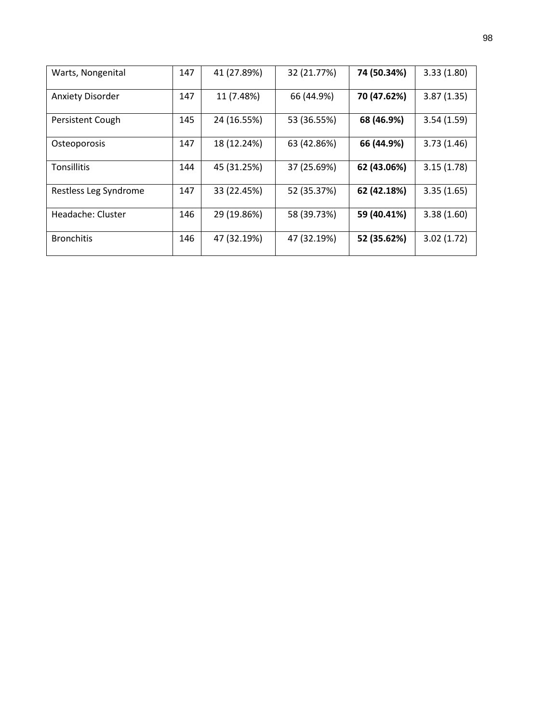| Warts, Nongenital       | 147 | 41 (27.89%) | 32 (21.77%) | 74 (50.34%) | 3.33(1.80) |
|-------------------------|-----|-------------|-------------|-------------|------------|
| <b>Anxiety Disorder</b> | 147 | 11 (7.48%)  | 66 (44.9%)  | 70 (47.62%) | 3.87(1.35) |
| Persistent Cough        | 145 | 24 (16.55%) | 53 (36.55%) | 68 (46.9%)  | 3.54(1.59) |
| Osteoporosis            | 147 | 18 (12.24%) | 63 (42.86%) | 66 (44.9%)  | 3.73(1.46) |
| <b>Tonsillitis</b>      | 144 | 45 (31.25%) | 37 (25.69%) | 62 (43.06%) | 3.15(1.78) |
| Restless Leg Syndrome   | 147 | 33 (22.45%) | 52 (35.37%) | 62 (42.18%) | 3.35(1.65) |
| Headache: Cluster       | 146 | 29 (19.86%) | 58 (39.73%) | 59 (40.41%) | 3.38(1.60) |
| <b>Bronchitis</b>       | 146 | 47 (32.19%) | 47 (32.19%) | 52 (35.62%) | 3.02(1.72) |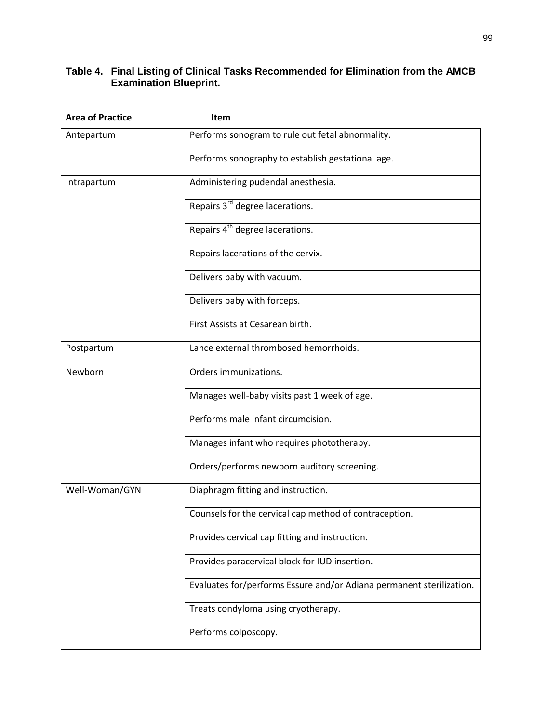#### **Table 4. Final Listing of Clinical Tasks Recommended for Elimination from the AMCB Examination Blueprint.**

| <b>Area of Practice</b> | Item                                                                 |  |  |
|-------------------------|----------------------------------------------------------------------|--|--|
| Antepartum              | Performs sonogram to rule out fetal abnormality.                     |  |  |
|                         | Performs sonography to establish gestational age.                    |  |  |
| Intrapartum             | Administering pudendal anesthesia.                                   |  |  |
|                         | Repairs 3 <sup>rd</sup> degree lacerations.                          |  |  |
|                         | Repairs 4 <sup>th</sup> degree lacerations.                          |  |  |
|                         | Repairs lacerations of the cervix.                                   |  |  |
|                         | Delivers baby with vacuum.                                           |  |  |
|                         | Delivers baby with forceps.                                          |  |  |
|                         | First Assists at Cesarean birth.                                     |  |  |
| Postpartum              | Lance external thrombosed hemorrhoids.                               |  |  |
| Newborn                 | Orders immunizations.                                                |  |  |
|                         | Manages well-baby visits past 1 week of age.                         |  |  |
|                         | Performs male infant circumcision.                                   |  |  |
|                         | Manages infant who requires phototherapy.                            |  |  |
|                         | Orders/performs newborn auditory screening.                          |  |  |
| Well-Woman/GYN          | Diaphragm fitting and instruction.                                   |  |  |
|                         | Counsels for the cervical cap method of contraception.               |  |  |
|                         | Provides cervical cap fitting and instruction.                       |  |  |
|                         | Provides paracervical block for IUD insertion.                       |  |  |
|                         | Evaluates for/performs Essure and/or Adiana permanent sterilization. |  |  |
|                         | Treats condyloma using cryotherapy.                                  |  |  |
|                         | Performs colposcopy.                                                 |  |  |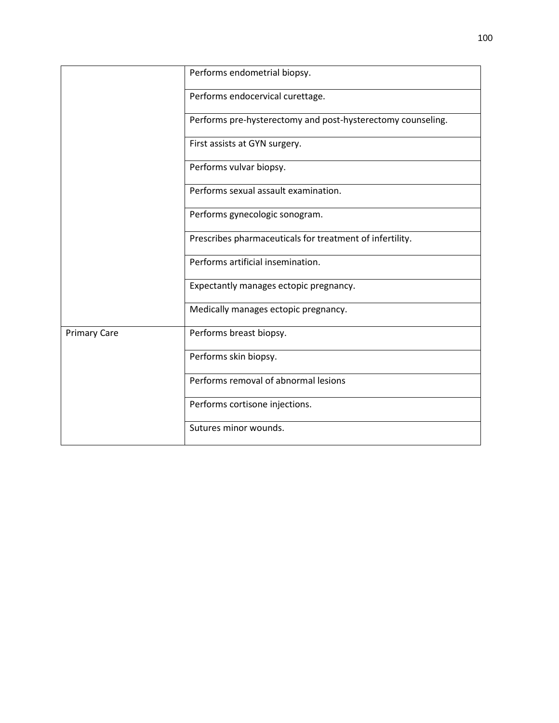|                     | Performs endometrial biopsy.                                |
|---------------------|-------------------------------------------------------------|
|                     | Performs endocervical curettage.                            |
|                     | Performs pre-hysterectomy and post-hysterectomy counseling. |
|                     | First assists at GYN surgery.                               |
|                     | Performs vulvar biopsy.                                     |
|                     | Performs sexual assault examination.                        |
|                     | Performs gynecologic sonogram.                              |
|                     | Prescribes pharmaceuticals for treatment of infertility.    |
|                     | Performs artificial insemination.                           |
|                     | Expectantly manages ectopic pregnancy.                      |
|                     | Medically manages ectopic pregnancy.                        |
| <b>Primary Care</b> | Performs breast biopsy.                                     |
|                     | Performs skin biopsy.                                       |
|                     | Performs removal of abnormal lesions                        |
|                     | Performs cortisone injections.                              |
|                     | Sutures minor wounds.                                       |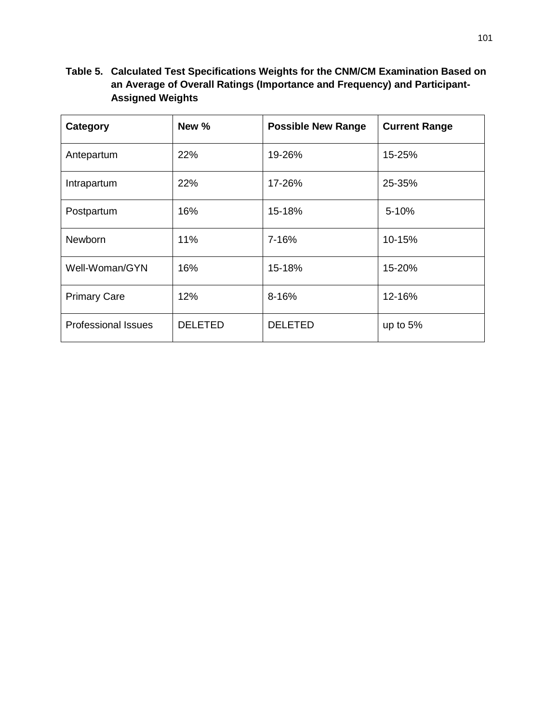### **Table 5. Calculated Test Specifications Weights for the CNM/CM Examination Based on an Average of Overall Ratings (Importance and Frequency) and Participant-Assigned Weights**

| Category                   | New %          | <b>Possible New Range</b> | <b>Current Range</b> |
|----------------------------|----------------|---------------------------|----------------------|
| Antepartum                 | 22%            | 19-26%                    | 15-25%               |
| Intrapartum                | 22%            | 17-26%                    | 25-35%               |
| Postpartum                 | 16%            | 15-18%                    | $5 - 10%$            |
| Newborn                    | 11%            | 7-16%                     | 10-15%               |
| Well-Woman/GYN             | 16%            | 15-18%                    | 15-20%               |
| <b>Primary Care</b>        | 12%            | 8-16%                     | 12-16%               |
| <b>Professional Issues</b> | <b>DELETED</b> | <b>DELETED</b>            | up to $5%$           |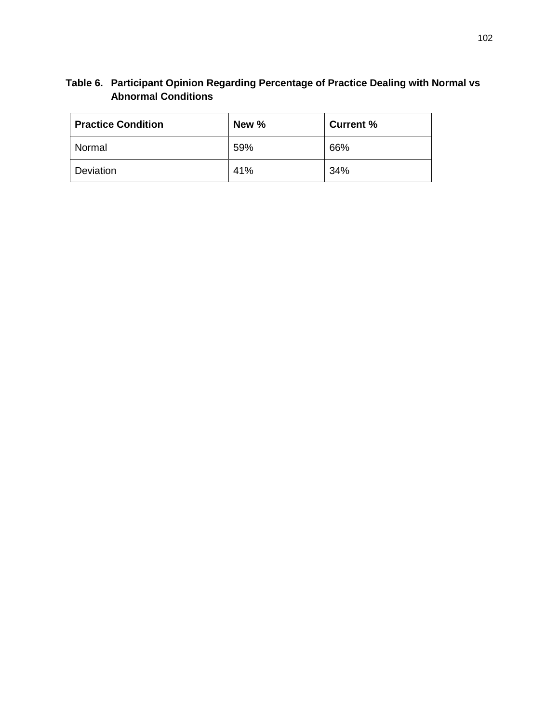## **Table 6. Participant Opinion Regarding Percentage of Practice Dealing with Normal vs Abnormal Conditions**

| <b>Practice Condition</b> | New % | <b>Current %</b> |
|---------------------------|-------|------------------|
| <b>Normal</b>             | 59%   | 66%              |
| Deviation                 | 41%   | 34%              |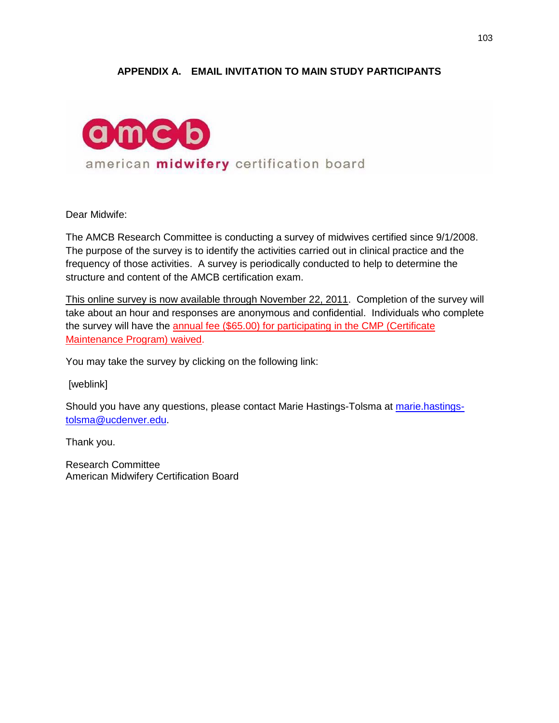#### **APPENDIX A. EMAIL INVITATION TO MAIN STUDY PARTICIPANTS**



Dear Midwife:

The AMCB Research Committee is conducting a survey of midwives certified since 9/1/2008. The purpose of the survey is to identify the activities carried out in clinical practice and the frequency of those activities. A survey is periodically conducted to help to determine the structure and content of the AMCB certification exam.

This online survey is now available through November 22, 2011. Completion of the survey will take about an hour and responses are anonymous and confidential. Individuals who complete the survey will have the annual fee (\$65.00) for participating in the CMP (Certificate Maintenance Program) waived.

You may take the survey by clicking on the following link:

[weblink]

Should you have any questions, please contact Marie Hastings-Tolsma at [marie.hastings](mailto:marie.hastings-tolsma@ucdenver.edu)[tolsma@ucdenver.edu.](mailto:marie.hastings-tolsma@ucdenver.edu)

Thank you.

Research Committee American Midwifery Certification Board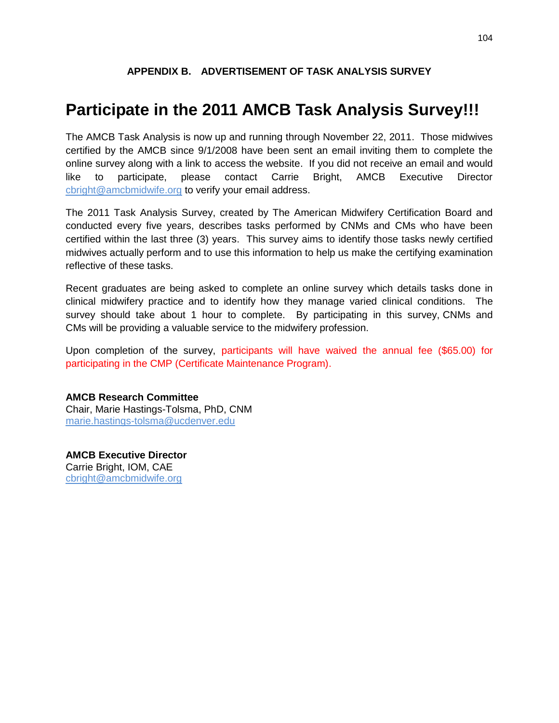#### **APPENDIX B. ADVERTISEMENT OF TASK ANALYSIS SURVEY**

# **Participate in the 2011 AMCB Task Analysis Survey!!!**

The AMCB Task Analysis is now up and running through November 22, 2011. Those midwives certified by the AMCB since 9/1/2008 have been sent an email inviting them to complete the online survey along with a link to access the website. If you did not receive an email and would like to participate, please contact Carrie Bright, AMCB Executive Director [cbright@amcbmidwife.org](mailto:cbright@amcbmidwife.org) to verify your email address.

The 2011 Task Analysis Survey, created by The American Midwifery Certification Board and conducted every five years, describes tasks performed by CNMs and CMs who have been certified within the last three (3) years. This survey aims to identify those tasks newly certified midwives actually perform and to use this information to help us make the certifying examination reflective of these tasks.

Recent graduates are being asked to complete an online survey which details tasks done in clinical midwifery practice and to identify how they manage varied clinical conditions. The survey should take about 1 hour to complete. By participating in this survey, CNMs and CMs will be providing a valuable service to the midwifery profession.

Upon completion of the survey, participants will have waived the annual fee (\$65.00) for participating in the CMP (Certificate Maintenance Program).

#### **AMCB Research Committee** Chair, Marie Hastings-Tolsma, PhD, CNM [marie.hastings-tolsma@ucdenver.edu](mailto:marie.hastings-tolsma@ucdenver.edu)

**AMCB Executive Director** Carrie Bright, IOM, CAE [cbright@amcbmidwife.org](mailto:cbright@amcbmidwife.org)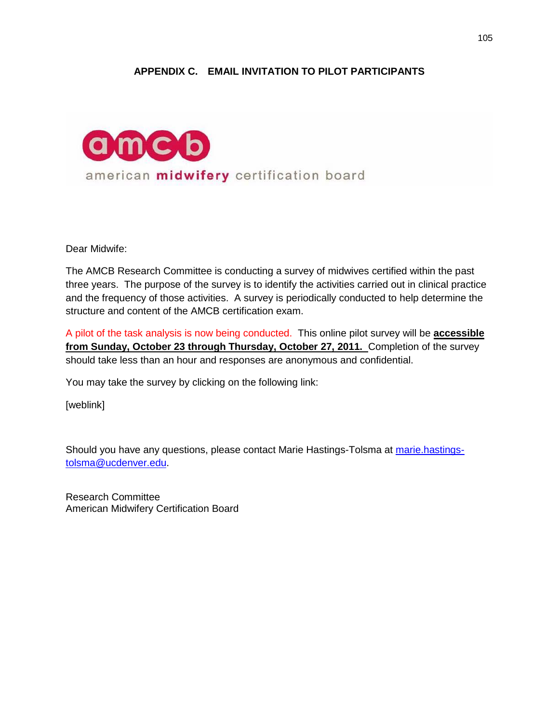#### **APPENDIX C. EMAIL INVITATION TO PILOT PARTICIPANTS**



Dear Midwife:

The AMCB Research Committee is conducting a survey of midwives certified within the past three years. The purpose of the survey is to identify the activities carried out in clinical practice and the frequency of those activities. A survey is periodically conducted to help determine the structure and content of the AMCB certification exam.

A pilot of the task analysis is now being conducted. This online pilot survey will be **accessible from Sunday, October 23 through Thursday, October 27, 2011.** Completion of the survey should take less than an hour and responses are anonymous and confidential.

You may take the survey by clicking on the following link:

[weblink]

Should you have any questions, please contact Marie Hastings-Tolsma at [marie.hastings](mailto:marie.hastings-tolsma@ucdenver.edu)[tolsma@ucdenver.edu.](mailto:marie.hastings-tolsma@ucdenver.edu)

Research Committee American Midwifery Certification Board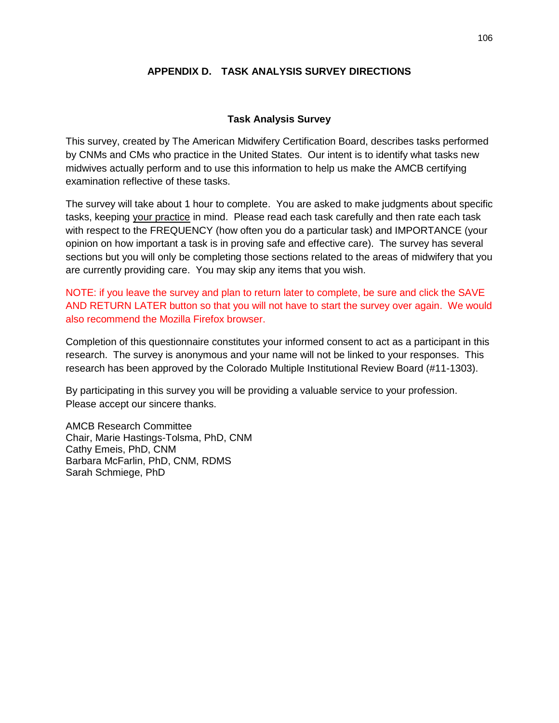#### **APPENDIX D. TASK ANALYSIS SURVEY DIRECTIONS**

#### **Task Analysis Survey**

This survey, created by The American Midwifery Certification Board, describes tasks performed by CNMs and CMs who practice in the United States. Our intent is to identify what tasks new midwives actually perform and to use this information to help us make the AMCB certifying examination reflective of these tasks.

The survey will take about 1 hour to complete. You are asked to make judgments about specific tasks, keeping your practice in mind. Please read each task carefully and then rate each task with respect to the FREQUENCY (how often you do a particular task) and IMPORTANCE (your opinion on how important a task is in proving safe and effective care). The survey has several sections but you will only be completing those sections related to the areas of midwifery that you are currently providing care. You may skip any items that you wish.

NOTE: if you leave the survey and plan to return later to complete, be sure and click the SAVE AND RETURN LATER button so that you will not have to start the survey over again. We would also recommend the Mozilla Firefox browser.

Completion of this questionnaire constitutes your informed consent to act as a participant in this research. The survey is anonymous and your name will not be linked to your responses. This research has been approved by the Colorado Multiple Institutional Review Board (#11-1303).

By participating in this survey you will be providing a valuable service to your profession. Please accept our sincere thanks.

AMCB Research Committee Chair, Marie Hastings-Tolsma, PhD, CNM Cathy Emeis, PhD, CNM Barbara McFarlin, PhD, CNM, RDMS Sarah Schmiege, PhD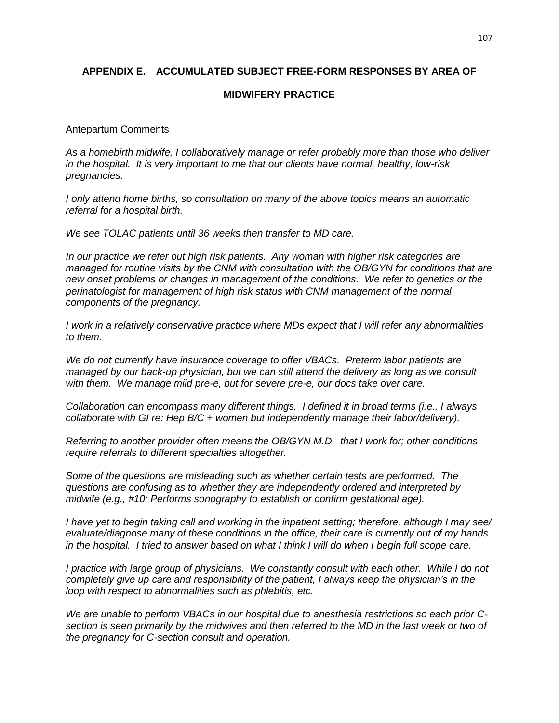#### **APPENDIX E. ACCUMULATED SUBJECT FREE-FORM RESPONSES BY AREA OF**

#### **MIDWIFERY PRACTICE**

#### Antepartum Comments

*As a homebirth midwife, I collaboratively manage or refer probably more than those who deliver in the hospital. It is very important to me that our clients have normal, healthy, low-risk pregnancies.*

*I only attend home births, so consultation on many of the above topics means an automatic referral for a hospital birth.*

*We see TOLAC patients until 36 weeks then transfer to MD care.*

*In our practice we refer out high risk patients. Any woman with higher risk categories are managed for routine visits by the CNM with consultation with the OB/GYN for conditions that are new onset problems or changes in management of the conditions. We refer to genetics or the perinatologist for management of high risk status with CNM management of the normal components of the pregnancy.*

*I work in a relatively conservative practice where MDs expect that I will refer any abnormalities to them.*

*We do not currently have insurance coverage to offer VBACs. Preterm labor patients are managed by our back-up physician, but we can still attend the delivery as long as we consult with them. We manage mild pre-e, but for severe pre-e, our docs take over care.*

*Collaboration can encompass many different things. I defined it in broad terms (i.e., I always collaborate with GI re: Hep B/C + women but independently manage their labor/delivery).*

*Referring to another provider often means the OB/GYN M.D. that I work for; other conditions require referrals to different specialties altogether.*

*Some of the questions are misleading such as whether certain tests are performed. The questions are confusing as to whether they are independently ordered and interpreted by midwife (e.g., #10: Performs sonography to establish or confirm gestational age).* 

*I have yet to begin taking call and working in the inpatient setting; therefore, although I may see/ evaluate/diagnose many of these conditions in the office, their care is currently out of my hands in the hospital. I tried to answer based on what I think I will do when I begin full scope care.*

*I practice with large group of physicians. We constantly consult with each other. While I do not completely give up care and responsibility of the patient, I always keep the physician's in the loop with respect to abnormalities such as phlebitis, etc.* 

*We are unable to perform VBACs in our hospital due to anesthesia restrictions so each prior C*section is seen primarily by the midwives and then referred to the MD in the last week or two of *the pregnancy for C-section consult and operation.*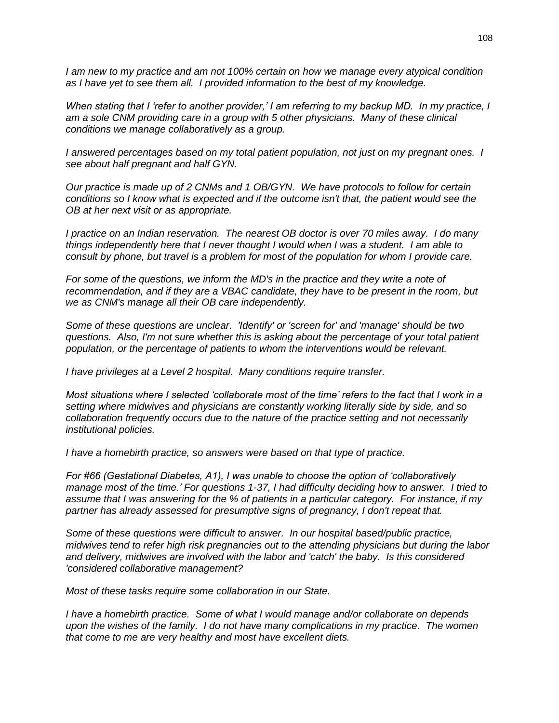*I am new to my practice and am not 100% certain on how we manage every atypical condition as I have yet to see them all. I provided information to the best of my knowledge.*

*When stating that I 'refer to another provider,' I am referring to my backup MD. In my practice, I am a sole CNM providing care in a group with 5 other physicians. Many of these clinical conditions we manage collaboratively as a group.*

*I answered percentages based on my total patient population, not just on my pregnant ones. I see about half pregnant and half GYN.*

*Our practice is made up of 2 CNMs and 1 OB/GYN. We have protocols to follow for certain conditions so I know what is expected and if the outcome isn't that, the patient would see the OB at her next visit or as appropriate.*

*I practice on an Indian reservation. The nearest OB doctor is over 70 miles away. I do many things independently here that I never thought I would when I was a student. I am able to consult by phone, but travel is a problem for most of the population for whom I provide care.* 

*For some of the questions, we inform the MD's in the practice and they write a note of recommendation, and if they are a VBAC candidate, they have to be present in the room, but we as CNM's manage all their OB care independently.*

*Some of these questions are unclear. 'Identify' or 'screen for' and 'manage' should be two questions. Also, I'm not sure whether this is asking about the percentage of your total patient population, or the percentage of patients to whom the interventions would be relevant.*

*I have privileges at a Level 2 hospital. Many conditions require transfer.*

*Most situations where I selected 'collaborate most of the time' refers to the fact that I work in a setting where midwives and physicians are constantly working literally side by side, and so collaboration frequently occurs due to the nature of the practice setting and not necessarily institutional policies.*

*I have a homebirth practice, so answers were based on that type of practice.*

*For #66 (Gestational Diabetes, A1), I was unable to choose the option of 'collaboratively manage most of the time.' For questions 1-37, I had difficulty deciding how to answer. I tried to assume that I was answering for the % of patients in a particular category. For instance, if my partner has already assessed for presumptive signs of pregnancy, I don't repeat that.*

*Some of these questions were difficult to answer. In our hospital based/public practice, midwives tend to refer high risk pregnancies out to the attending physicians but during the labor and delivery, midwives are involved with the labor and 'catch' the baby. Is this considered 'considered collaborative management?*

*Most of these tasks require some collaboration in our State.*

*I have a homebirth practice. Some of what I would manage and/or collaborate on depends upon the wishes of the family. I do not have many complications in my practice. The women that come to me are very healthy and most have excellent diets.*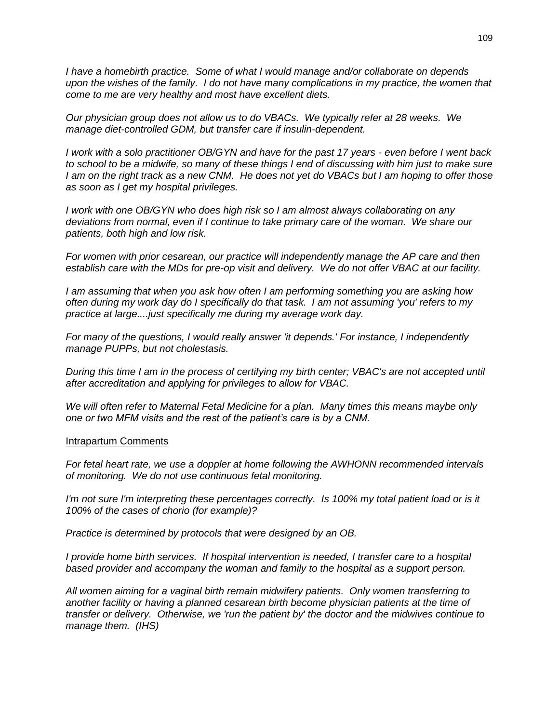*I have a homebirth practice. Some of what I would manage and/or collaborate on depends upon the wishes of the family. I do not have many complications in my practice, the women that come to me are very healthy and most have excellent diets.*

*Our physician group does not allow us to do VBACs. We typically refer at 28 weeks. We manage diet-controlled GDM, but transfer care if insulin-dependent.*

*I work with a solo practitioner OB/GYN and have for the past 17 years - even before I went back to school to be a midwife, so many of these things I end of discussing with him just to make sure I am on the right track as a new CNM. He does not yet do VBACs but I am hoping to offer those as soon as I get my hospital privileges.*

*I work with one OB/GYN who does high risk so I am almost always collaborating on any deviations from normal, even if I continue to take primary care of the woman. We share our patients, both high and low risk.*

*For women with prior cesarean, our practice will independently manage the AP care and then establish care with the MDs for pre-op visit and delivery. We do not offer VBAC at our facility.*

*I am assuming that when you ask how often I am performing something you are asking how often during my work day do I specifically do that task. I am not assuming 'you' refers to my practice at large....just specifically me during my average work day.*

*For many of the questions, I would really answer 'it depends.' For instance, I independently manage PUPPs, but not cholestasis.*

*During this time I am in the process of certifying my birth center; VBAC's are not accepted until after accreditation and applying for privileges to allow for VBAC.*

*We will often refer to Maternal Fetal Medicine for a plan. Many times this means maybe only one or two MFM visits and the rest of the patient's care is by a CNM.*

#### Intrapartum Comments

*For fetal heart rate, we use a doppler at home following the AWHONN recommended intervals of monitoring. We do not use continuous fetal monitoring.*

*I'm not sure I'm interpreting these percentages correctly. Is 100% my total patient load or is it 100% of the cases of chorio (for example)?*

*Practice is determined by protocols that were designed by an OB.*

*I* provide home birth services. If hospital intervention is needed, I transfer care to a hospital *based provider and accompany the woman and family to the hospital as a support person.*

*All women aiming for a vaginal birth remain midwifery patients. Only women transferring to another facility or having a planned cesarean birth become physician patients at the time of transfer or delivery. Otherwise, we 'run the patient by' the doctor and the midwives continue to manage them. (IHS)*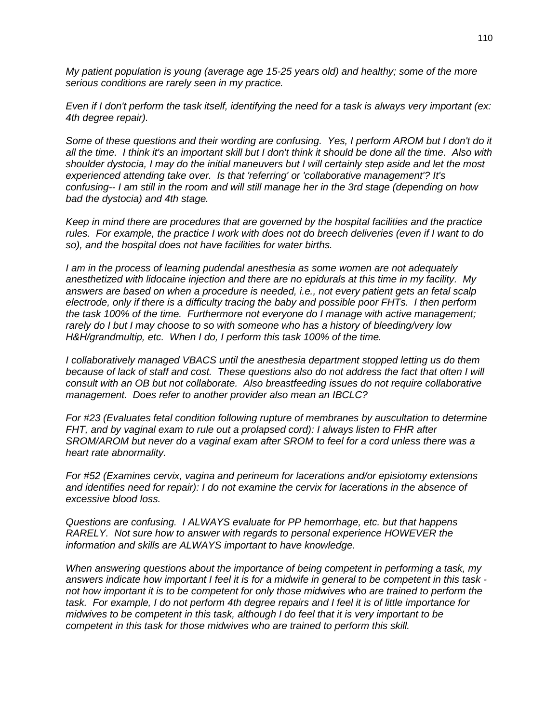*My patient population is young (average age 15-25 years old) and healthy; some of the more serious conditions are rarely seen in my practice.*

*Even if I don't perform the task itself, identifying the need for a task is always very important (ex: 4th degree repair).*

*Some of these questions and their wording are confusing. Yes, I perform AROM but I don't do it all the time. I think it's an important skill but I don't think it should be done all the time. Also with shoulder dystocia, I may do the initial maneuvers but I will certainly step aside and let the most experienced attending take over. Is that 'referring' or 'collaborative management'? It's confusing-- I am still in the room and will still manage her in the 3rd stage (depending on how bad the dystocia) and 4th stage.*

*Keep in mind there are procedures that are governed by the hospital facilities and the practice rules. For example, the practice I work with does not do breech deliveries (even if I want to do so), and the hospital does not have facilities for water births.*

*I am in the process of learning pudendal anesthesia as some women are not adequately anesthetized with lidocaine injection and there are no epidurals at this time in my facility. My answers are based on when a procedure is needed, i.e., not every patient gets an fetal scalp electrode, only if there is a difficulty tracing the baby and possible poor FHTs. I then perform the task 100% of the time. Furthermore not everyone do I manage with active management; rarely do I but I may choose to so with someone who has a history of bleeding/very low H&H/grandmultip, etc. When I do, I perform this task 100% of the time.*

*I collaboratively managed VBACS until the anesthesia department stopped letting us do them because of lack of staff and cost. These questions also do not address the fact that often I will consult with an OB but not collaborate. Also breastfeeding issues do not require collaborative management. Does refer to another provider also mean an IBCLC?*

*For #23 (Evaluates fetal condition following rupture of membranes by auscultation to determine FHT, and by vaginal exam to rule out a prolapsed cord): I always listen to FHR after SROM/AROM but never do a vaginal exam after SROM to feel for a cord unless there was a heart rate abnormality.*

*For #52 (Examines cervix, vagina and perineum for lacerations and/or episiotomy extensions and identifies need for repair): I do not examine the cervix for lacerations in the absence of excessive blood loss.*

*Questions are confusing. I ALWAYS evaluate for PP hemorrhage, etc. but that happens RARELY. Not sure how to answer with regards to personal experience HOWEVER the information and skills are ALWAYS important to have knowledge.* 

*When answering questions about the importance of being competent in performing a task, my answers indicate how important I feel it is for a midwife in general to be competent in this task not how important it is to be competent for only those midwives who are trained to perform the task. For example, I do not perform 4th degree repairs and I feel it is of little importance for midwives to be competent in this task, although I do feel that it is very important to be competent in this task for those midwives who are trained to perform this skill.*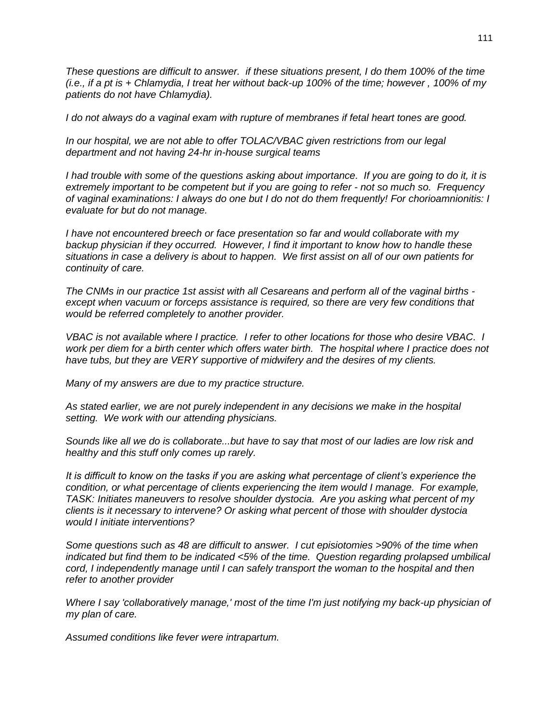*These questions are difficult to answer. if these situations present, I do them 100% of the time (i.e., if a pt is + Chlamydia, I treat her without back-up 100% of the time; however , 100% of my patients do not have Chlamydia).*

*I do not always do a vaginal exam with rupture of membranes if fetal heart tones are good.* 

*In our hospital, we are not able to offer TOLAC/VBAC given restrictions from our legal department and not having 24-hr in-house surgical teams*

*I had trouble with some of the questions asking about importance. If you are going to do it, it is extremely important to be competent but if you are going to refer - not so much so. Frequency of vaginal examinations: I always do one but I do not do them frequently! For chorioamnionitis: I evaluate for but do not manage.* 

*I have not encountered breech or face presentation so far and would collaborate with my backup physician if they occurred. However, I find it important to know how to handle these situations in case a delivery is about to happen. We first assist on all of our own patients for continuity of care.*

*The CNMs in our practice 1st assist with all Cesareans and perform all of the vaginal births except when vacuum or forceps assistance is required, so there are very few conditions that would be referred completely to another provider.*

*VBAC is not available where I practice. I refer to other locations for those who desire VBAC. I*  work per diem for a birth center which offers water birth. The hospital where I practice does not *have tubs, but they are VERY supportive of midwifery and the desires of my clients.* 

*Many of my answers are due to my practice structure.*

*As stated earlier, we are not purely independent in any decisions we make in the hospital setting. We work with our attending physicians.* 

*Sounds like all we do is collaborate...but have to say that most of our ladies are low risk and healthy and this stuff only comes up rarely.*

*It is difficult to know on the tasks if you are asking what percentage of client's experience the condition, or what percentage of clients experiencing the item would I manage. For example, TASK: Initiates maneuvers to resolve shoulder dystocia. Are you asking what percent of my clients is it necessary to intervene? Or asking what percent of those with shoulder dystocia would I initiate interventions?*

*Some questions such as 48 are difficult to answer. I cut episiotomies >90% of the time when indicated but find them to be indicated <5% of the time. Question regarding prolapsed umbilical cord, I independently manage until I can safely transport the woman to the hospital and then refer to another provider*

*Where I say 'collaboratively manage,' most of the time I'm just notifying my back-up physician of my plan of care.*

*Assumed conditions like fever were intrapartum.*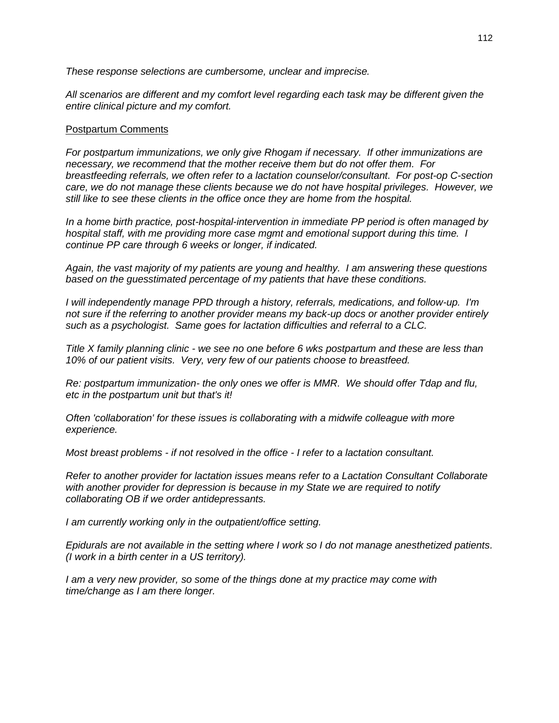*These response selections are cumbersome, unclear and imprecise.*

*All scenarios are different and my comfort level regarding each task may be different given the entire clinical picture and my comfort.*

### Postpartum Comments

*For postpartum immunizations, we only give Rhogam if necessary. If other immunizations are necessary, we recommend that the mother receive them but do not offer them. For breastfeeding referrals, we often refer to a lactation counselor/consultant. For post-op C-section care, we do not manage these clients because we do not have hospital privileges. However, we still like to see these clients in the office once they are home from the hospital.*

*In a home birth practice, post-hospital-intervention in immediate PP period is often managed by hospital staff, with me providing more case mgmt and emotional support during this time. I continue PP care through 6 weeks or longer, if indicated.*

*Again, the vast majority of my patients are young and healthy. I am answering these questions based on the guesstimated percentage of my patients that have these conditions.*

*I will independently manage PPD through a history, referrals, medications, and follow-up. I'm not sure if the referring to another provider means my back-up docs or another provider entirely such as a psychologist. Same goes for lactation difficulties and referral to a CLC.*

*Title X family planning clinic - we see no one before 6 wks postpartum and these are less than 10% of our patient visits. Very, very few of our patients choose to breastfeed.*

*Re: postpartum immunization- the only ones we offer is MMR. We should offer Tdap and flu, etc in the postpartum unit but that's it!*

*Often 'collaboration' for these issues is collaborating with a midwife colleague with more experience.*

*Most breast problems - if not resolved in the office - I refer to a lactation consultant.*

*Refer to another provider for lactation issues means refer to a Lactation Consultant Collaborate with another provider for depression is because in my State we are required to notify collaborating OB if we order antidepressants.*

*I am currently working only in the outpatient/office setting.*

*Epidurals are not available in the setting where I work so I do not manage anesthetized patients. (I work in a birth center in a US territory).* 

*I am a very new provider, so some of the things done at my practice may come with time/change as I am there longer.*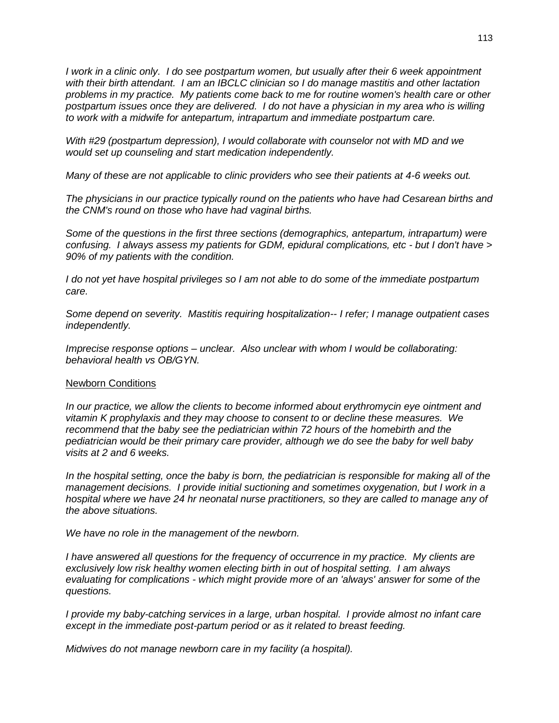*I work in a clinic only. I do see postpartum women, but usually after their 6 week appointment with their birth attendant. I am an IBCLC clinician so I do manage mastitis and other lactation problems in my practice. My patients come back to me for routine women's health care or other postpartum issues once they are delivered. I do not have a physician in my area who is willing to work with a midwife for antepartum, intrapartum and immediate postpartum care.*

*With #29 (postpartum depression), I would collaborate with counselor not with MD and we would set up counseling and start medication independently.*

*Many of these are not applicable to clinic providers who see their patients at 4-6 weeks out.*

*The physicians in our practice typically round on the patients who have had Cesarean births and the CNM's round on those who have had vaginal births.*

*Some of the questions in the first three sections (demographics, antepartum, intrapartum) were confusing. I always assess my patients for GDM, epidural complications, etc - but I don't have > 90% of my patients with the condition.*

*I do not yet have hospital privileges so I am not able to do some of the immediate postpartum care.*

*Some depend on severity. Mastitis requiring hospitalization-- I refer; I manage outpatient cases independently.*

*Imprecise response options – unclear. Also unclear with whom I would be collaborating: behavioral health vs OB/GYN.* 

## Newborn Conditions

*In our practice, we allow the clients to become informed about erythromycin eye ointment and vitamin K prophylaxis and they may choose to consent to or decline these measures. We recommend that the baby see the pediatrician within 72 hours of the homebirth and the pediatrician would be their primary care provider, although we do see the baby for well baby visits at 2 and 6 weeks.*

*In the hospital setting, once the baby is born, the pediatrician is responsible for making all of the management decisions. I provide initial suctioning and sometimes oxygenation, but I work in a hospital where we have 24 hr neonatal nurse practitioners, so they are called to manage any of the above situations.*

*We have no role in the management of the newborn.*

*I* have answered all questions for the frequency of occurrence in my practice. My clients are *exclusively low risk healthy women electing birth in out of hospital setting. I am always evaluating for complications - which might provide more of an 'always' answer for some of the questions.*

*I provide my baby-catching services in a large, urban hospital. I provide almost no infant care except in the immediate post-partum period or as it related to breast feeding.*

*Midwives do not manage newborn care in my facility (a hospital).*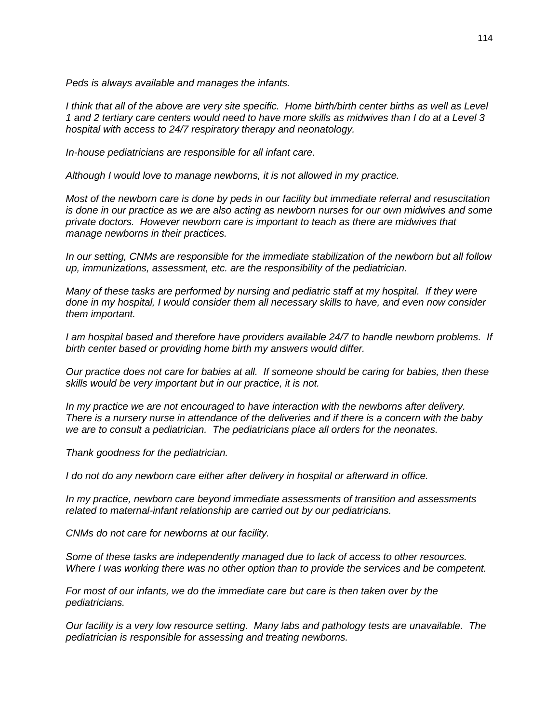*Peds is always available and manages the infants.*

*I think that all of the above are very site specific. Home birth/birth center births as well as Level 1 and 2 tertiary care centers would need to have more skills as midwives than I do at a Level 3 hospital with access to 24/7 respiratory therapy and neonatology.*

*In-house pediatricians are responsible for all infant care.*

*Although I would love to manage newborns, it is not allowed in my practice.*

*Most of the newborn care is done by peds in our facility but immediate referral and resuscitation is done in our practice as we are also acting as newborn nurses for our own midwives and some private doctors. However newborn care is important to teach as there are midwives that manage newborns in their practices.*

*In our setting, CNMs are responsible for the immediate stabilization of the newborn but all follow up, immunizations, assessment, etc. are the responsibility of the pediatrician.*

*Many of these tasks are performed by nursing and pediatric staff at my hospital. If they were done in my hospital, I would consider them all necessary skills to have, and even now consider them important.*

*I am hospital based and therefore have providers available 24/7 to handle newborn problems. If birth center based or providing home birth my answers would differ.*

*Our practice does not care for babies at all. If someone should be caring for babies, then these skills would be very important but in our practice, it is not.*

*In my practice we are not encouraged to have interaction with the newborns after delivery. There is a nursery nurse in attendance of the deliveries and if there is a concern with the baby we are to consult a pediatrician. The pediatricians place all orders for the neonates.*

*Thank goodness for the pediatrician.*

*I do not do any newborn care either after delivery in hospital or afterward in office.*

*In my practice, newborn care beyond immediate assessments of transition and assessments related to maternal-infant relationship are carried out by our pediatricians.*

*CNMs do not care for newborns at our facility.*

*Some of these tasks are independently managed due to lack of access to other resources. Where I was working there was no other option than to provide the services and be competent.*

*For most of our infants, we do the immediate care but care is then taken over by the pediatricians.*

*Our facility is a very low resource setting. Many labs and pathology tests are unavailable. The pediatrician is responsible for assessing and treating newborns.*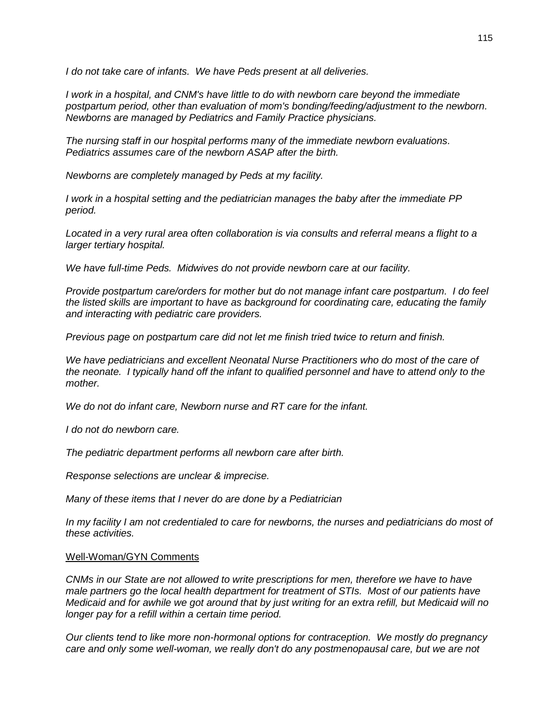*I do not take care of infants. We have Peds present at all deliveries.*

*I work in a hospital, and CNM's have little to do with newborn care beyond the immediate postpartum period, other than evaluation of mom's bonding/feeding/adjustment to the newborn. Newborns are managed by Pediatrics and Family Practice physicians.*

*The nursing staff in our hospital performs many of the immediate newborn evaluations. Pediatrics assumes care of the newborn ASAP after the birth.*

*Newborns are completely managed by Peds at my facility.*

*I work in a hospital setting and the pediatrician manages the baby after the immediate PP period.*

*Located in a very rural area often collaboration is via consults and referral means a flight to a larger tertiary hospital.*

*We have full-time Peds. Midwives do not provide newborn care at our facility.*

*Provide postpartum care/orders for mother but do not manage infant care postpartum. I do feel the listed skills are important to have as background for coordinating care, educating the family and interacting with pediatric care providers.*

*Previous page on postpartum care did not let me finish tried twice to return and finish.*

*We have pediatricians and excellent Neonatal Nurse Practitioners who do most of the care of the neonate. I typically hand off the infant to qualified personnel and have to attend only to the mother.* 

*We do not do infant care, Newborn nurse and RT care for the infant.*

*I do not do newborn care.*

*The pediatric department performs all newborn care after birth.*

*Response selections are unclear & imprecise.*

*Many of these items that I never do are done by a Pediatrician*

In my facility I am not credentialed to care for newborns, the nurses and pediatricians do most of *these activities.*

#### Well-Woman/GYN Comments

*CNMs in our State are not allowed to write prescriptions for men, therefore we have to have male partners go the local health department for treatment of STIs. Most of our patients have Medicaid and for awhile we got around that by just writing for an extra refill, but Medicaid will no longer pay for a refill within a certain time period.*

*Our clients tend to like more non-hormonal options for contraception. We mostly do pregnancy care and only some well-woman, we really don't do any postmenopausal care, but we are not*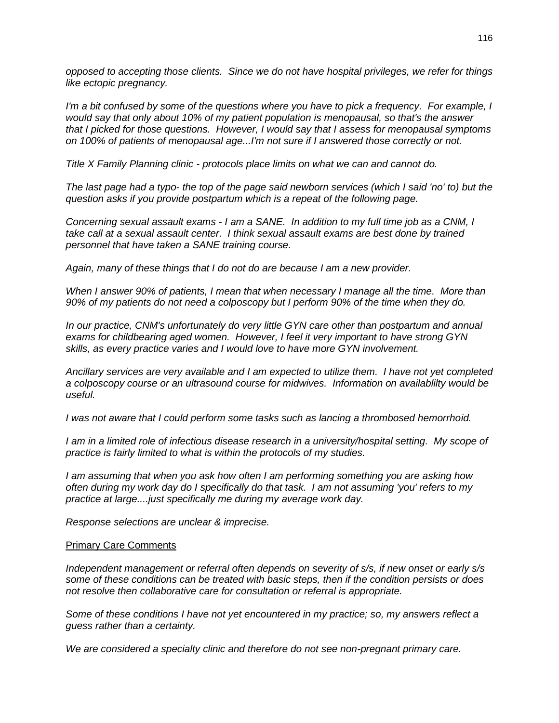*opposed to accepting those clients. Since we do not have hospital privileges, we refer for things like ectopic pregnancy.*

*I'm a bit confused by some of the questions where you have to pick a frequency. For example, I would say that only about 10% of my patient population is menopausal, so that's the answer that I picked for those questions. However, I would say that I assess for menopausal symptoms on 100% of patients of menopausal age...I'm not sure if I answered those correctly or not.*

*Title X Family Planning clinic - protocols place limits on what we can and cannot do.*

*The last page had a typo- the top of the page said newborn services (which I said 'no' to) but the question asks if you provide postpartum which is a repeat of the following page.*

*Concerning sexual assault exams - I am a SANE. In addition to my full time job as a CNM, I take call at a sexual assault center. I think sexual assault exams are best done by trained personnel that have taken a SANE training course.*

*Again, many of these things that I do not do are because I am a new provider.* 

*When I answer 90% of patients, I mean that when necessary I manage all the time. More than 90% of my patients do not need a colposcopy but I perform 90% of the time when they do.* 

*In our practice, CNM's unfortunately do very little GYN care other than postpartum and annual exams for childbearing aged women. However, I feel it very important to have strong GYN skills, as every practice varies and I would love to have more GYN involvement.*

*Ancillary services are very available and I am expected to utilize them. I have not yet completed a colposcopy course or an ultrasound course for midwives. Information on availablilty would be useful.*

*I was not aware that I could perform some tasks such as lancing a thrombosed hemorrhoid.* 

*I am in a limited role of infectious disease research in a university/hospital setting. My scope of practice is fairly limited to what is within the protocols of my studies.*

*I am assuming that when you ask how often I am performing something you are asking how often during my work day do I specifically do that task. I am not assuming 'you' refers to my practice at large....just specifically me during my average work day.*

*Response selections are unclear & imprecise.* 

#### Primary Care Comments

*Independent management or referral often depends on severity of s/s, if new onset or early s/s some of these conditions can be treated with basic steps, then if the condition persists or does not resolve then collaborative care for consultation or referral is appropriate.*

*Some of these conditions I have not yet encountered in my practice; so, my answers reflect a guess rather than a certainty.*

*We are considered a specialty clinic and therefore do not see non-pregnant primary care.*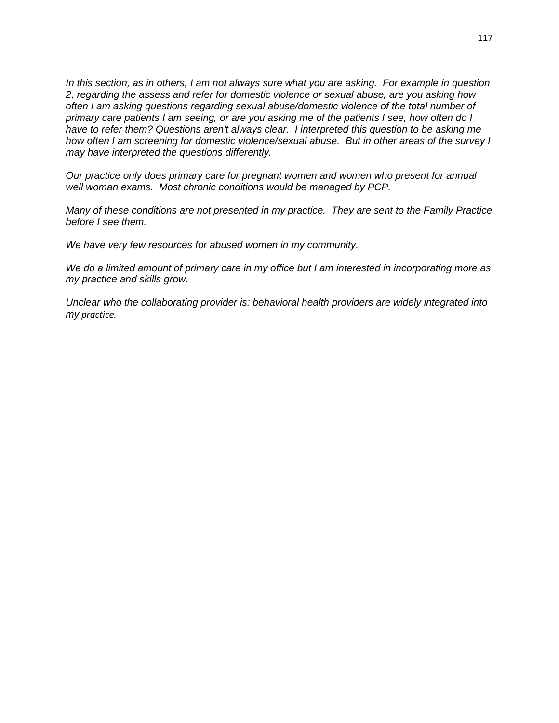*In this section, as in others, I am not always sure what you are asking. For example in question 2, regarding the assess and refer for domestic violence or sexual abuse, are you asking how often I am asking questions regarding sexual abuse/domestic violence of the total number of primary care patients I am seeing, or are you asking me of the patients I see, how often do I have to refer them? Questions aren't always clear. I interpreted this question to be asking me how often I am screening for domestic violence/sexual abuse. But in other areas of the survey I may have interpreted the questions differently.* 

*Our practice only does primary care for pregnant women and women who present for annual well woman exams. Most chronic conditions would be managed by PCP.*

*Many of these conditions are not presented in my practice. They are sent to the Family Practice before I see them.*

*We have very few resources for abused women in my community.*

*We do a limited amount of primary care in my office but I am interested in incorporating more as my practice and skills grow.*

*Unclear who the collaborating provider is: behavioral health providers are widely integrated into my practice.*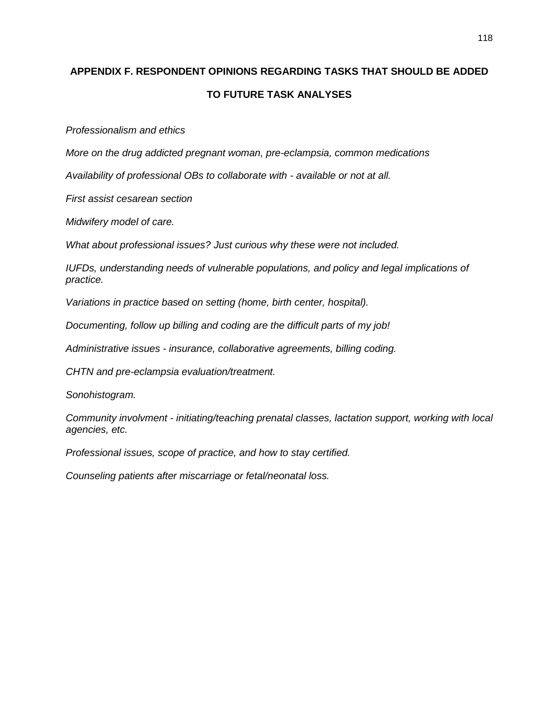# **APPENDIX F. RESPONDENT OPINIONS REGARDING TASKS THAT SHOULD BE ADDED TO FUTURE TASK ANALYSES**

*Professionalism and ethics*

*More on the drug addicted pregnant woman, pre-eclampsia, common medications*

*Availability of professional OBs to collaborate with - available or not at all.*

*First assist cesarean section*

*Midwifery model of care.*

*What about professional issues? Just curious why these were not included.*

*IUFDs, understanding needs of vulnerable populations, and policy and legal implications of practice.*

*Variations in practice based on setting (home, birth center, hospital).*

*Documenting, follow up billing and coding are the difficult parts of my job!*

*Administrative issues - insurance, collaborative agreements, billing coding.*

*CHTN and pre-eclampsia evaluation/treatment.*

*Sonohistogram.*

*Community involvment - initiating/teaching prenatal classes, lactation support, working with local agencies, etc.*

*Professional issues, scope of practice, and how to stay certified.*

*Counseling patients after miscarriage or fetal/neonatal loss.*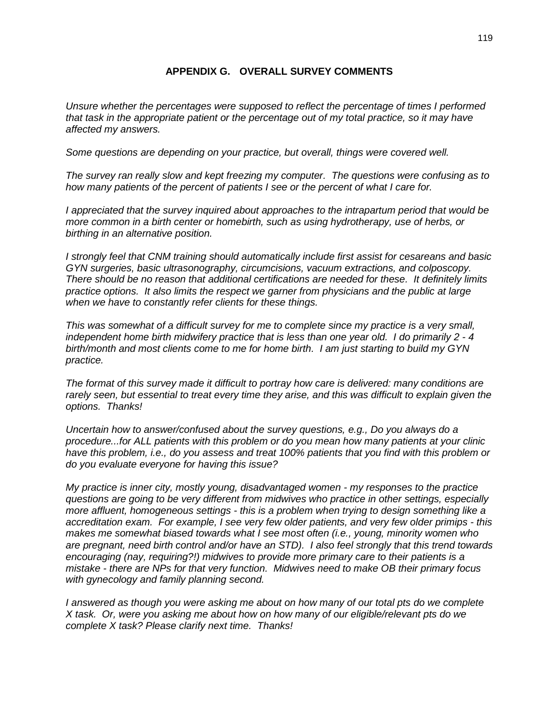# **APPENDIX G. OVERALL SURVEY COMMENTS**

*Unsure whether the percentages were supposed to reflect the percentage of times I performed that task in the appropriate patient or the percentage out of my total practice, so it may have affected my answers.*

*Some questions are depending on your practice, but overall, things were covered well.*

*The survey ran really slow and kept freezing my computer. The questions were confusing as to how many patients of the percent of patients I see or the percent of what I care for.*

*I appreciated that the survey inquired about approaches to the intrapartum period that would be more common in a birth center or homebirth, such as using hydrotherapy, use of herbs, or birthing in an alternative position.*

*I strongly feel that CNM training should automatically include first assist for cesareans and basic GYN surgeries, basic ultrasonography, circumcisions, vacuum extractions, and colposcopy. There should be no reason that additional certifications are needed for these. It definitely limits practice options. It also limits the respect we garner from physicians and the public at large when we have to constantly refer clients for these things.*

*This was somewhat of a difficult survey for me to complete since my practice is a very small, independent home birth midwifery practice that is less than one year old. I do primarily 2 - 4 birth/month and most clients come to me for home birth. I am just starting to build my GYN practice.*

*The format of this survey made it difficult to portray how care is delivered: many conditions are rarely seen, but essential to treat every time they arise, and this was difficult to explain given the options. Thanks!*

*Uncertain how to answer/confused about the survey questions, e.g., Do you always do a procedure...for ALL patients with this problem or do you mean how many patients at your clinic have this problem, i.e., do you assess and treat 100% patients that you find with this problem or do you evaluate everyone for having this issue?*

*My practice is inner city, mostly young, disadvantaged women - my responses to the practice questions are going to be very different from midwives who practice in other settings, especially more affluent, homogeneous settings - this is a problem when trying to design something like a accreditation exam. For example, I see very few older patients, and very few older primips - this makes me somewhat biased towards what I see most often (i.e., young, minority women who are pregnant, need birth control and/or have an STD). I also feel strongly that this trend towards encouraging (nay, requiring?!) midwives to provide more primary care to their patients is a mistake - there are NPs for that very function. Midwives need to make OB their primary focus with gynecology and family planning second.*

*I answered as though you were asking me about on how many of our total pts do we complete X task. Or, were you asking me about how on how many of our eligible/relevant pts do we complete X task? Please clarify next time. Thanks!*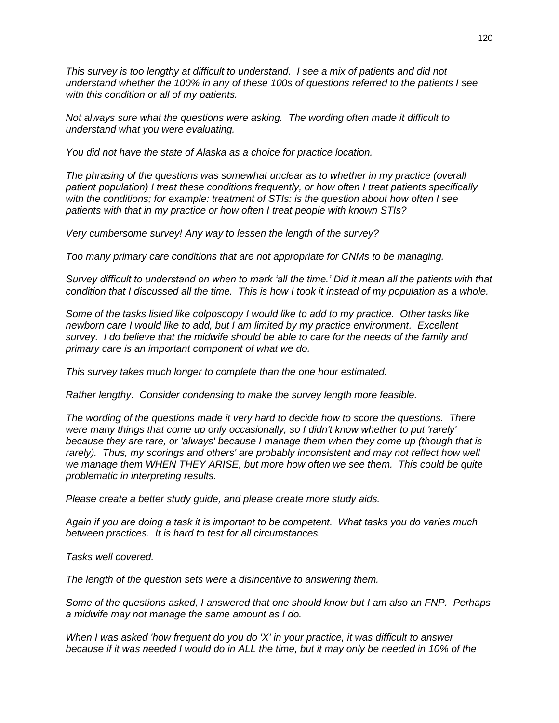*This survey is too lengthy at difficult to understand. I see a mix of patients and did not understand whether the 100% in any of these 100s of questions referred to the patients I see with this condition or all of my patients.*

*Not always sure what the questions were asking. The wording often made it difficult to understand what you were evaluating.*

*You did not have the state of Alaska as a choice for practice location.*

*The phrasing of the questions was somewhat unclear as to whether in my practice (overall patient population) I treat these conditions frequently, or how often I treat patients specifically with the conditions; for example: treatment of STIs: is the question about how often I see patients with that in my practice or how often I treat people with known STIs?*

*Very cumbersome survey! Any way to lessen the length of the survey?*

*Too many primary care conditions that are not appropriate for CNMs to be managing.*

*Survey difficult to understand on when to mark 'all the time.' Did it mean all the patients with that condition that I discussed all the time. This is how I took it instead of my population as a whole.*

*Some of the tasks listed like colposcopy I would like to add to my practice. Other tasks like newborn care I would like to add, but I am limited by my practice environment. Excellent survey. I do believe that the midwife should be able to care for the needs of the family and primary care is an important component of what we do.*

*This survey takes much longer to complete than the one hour estimated.*

*Rather lengthy. Consider condensing to make the survey length more feasible.*

*The wording of the questions made it very hard to decide how to score the questions. There were many things that come up only occasionally, so I didn't know whether to put 'rarely' because they are rare, or 'always' because I manage them when they come up (though that is*  rarely). Thus, my scorings and others' are probably inconsistent and may not reflect how well we manage them WHEN THEY ARISE, but more how often we see them. This could be quite *problematic in interpreting results.*

*Please create a better study guide, and please create more study aids.*

*Again if you are doing a task it is important to be competent. What tasks you do varies much between practices. It is hard to test for all circumstances.*

*Tasks well covered.*

*The length of the question sets were a disincentive to answering them.*

*Some of the questions asked, I answered that one should know but I am also an FNP. Perhaps a midwife may not manage the same amount as I do.*

*When I was asked 'how frequent do you do 'X' in your practice, it was difficult to answer because if it was needed I would do in ALL the time, but it may only be needed in 10% of the*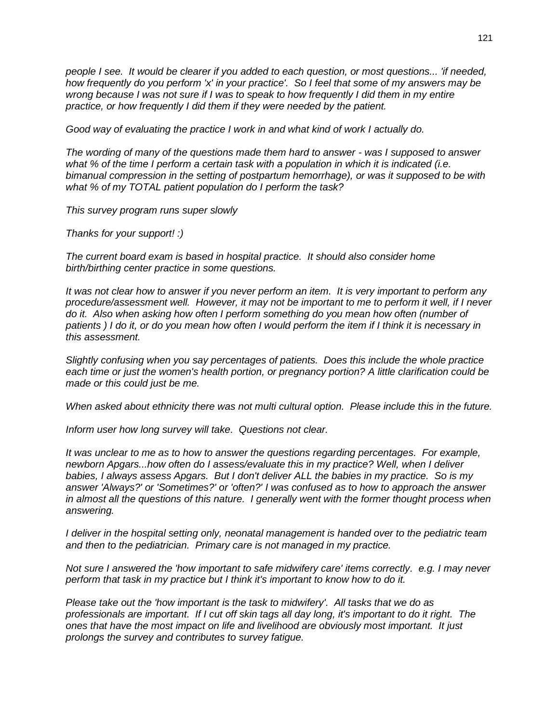*people I see. It would be clearer if you added to each question, or most questions... 'if needed, how frequently do you perform 'x' in your practice'. So I feel that some of my answers may be wrong because I was not sure if I was to speak to how frequently I did them in my entire practice, or how frequently I did them if they were needed by the patient.*

*Good way of evaluating the practice I work in and what kind of work I actually do.*

*The wording of many of the questions made them hard to answer - was I supposed to answer what % of the time I perform a certain task with a population in which it is indicated (i.e. bimanual compression in the setting of postpartum hemorrhage), or was it supposed to be with what % of my TOTAL patient population do I perform the task?*

*This survey program runs super slowly*

*Thanks for your support! :)*

*The current board exam is based in hospital practice. It should also consider home birth/birthing center practice in some questions.*

*It was not clear how to answer if you never perform an item. It is very important to perform any procedure/assessment well. However, it may not be important to me to perform it well, if I never*  do it. Also when asking how often I perform something do you mean how often (number of *patients ) I do it, or do you mean how often I would perform the item if I think it is necessary in this assessment.*

*Slightly confusing when you say percentages of patients. Does this include the whole practice each time or just the women's health portion, or pregnancy portion? A little clarification could be made or this could just be me.*

*When asked about ethnicity there was not multi cultural option. Please include this in the future.*

*Inform user how long survey will take. Questions not clear.*

*It was unclear to me as to how to answer the questions regarding percentages. For example, newborn Apgars...how often do I assess/evaluate this in my practice? Well, when I deliver babies, I always assess Apgars. But I don't deliver ALL the babies in my practice. So is my answer 'Always?' or 'Sometimes?' or 'often?' I was confused as to how to approach the answer in almost all the questions of this nature. I generally went with the former thought process when answering.*

*I deliver in the hospital setting only, neonatal management is handed over to the pediatric team and then to the pediatrician. Primary care is not managed in my practice.*

*Not sure I answered the 'how important to safe midwifery care' items correctly. e.g. I may never perform that task in my practice but I think it's important to know how to do it.*

*Please take out the 'how important is the task to midwifery'. All tasks that we do as professionals are important. If I cut off skin tags all day long, it's important to do it right. The ones that have the most impact on life and livelihood are obviously most important. It just prolongs the survey and contributes to survey fatigue.*